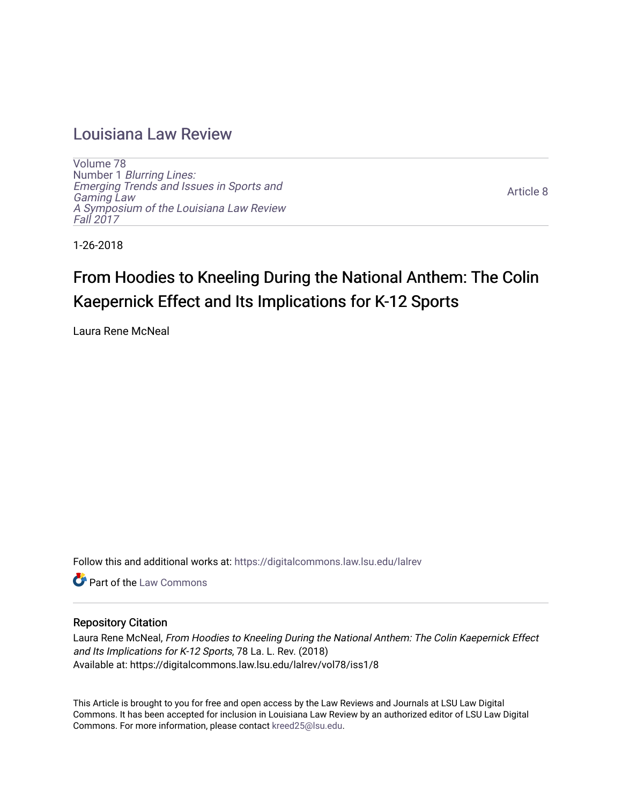## [Louisiana Law Review](https://digitalcommons.law.lsu.edu/lalrev)

[Volume 78](https://digitalcommons.law.lsu.edu/lalrev/vol78) Number 1 [Blurring Lines:](https://digitalcommons.law.lsu.edu/lalrev/vol78/iss1) [Emerging Trends and Issues in Sports and](https://digitalcommons.law.lsu.edu/lalrev/vol78/iss1)  [Gaming Law](https://digitalcommons.law.lsu.edu/lalrev/vol78/iss1)  [A Symposium of the Louisiana Law Review](https://digitalcommons.law.lsu.edu/lalrev/vol78/iss1) [Fall 2017](https://digitalcommons.law.lsu.edu/lalrev/vol78/iss1) 

[Article 8](https://digitalcommons.law.lsu.edu/lalrev/vol78/iss1/8) 

1-26-2018

# From Hoodies to Kneeling During the National Anthem: The Colin Kaepernick Effect and Its Implications for K-12 Sports

Laura Rene McNeal

Follow this and additional works at: [https://digitalcommons.law.lsu.edu/lalrev](https://digitalcommons.law.lsu.edu/lalrev?utm_source=digitalcommons.law.lsu.edu%2Flalrev%2Fvol78%2Fiss1%2F8&utm_medium=PDF&utm_campaign=PDFCoverPages)

**C** Part of the [Law Commons](http://network.bepress.com/hgg/discipline/578?utm_source=digitalcommons.law.lsu.edu%2Flalrev%2Fvol78%2Fiss1%2F8&utm_medium=PDF&utm_campaign=PDFCoverPages)

## Repository Citation

Laura Rene McNeal, From Hoodies to Kneeling During the National Anthem: The Colin Kaepernick Effect and Its Implications for K-12 Sports, 78 La. L. Rev. (2018) Available at: https://digitalcommons.law.lsu.edu/lalrev/vol78/iss1/8

This Article is brought to you for free and open access by the Law Reviews and Journals at LSU Law Digital Commons. It has been accepted for inclusion in Louisiana Law Review by an authorized editor of LSU Law Digital Commons. For more information, please contact [kreed25@lsu.edu](mailto:kreed25@lsu.edu).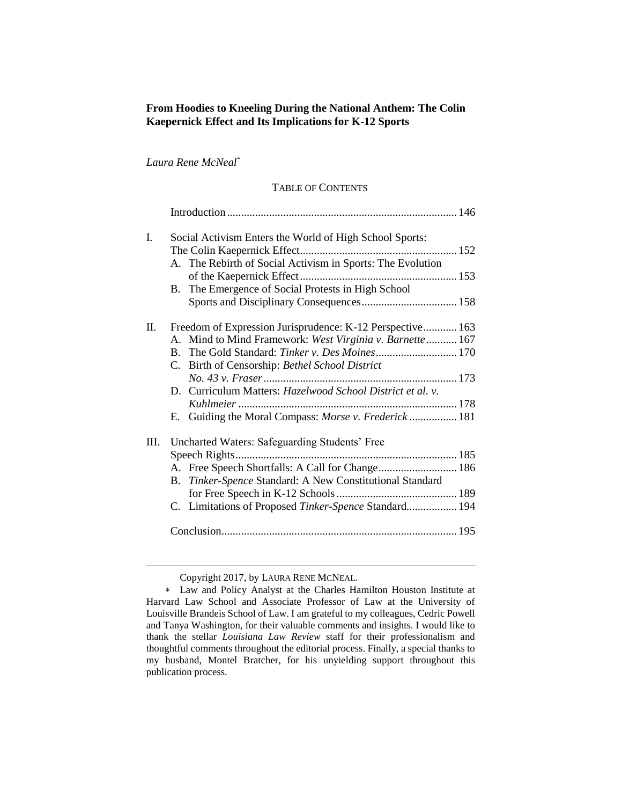## **From Hoodies to Kneeling During the National Anthem: The Colin Kaepernick Effect and Its Implications for K-12 Sports**

*Laura Rene McNeal*\*

### TABLE OF CONTENTS

| I. | Social Activism Enters the World of High School Sports:<br>A. The Rebirth of Social Activism in Sports: The Evolution<br>B. The Emergence of Social Protests in High School                                                                                                                                                                      |  |
|----|--------------------------------------------------------------------------------------------------------------------------------------------------------------------------------------------------------------------------------------------------------------------------------------------------------------------------------------------------|--|
| П. | Freedom of Expression Jurisprudence: K-12 Perspective 163<br>A. Mind to Mind Framework: West Virginia v. Barnette 167<br>B. The Gold Standard: Tinker v. Des Moines 170<br>C. Birth of Censorship: Bethel School District<br>D. Curriculum Matters: Hazelwood School District et al. v.<br>E. Guiding the Moral Compass: Morse v. Frederick  181 |  |
| Ш. | Uncharted Waters: Safeguarding Students' Free<br>B. Tinker-Spence Standard: A New Constitutional Standard<br>C. Limitations of Proposed Tinker-Spence Standard 194                                                                                                                                                                               |  |

Copyright 2017, by LAURA RENE MCNEAL.

Law and Policy Analyst at the Charles Hamilton Houston Institute at Harvard Law School and Associate Professor of Law at the University of Louisville Brandeis School of Law. I am grateful to my colleagues, Cedric Powell and Tanya Washington, for their valuable comments and insights. I would like to thank the stellar *Louisiana Law Review* staff for their professionalism and thoughtful comments throughout the editorial process. Finally, a special thanks to my husband, Montel Bratcher, for his unyielding support throughout this publication process.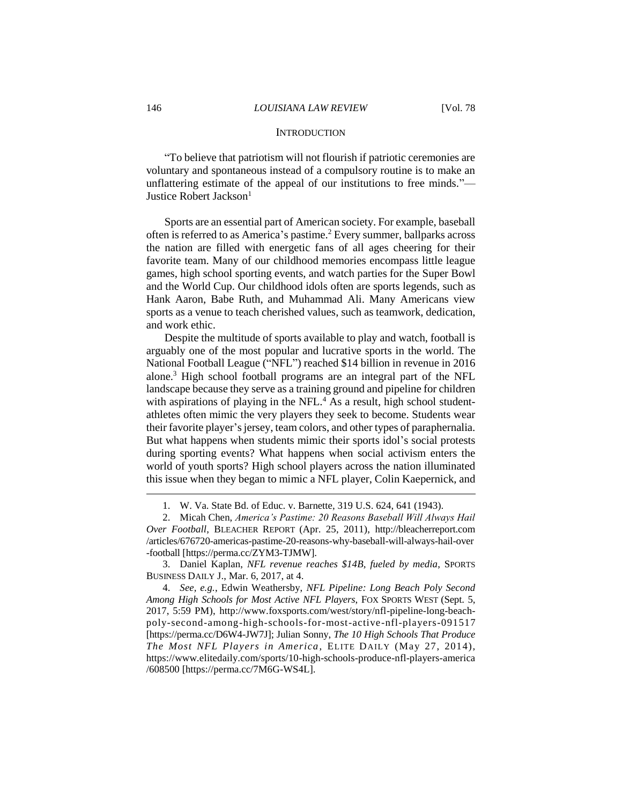#### **INTRODUCTION**

"To believe that patriotism will not flourish if patriotic ceremonies are voluntary and spontaneous instead of a compulsory routine is to make an unflattering estimate of the appeal of our institutions to free minds."— Justice Robert Jackson<sup>1</sup>

Sports are an essential part of American society. For example, baseball often is referred to as America's pastime.<sup>2</sup> Every summer, ballparks across the nation are filled with energetic fans of all ages cheering for their favorite team. Many of our childhood memories encompass little league games, high school sporting events, and watch parties for the Super Bowl and the World Cup. Our childhood idols often are sports legends, such as Hank Aaron, Babe Ruth, and Muhammad Ali. Many Americans view sports as a venue to teach cherished values, such as teamwork, dedication, and work ethic.

Despite the multitude of sports available to play and watch, football is arguably one of the most popular and lucrative sports in the world. The National Football League ("NFL") reached \$14 billion in revenue in 2016 alone.<sup>3</sup> High school football programs are an integral part of the NFL landscape because they serve as a training ground and pipeline for children with aspirations of playing in the NFL.<sup>4</sup> As a result, high school studentathletes often mimic the very players they seek to become. Students wear their favorite player's jersey, team colors, and other types of paraphernalia. But what happens when students mimic their sports idol's social protests during sporting events? What happens when social activism enters the world of youth sports? High school players across the nation illuminated this issue when they began to mimic a NFL player, Colin Kaepernick, and

3. Daniel Kaplan, *NFL revenue reaches \$14B, fueled by media*, SPORTS BUSINESS DAILY J., Mar. 6, 2017, at 4.

<sup>1.</sup> W. Va. State Bd. of Educ. v. Barnette, 319 U.S. 624, 641 (1943).

<sup>2.</sup> Micah Chen, *America's Pastime: 20 Reasons Baseball Will Always Hail Over Football*, BLEACHER REPORT (Apr. 25, 2011), http://bleacherreport.com /articles/676720-americas-pastime-20-reasons-why-baseball-will-always-hail-over -football [https://perma.cc/ZYM3-TJMW].

<sup>4.</sup> *See, e.g.*, Edwin Weathersby, *NFL Pipeline: Long Beach Poly Second Among High Schools for Most Active NFL Players*, FOX SPORTS WEST (Sept. 5, 2017, 5:59 PM), http://www.foxsports.com/west/story/nfl-pipeline-long-beachpoly-second-among-high-schools-for-most-active-nfl-players-091517 [https://perma.cc/D6W4-JW7J]; Julian Sonny, *The 10 High Schools That Produce The Most NFL Players in America*, ELITE DAILY (May 27, 2014), https://www.elitedaily.com/sports/10-high-schools-produce-nfl-players-america /608500 [https://perma.cc/7M6G-WS4L].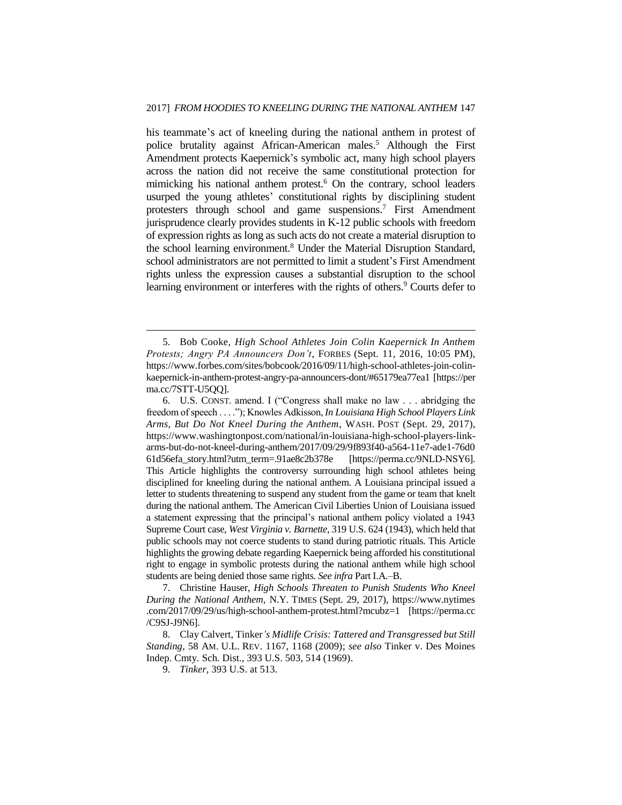his teammate's act of kneeling during the national anthem in protest of police brutality against African-American males.<sup>5</sup> Although the First Amendment protects Kaepernick's symbolic act, many high school players across the nation did not receive the same constitutional protection for mimicking his national anthem protest.<sup>6</sup> On the contrary, school leaders usurped the young athletes' constitutional rights by disciplining student protesters through school and game suspensions.<sup>7</sup> First Amendment jurisprudence clearly provides students in K-12 public schools with freedom of expression rights as long as such acts do not create a material disruption to the school learning environment.<sup>8</sup> Under the Material Disruption Standard, school administrators are not permitted to limit a student's First Amendment rights unless the expression causes a substantial disruption to the school learning environment or interferes with the rights of others.<sup>9</sup> Courts defer to

6. U.S. CONST. amend. I ("Congress shall make no law . . . abridging the freedom of speech . . . ."); Knowles Adkisson, *In Louisiana High School Players Link Arms, But Do Not Kneel During the Anthem*, WASH. POST (Sept. 29, 2017), https://www.washingtonpost.com/national/in-louisiana-high-school-players-linkarms-but-do-not-kneel-during-anthem/2017/09/29/9f893f40-a564-11e7-ade1-76d0 61d56efa\_story.html?utm\_term=.91ae8c2b378e [https://perma.cc/9NLD-NSY6]. This Article highlights the controversy surrounding high school athletes being disciplined for kneeling during the national anthem. A Louisiana principal issued a letter to students threatening to suspend any student from the game or team that knelt during the national anthem. The American Civil Liberties Union of Louisiana issued a statement expressing that the principal's national anthem policy violated a 1943 Supreme Court case, *West Virginia v. Barnette*, 319 U.S. 624 (1943), which held that public schools may not coerce students to stand during patriotic rituals. This Article highlights the growing debate regarding Kaepernick being afforded his constitutional right to engage in symbolic protests during the national anthem while high school students are being denied those same rights. *See infra* Part I.A.–B.

7. Christine Hauser, *High Schools Threaten to Punish Students Who Kneel During the National Anthem,* N.Y. TIMES (Sept. 29, 2017), https://www.nytimes .com/2017/09/29/us/high-school-anthem-protest.html?mcubz=1 [https://perma.cc /C9SJ-J9N6].

8. Clay Calvert, Tinker*'s Midlife Crisis: Tattered and Transgressed but Still Standing*, 58 AM. U.L. REV. 1167, 1168 (2009); *see also* Tinker v. Des Moines Indep. Cmty. Sch. Dist., 393 U.S. 503, 514 (1969).

<sup>5.</sup> Bob Cooke, *High School Athletes Join Colin Kaepernick In Anthem Protests; Angry PA Announcers Don't*, FORBES (Sept. 11, 2016, 10:05 PM), https://www.forbes.com/sites/bobcook/2016/09/11/high-school-athletes-join-colinkaepernick-in-anthem-protest-angry-pa-announcers-dont/#65179ea77ea1 [https://per ma.cc/7STT-U5QQ].

<sup>9.</sup> *Tinker*, 393 U.S. at 513.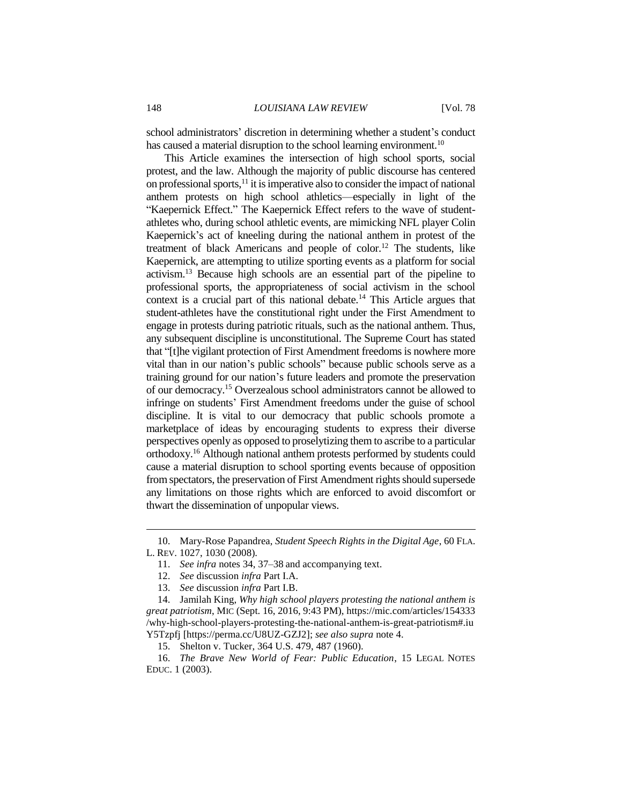school administrators' discretion in determining whether a student's conduct has caused a material disruption to the school learning environment.<sup>10</sup>

This Article examines the intersection of high school sports, social protest, and the law. Although the majority of public discourse has centered on professional sports, $11$  it is imperative also to consider the impact of national anthem protests on high school athletics—especially in light of the "Kaepernick Effect." The Kaepernick Effect refers to the wave of studentathletes who, during school athletic events, are mimicking NFL player Colin Kaepernick's act of kneeling during the national anthem in protest of the treatment of black Americans and people of color.<sup>12</sup> The students, like Kaepernick, are attempting to utilize sporting events as a platform for social activism.<sup>13</sup> Because high schools are an essential part of the pipeline to professional sports, the appropriateness of social activism in the school context is a crucial part of this national debate.<sup>14</sup> This Article argues that student-athletes have the constitutional right under the First Amendment to engage in protests during patriotic rituals, such as the national anthem. Thus, any subsequent discipline is unconstitutional. The Supreme Court has stated that "[t]he vigilant protection of First Amendment freedoms is nowhere more vital than in our nation's public schools" because public schools serve as a training ground for our nation's future leaders and promote the preservation of our democracy.<sup>15</sup> Overzealous school administrators cannot be allowed to infringe on students' First Amendment freedoms under the guise of school discipline. It is vital to our democracy that public schools promote a marketplace of ideas by encouraging students to express their diverse perspectives openly as opposed to proselytizing them to ascribe to a particular orthodoxy.<sup>16</sup> Although national anthem protests performed by students could cause a material disruption to school sporting events because of opposition from spectators, the preservation of First Amendment rights should supersede any limitations on those rights which are enforced to avoid discomfort or thwart the dissemination of unpopular views.

<sup>10.</sup> Mary-Rose Papandrea, *Student Speech Rights in the Digital Age*, 60 FLA. L. REV. 1027, 1030 (2008).

<sup>11.</sup> *See infra* notes 34, 37–38 and accompanying text.

<sup>12.</sup> *See* discussion *infra* Part I.A.

<sup>13.</sup> *See* discussion *infra* Part I.B.

<sup>14.</sup> Jamilah King, *Why high school players protesting the national anthem is great patriotism*, MIC (Sept. 16, 2016, 9:43 PM), https://mic.com/articles/154333 /why-high-school-players-protesting-the-national-anthem-is-great-patriotism#.iu Y5Tzpfj [https://perma.cc/U8UZ-GZJ2]; *see also supra* note 4.

<sup>15.</sup> Shelton v. Tucker, 364 U.S. 479, 487 (1960).

<sup>16.</sup> *The Brave New World of Fear: Public Education*, 15 LEGAL NOTES EDUC. 1 (2003).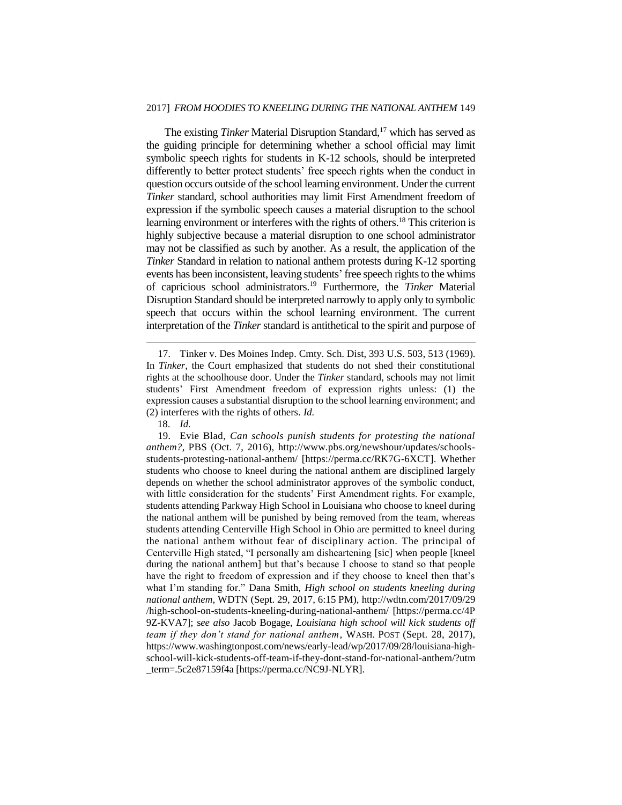#### 2017] *FROM HOODIES TO KNEELING DURING THE NATIONAL ANTHEM* 149

The existing *Tinker* Material Disruption Standard,<sup>17</sup> which has served as the guiding principle for determining whether a school official may limit symbolic speech rights for students in K-12 schools, should be interpreted differently to better protect students' free speech rights when the conduct in question occurs outside of the school learning environment. Under the current *Tinker* standard, school authorities may limit First Amendment freedom of expression if the symbolic speech causes a material disruption to the school learning environment or interferes with the rights of others.<sup>18</sup> This criterion is highly subjective because a material disruption to one school administrator may not be classified as such by another. As a result, the application of the *Tinker* Standard in relation to national anthem protests during K-12 sporting events has been inconsistent, leaving students' free speech rights to the whims of capricious school administrators.<sup>19</sup> Furthermore, the *Tinker* Material Disruption Standard should be interpreted narrowly to apply only to symbolic speech that occurs within the school learning environment. The current interpretation of the *Tinker* standard is antithetical to the spirit and purpose of

<sup>17.</sup> Tinker v. Des Moines Indep. Cmty. Sch. Dist, 393 U.S. 503, 513 (1969). In *Tinker*, the Court emphasized that students do not shed their constitutional rights at the schoolhouse door. Under the *Tinker* standard, schools may not limit students' First Amendment freedom of expression rights unless: (1) the expression causes a substantial disruption to the school learning environment; and (2) interferes with the rights of others. *Id.*

<sup>18.</sup> *Id.*

<sup>19.</sup> Evie Blad, *Can schools punish students for protesting the national anthem?*, PBS (Oct. 7, 2016), http://www.pbs.org/newshour/updates/schoolsstudents-protesting-national-anthem/ [https://perma.cc/RK7G-6XCT]. Whether students who choose to kneel during the national anthem are disciplined largely depends on whether the school administrator approves of the symbolic conduct, with little consideration for the students' First Amendment rights. For example, students attending Parkway High School in Louisiana who choose to kneel during the national anthem will be punished by being removed from the team, whereas students attending Centerville High School in Ohio are permitted to kneel during the national anthem without fear of disciplinary action. The principal of Centerville High stated, "I personally am disheartening [sic] when people [kneel during the national anthem] but that's because I choose to stand so that people have the right to freedom of expression and if they choose to kneel then that's what I'm standing for." Dana Smith, *High school on students kneeling during national anthem*, WDTN (Sept. 29, 2017, 6:15 PM), http://wdtn.com/2017/09/29 /high-school-on-students-kneeling-during-national-anthem/ [https://perma.cc/4P 9Z-KVA7]; s*ee also* Jacob Bogage, *Louisiana high school will kick students off team if they don't stand for national anthem*, WASH. POST (Sept. 28, 2017), https://www.washingtonpost.com/news/early-lead/wp/2017/09/28/louisiana-highschool-will-kick-students-off-team-if-they-dont-stand-for-national-anthem/?utm \_term=.5c2e87159f4a [https://perma.cc/NC9J-NLYR].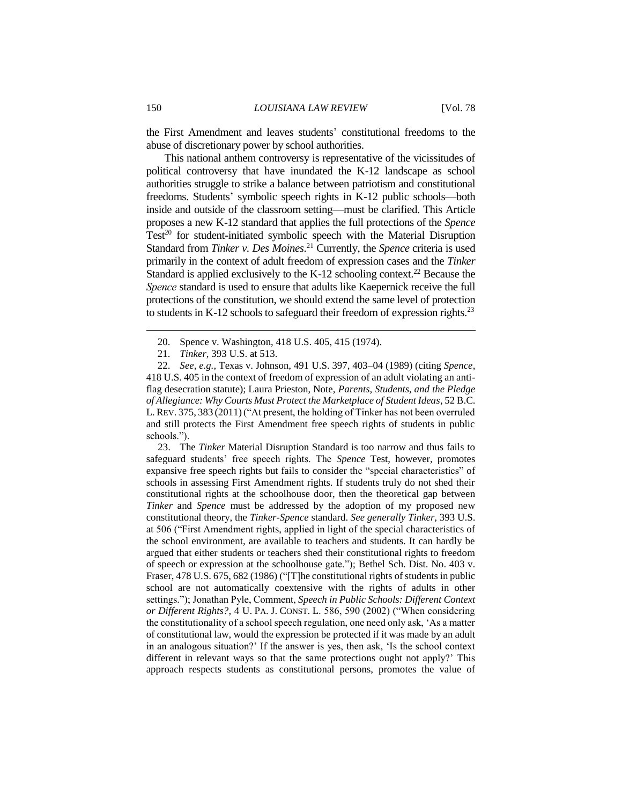the First Amendment and leaves students' constitutional freedoms to the abuse of discretionary power by school authorities.

This national anthem controversy is representative of the vicissitudes of political controversy that have inundated the K-12 landscape as school authorities struggle to strike a balance between patriotism and constitutional freedoms. Students' symbolic speech rights in K-12 public schools—both inside and outside of the classroom setting—must be clarified. This Article proposes a new K-12 standard that applies the full protections of the *Spence*  $Test^{20}$  for student-initiated symbolic speech with the Material Disruption Standard from *Tinker v. Des Moines*. <sup>21</sup> Currently, the *Spence* criteria is used primarily in the context of adult freedom of expression cases and the *Tinker*  Standard is applied exclusively to the K-12 schooling context.<sup>22</sup> Because the *Spence* standard is used to ensure that adults like Kaepernick receive the full protections of the constitution, we should extend the same level of protection to students in K-12 schools to safeguard their freedom of expression rights.<sup>23</sup>

23. The *Tinker* Material Disruption Standard is too narrow and thus fails to safeguard students' free speech rights. The *Spence* Test, however, promotes expansive free speech rights but fails to consider the "special characteristics" of schools in assessing First Amendment rights. If students truly do not shed their constitutional rights at the schoolhouse door, then the theoretical gap between *Tinker* and *Spence* must be addressed by the adoption of my proposed new constitutional theory, the *Tinker-Spence* standard. *See generally Tinker*, 393 U.S. at 506 ("First Amendment rights, applied in light of the special characteristics of the school environment, are available to teachers and students. It can hardly be argued that either students or teachers shed their constitutional rights to freedom of speech or expression at the schoolhouse gate."); Bethel Sch. Dist. No. 403 v. Fraser, 478 U.S. 675, 682 (1986) ("[T]he constitutional rights of students in public school are not automatically coextensive with the rights of adults in other settings."); Jonathan Pyle, Comment, *Speech in Public Schools: Different Context or Different Rights?*, 4 U. PA. J. CONST. L. 586, 590 (2002) ("When considering the constitutionality of a school speech regulation, one need only ask, 'As a matter of constitutional law, would the expression be protected if it was made by an adult in an analogous situation?' If the answer is yes, then ask, 'Is the school context different in relevant ways so that the same protections ought not apply?' This approach respects students as constitutional persons, promotes the value of

<sup>20.</sup> Spence v. Washington, 418 U.S. 405, 415 (1974).

<sup>21.</sup> *Tinker*, 393 U.S. at 513.

<sup>22.</sup> *See, e.g.*, Texas v. Johnson, 491 U.S. 397, 403–04 (1989) (citing *Spence*, 418 U.S. 405 in the context of freedom of expression of an adult violating an antiflag desecration statute); Laura Prieston, Note, *Parents, Students, and the Pledge of Allegiance: Why Courts Must Protect the Marketplace of Student Ideas*, 52 B.C. L. REV. 375, 383 (2011)("At present, the holding of Tinker has not been overruled and still protects the First Amendment free speech rights of students in public schools.").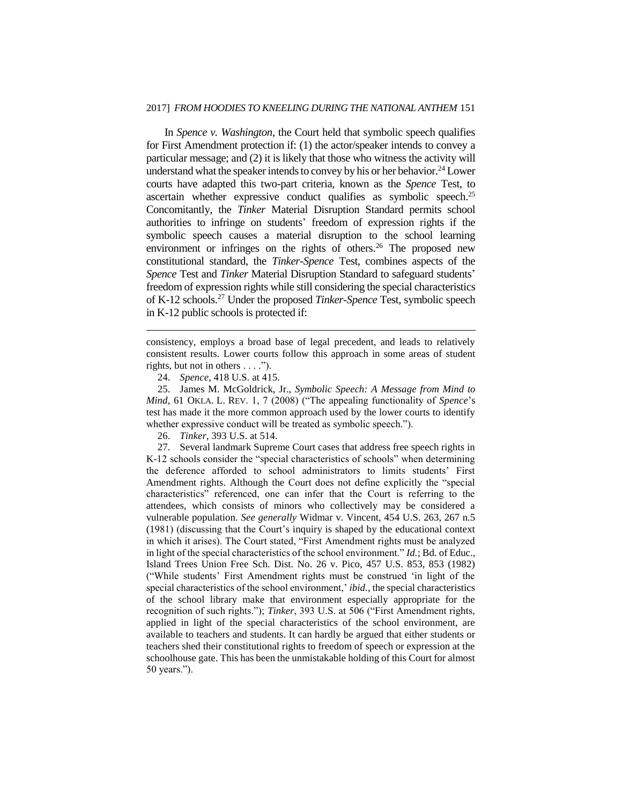#### 2017] *FROM HOODIES TO KNEELING DURING THE NATIONAL ANTHEM* 151

In *Spence v. Washington*, the Court held that symbolic speech qualifies for First Amendment protection if: (1) the actor/speaker intends to convey a particular message; and (2) it is likely that those who witness the activity will understand what the speaker intends to convey by his or her behavior.<sup>24</sup> Lower courts have adapted this two-part criteria, known as the *Spence* Test, to ascertain whether expressive conduct qualifies as symbolic speech.<sup>25</sup> Concomitantly, the *Tinker* Material Disruption Standard permits school authorities to infringe on students' freedom of expression rights if the symbolic speech causes a material disruption to the school learning environment or infringes on the rights of others.<sup>26</sup> The proposed new constitutional standard, the *Tinker*-*Spence* Test, combines aspects of the *Spence* Test and *Tinker* Material Disruption Standard to safeguard students' freedom of expression rights while still considering the special characteristics of K-12 schools.<sup>27</sup> Under the proposed *Tinker-Spence* Test, symbolic speech in K-12 public schools is protected if:

consistency, employs a broad base of legal precedent, and leads to relatively consistent results. Lower courts follow this approach in some areas of student rights, but not in others . . . .").

 $\overline{a}$ 

25. James M. McGoldrick, Jr., *Symbolic Speech: A Message from Mind to Mind*, 61 OKLA. L. REV. 1, 7 (2008) ("The appealing functionality of *Spence*'s test has made it the more common approach used by the lower courts to identify whether expressive conduct will be treated as symbolic speech.").

26. *Tinker*, 393 U.S. at 514.

27. Several landmark Supreme Court cases that address free speech rights in K-12 schools consider the "special characteristics of schools" when determining the deference afforded to school administrators to limits students' First Amendment rights. Although the Court does not define explicitly the "special characteristics" referenced, one can infer that the Court is referring to the attendees, which consists of minors who collectively may be considered a vulnerable population. *See generally* Widmar v. Vincent, 454 U.S. 263, 267 n.5 (1981) (discussing that the Court's inquiry is shaped by the educational context in which it arises). The Court stated, "First Amendment rights must be analyzed in light of the special characteristics of the school environment." *Id.*; Bd. of Educ., Island Trees Union Free Sch. Dist. No. 26 v. Pico, 457 U.S. 853, 853 (1982) ("While students' First Amendment rights must be construed 'in light of the special characteristics of the school environment,' *ibid.*, the special characteristics of the school library make that environment especially appropriate for the recognition of such rights."); *Tinker*, 393 U.S. at 506 ("First Amendment rights, applied in light of the special characteristics of the school environment, are available to teachers and students. It can hardly be argued that either students or teachers shed their constitutional rights to freedom of speech or expression at the schoolhouse gate. This has been the unmistakable holding of this Court for almost 50 years.").

<sup>24.</sup> *Spence*, 418 U.S. at 415.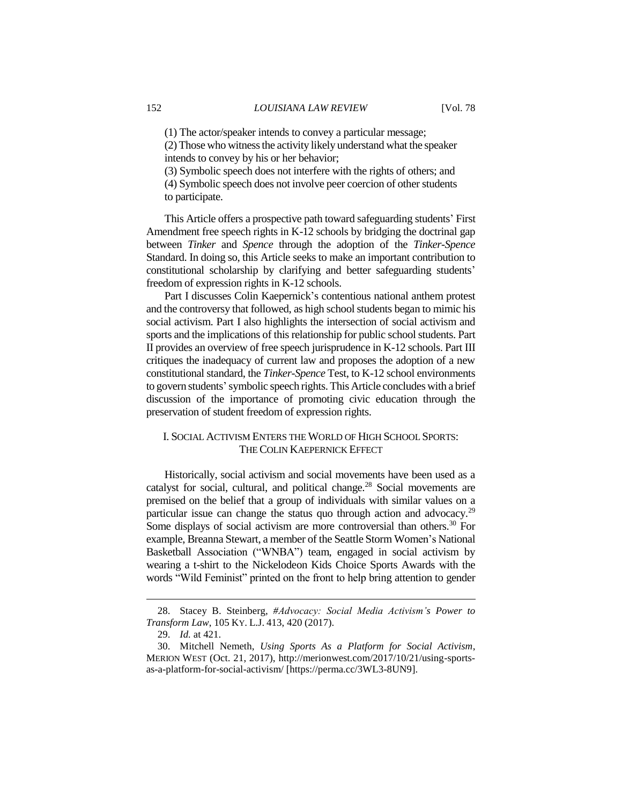(2) Those who witness the activity likely understand what the speaker intends to convey by his or her behavior;

(3) Symbolic speech does not interfere with the rights of others; and (4) Symbolic speech does not involve peer coercion of other students to participate.

This Article offers a prospective path toward safeguarding students' First Amendment free speech rights in K-12 schools by bridging the doctrinal gap between *Tinker* and *Spence* through the adoption of the *Tinker-Spence* Standard. In doing so, this Article seeks to make an important contribution to constitutional scholarship by clarifying and better safeguarding students' freedom of expression rights in K-12 schools.

Part I discusses Colin Kaepernick's contentious national anthem protest and the controversy that followed, as high school students began to mimic his social activism. Part I also highlights the intersection of social activism and sports and the implications of this relationship for public school students. Part II provides an overview of free speech jurisprudence in K-12 schools. Part III critiques the inadequacy of current law and proposes the adoption of a new constitutional standard, the *Tinker-Spence* Test, to K-12 school environments to govern students'symbolic speech rights. This Article concludes with a brief discussion of the importance of promoting civic education through the preservation of student freedom of expression rights.

## I. SOCIAL ACTIVISM ENTERS THE WORLD OF HIGH SCHOOL SPORTS: THE COLIN KAEPERNICK EFFECT

Historically, social activism and social movements have been used as a catalyst for social, cultural, and political change.<sup>28</sup> Social movements are premised on the belief that a group of individuals with similar values on a particular issue can change the status quo through action and advocacy.<sup>29</sup> Some displays of social activism are more controversial than others.<sup>30</sup> For example, Breanna Stewart, a member of the Seattle Storm Women's National Basketball Association ("WNBA") team, engaged in social activism by wearing a t-shirt to the Nickelodeon Kids Choice Sports Awards with the words "Wild Feminist" printed on the front to help bring attention to gender

<sup>28.</sup> Stacey B. Steinberg, *#Advocacy: Social Media Activism's Power to Transform Law*, 105 KY. L.J. 413, 420 (2017).

<sup>29.</sup> *Id.* at 421.

<sup>30.</sup> Mitchell Nemeth, *Using Sports As a Platform for Social Activism*, MERION WEST (Oct. 21, 2017), http://merionwest.com/2017/10/21/using-sportsas-a-platform-for-social-activism/ [https://perma.cc/3WL3-8UN9].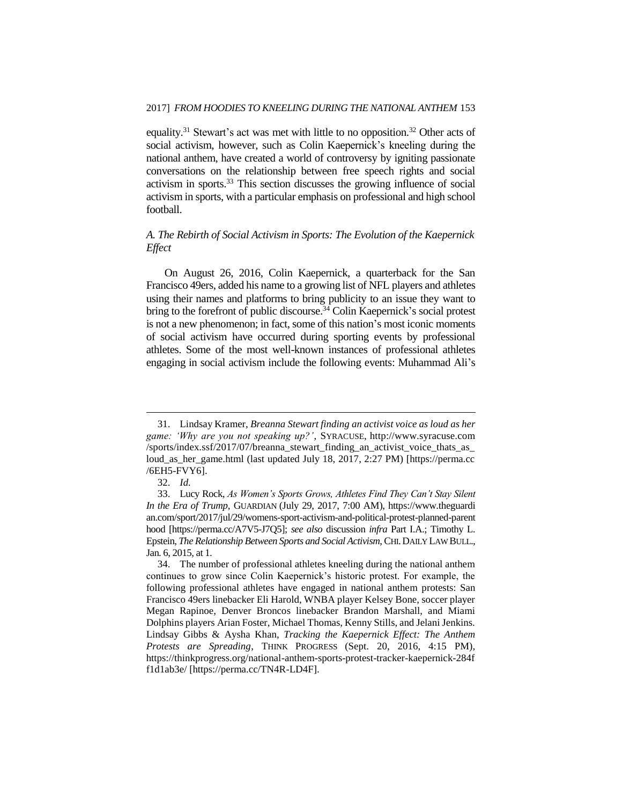equality.<sup>31</sup> Stewart's act was met with little to no opposition.<sup>32</sup> Other acts of social activism, however, such as Colin Kaepernick's kneeling during the national anthem, have created a world of controversy by igniting passionate conversations on the relationship between free speech rights and social activism in sports. $33$  This section discusses the growing influence of social activism in sports, with a particular emphasis on professional and high school football.

## *A. The Rebirth of Social Activism in Sports: The Evolution of the Kaepernick Effect*

On August 26, 2016, Colin Kaepernick, a quarterback for the San Francisco 49ers, added his name to a growing list of NFL players and athletes using their names and platforms to bring publicity to an issue they want to bring to the forefront of public discourse.<sup>34</sup> Colin Kaepernick's social protest is not a new phenomenon; in fact, some of this nation's most iconic moments of social activism have occurred during sporting events by professional athletes. Some of the most well-known instances of professional athletes engaging in social activism include the following events: Muhammad Ali's

<sup>31.</sup> Lindsay Kramer, *Breanna Stewart finding an activist voice as loud as her game: 'Why are you not speaking up?'*, SYRACUSE, http://www.syracuse.com /sports/index.ssf/2017/07/breanna\_stewart\_finding\_an\_activist\_voice\_thats\_as\_ loud\_as\_her\_game.html (last updated July 18, 2017, 2:27 PM) [https://perma.cc /6EH5-FVY6].

<sup>32.</sup> *Id.*

<sup>33.</sup> Lucy Rock, *As Women's Sports Grows, Athletes Find They Can't Stay Silent In the Era of Trump*, GUARDIAN (July 29, 2017, 7:00 AM), https://www.theguardi an.com/sport/2017/jul/29/womens-sport-activism-and-political-protest-planned-parent hood [https://perma.cc/A7V5-J7Q5]; *see also* discussion *infra* Part I.A.; Timothy L. Epstein, *The Relationship Between Sports and Social Activism*, CHI.DAILY LAW BULL., Jan. 6, 2015, at 1.

<sup>34.</sup> The number of professional athletes kneeling during the national anthem continues to grow since Colin Kaepernick's historic protest. For example, the following professional athletes have engaged in national anthem protests: San Francisco 49ers linebacker Eli Harold, WNBA player Kelsey Bone, soccer player Megan Rapinoe, Denver Broncos linebacker Brandon Marshall, and Miami Dolphins players Arian Foster, Michael Thomas, Kenny Stills, and Jelani Jenkins. Lindsay Gibbs & Aysha Khan, *Tracking the Kaepernick Effect: The Anthem Protests are Spreading*, THINK PROGRESS (Sept. 20, 2016, 4:15 PM), https://thinkprogress.org/national-anthem-sports-protest-tracker-kaepernick-284f f1d1ab3e/ [https://perma.cc/TN4R-LD4F].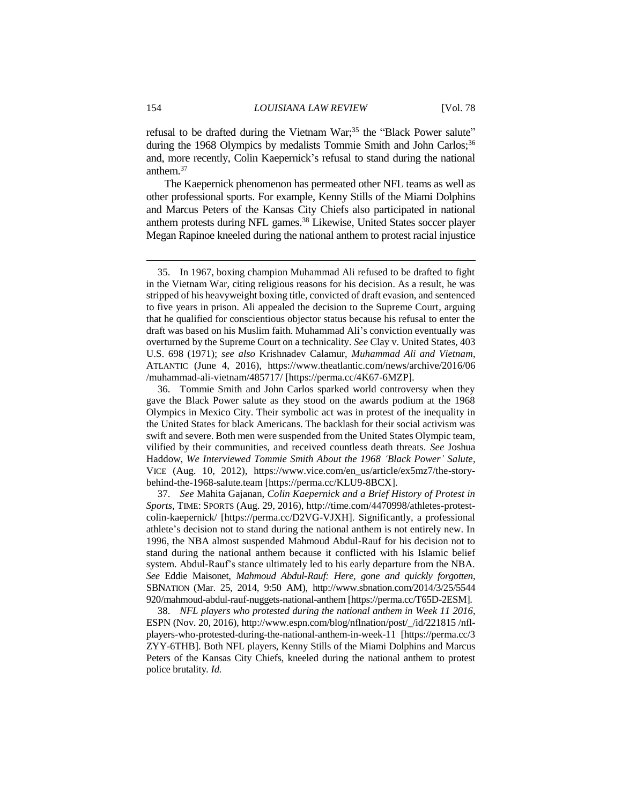refusal to be drafted during the Vietnam War;<sup>35</sup> the "Black Power salute" during the 1968 Olympics by medalists Tommie Smith and John Carlos;<sup>36</sup> and, more recently, Colin Kaepernick's refusal to stand during the national anthem.<sup>37</sup>

The Kaepernick phenomenon has permeated other NFL teams as well as other professional sports. For example, Kenny Stills of the Miami Dolphins and Marcus Peters of the Kansas City Chiefs also participated in national anthem protests during NFL games.<sup>38</sup> Likewise, United States soccer player Megan Rapinoe kneeled during the national anthem to protest racial injustice

<sup>35.</sup> In 1967, boxing champion Muhammad Ali refused to be drafted to fight in the Vietnam War, citing religious reasons for his decision. As a result, he was stripped of his heavyweight boxing title, convicted of draft evasion, and sentenced to five years in prison. Ali appealed the decision to the Supreme Court, arguing that he qualified for conscientious objector status because his refusal to enter the draft was based on his Muslim faith. Muhammad Ali's conviction eventually was overturned by the Supreme Court on a technicality. *See* Clay v. United States, 403 U.S. 698 (1971); *see also* Krishnadev Calamur, *Muhammad Ali and Vietnam*, ATLANTIC (June 4, 2016), https://www.theatlantic.com/news/archive/2016/06 /muhammad-ali-vietnam/485717/ [https://perma.cc/4K67-6MZP].

<sup>36.</sup> Tommie Smith and John Carlos sparked world controversy when they gave the Black Power salute as they stood on the awards podium at the 1968 Olympics in Mexico City. Their symbolic act was in protest of the inequality in the United States for black Americans. The backlash for their social activism was swift and severe. Both men were suspended from the United States Olympic team, vilified by their communities, and received countless death threats. *See* Joshua Haddow, *We Interviewed Tommie Smith About the 1968 'Black Power' Salute*, VICE (Aug. 10, 2012), https://www.vice.com/en\_us/article/ex5mz7/the-storybehind-the-1968-salute.team [https://perma.cc/KLU9-8BCX].

<sup>37.</sup> *See* Mahita Gajanan, *Colin Kaepernick and a Brief History of Protest in Sports*, TIME: SPORTS (Aug. 29, 2016), http://time.com/4470998/athletes-protestcolin-kaepernick/ [https://perma.cc/D2VG-VJXH]. Significantly, a professional athlete's decision not to stand during the national anthem is not entirely new. In 1996, the NBA almost suspended Mahmoud Abdul-Rauf for his decision not to stand during the national anthem because it conflicted with his Islamic belief system. Abdul-Rauf's stance ultimately led to his early departure from the NBA. *See* Eddie Maisonet, *Mahmoud Abdul-Rauf: Here, gone and quickly forgotten*, SBNATION (Mar. 25, 2014, 9:50 AM), http://www.sbnation.com/2014/3/25/5544 920/mahmoud-abdul-rauf-nuggets-national-anthem [https://perma.cc/T65D-2ESM].

<sup>38.</sup> *NFL players who protested during the national anthem in Week 11 2016*, ESPN (Nov. 20, 2016), http://www.espn.com/blog/nflnation/post/\_/id/221815 /nflplayers-who-protested-during-the-national-anthem-in-week-11 [https://perma.cc/3 ZYY-6THB]. Both NFL players, Kenny Stills of the Miami Dolphins and Marcus Peters of the Kansas City Chiefs, kneeled during the national anthem to protest police brutality*. Id.*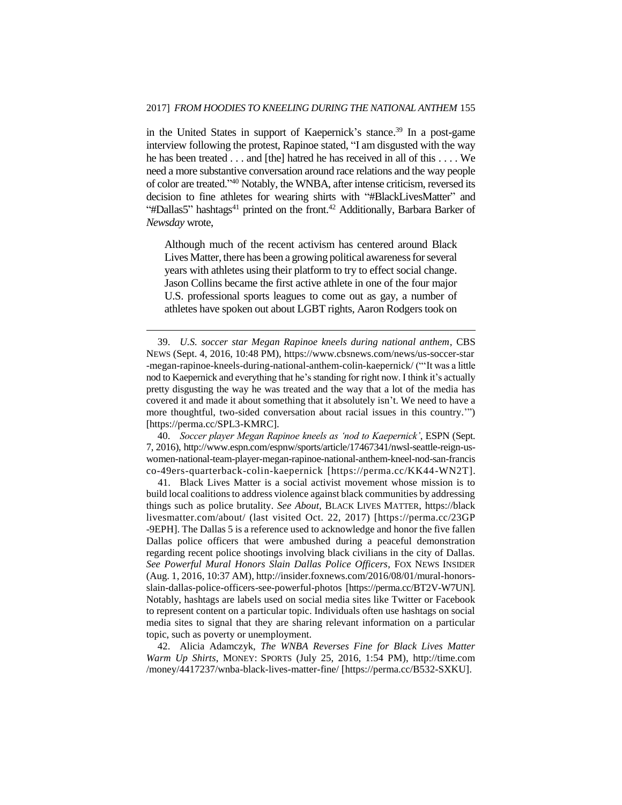in the United States in support of Kaepernick's stance.<sup>39</sup> In a post-game interview following the protest, Rapinoe stated, "I am disgusted with the way he has been treated . . . and [the] hatred he has received in all of this . . . . We need a more substantive conversation around race relations and the way people of color are treated." <sup>40</sup> Notably, the WNBA, after intense criticism, reversed its decision to fine athletes for wearing shirts with "#BlackLivesMatter" and "#Dallas5" hashtags<sup>41</sup> printed on the front.<sup>42</sup> Additionally, Barbara Barker of *Newsday* wrote,

Although much of the recent activism has centered around Black Lives Matter, there has been a growing political awareness for several years with athletes using their platform to try to effect social change. Jason Collins became the first active athlete in one of the four major U.S. professional sports leagues to come out as gay, a number of athletes have spoken out about LGBT rights, Aaron Rodgers took on

 $\overline{a}$ 

40. *Soccer player Megan Rapinoe kneels as 'nod to Kaepernick'*, ESPN (Sept. 7, 2016), http://www.espn.com/espnw/sports/article/17467341/nwsl-seattle-reign-uswomen-national-team-player-megan-rapinoe-national-anthem-kneel-nod-san-francis co-49ers-quarterback-colin-kaepernick [https://perma.cc/KK44-WN2T].

41. Black Lives Matter is a social activist movement whose mission is to build local coalitions to address violence against black communities by addressing things such as police brutality. *See About,* BLACK LIVES MATTER, https://black livesmatter.com/about/ (last visited Oct. 22, 2017) [https://perma.cc/23GP -9EPH]. The Dallas 5 is a reference used to acknowledge and honor the five fallen Dallas police officers that were ambushed during a peaceful demonstration regarding recent police shootings involving black civilians in the city of Dallas. *See Powerful Mural Honors Slain Dallas Police Officers*, FOX NEWS INSIDER (Aug. 1, 2016, 10:37 AM), http://insider.foxnews.com/2016/08/01/mural-honorsslain-dallas-police-officers-see-powerful-photos [https://perma.cc/BT2V-W7UN]. Notably, hashtags are labels used on social media sites like Twitter or Facebook to represent content on a particular topic. Individuals often use hashtags on social media sites to signal that they are sharing relevant information on a particular topic, such as poverty or unemployment.

42. Alicia Adamczyk, *The WNBA Reverses Fine for Black Lives Matter Warm Up Shirts*, MONEY: SPORTS (July 25, 2016, 1:54 PM), http://time.com /money/4417237/wnba-black-lives-matter-fine/ [https://perma.cc/B532-SXKU].

<sup>39.</sup> *U.S. soccer star Megan Rapinoe kneels during national anthem*, CBS NEWS (Sept. 4, 2016, 10:48 PM), https://www.cbsnews.com/news/us-soccer-star -megan-rapinoe-kneels-during-national-anthem-colin-kaepernick/ ("'It was a little nod to Kaepernick and everything that he's standing for right now. I think it's actually pretty disgusting the way he was treated and the way that a lot of the media has covered it and made it about something that it absolutely isn't. We need to have a more thoughtful, two-sided conversation about racial issues in this country.'") [https://perma.cc/SPL3-KMRC].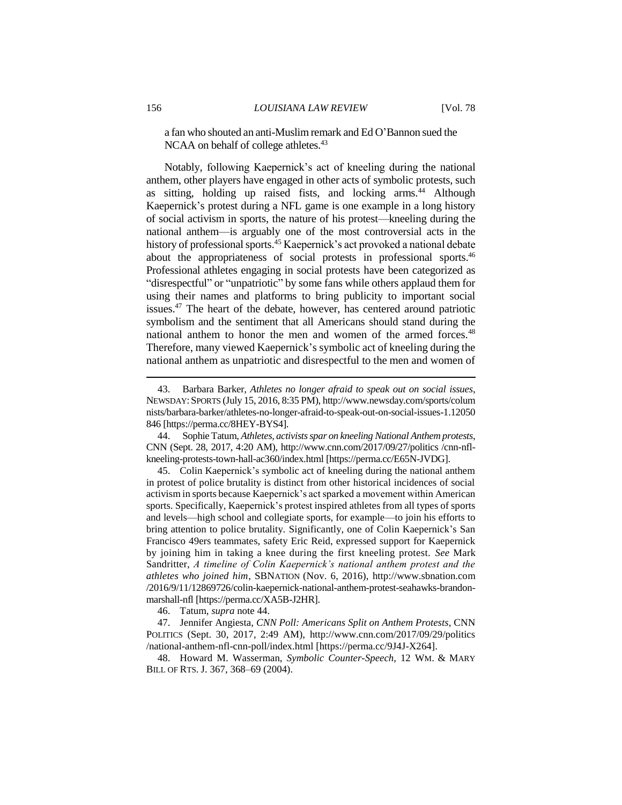a fan who shouted an anti-Muslim remark and Ed O'Bannon sued the NCAA on behalf of college athletes.<sup>43</sup>

Notably, following Kaepernick's act of kneeling during the national anthem, other players have engaged in other acts of symbolic protests, such as sitting, holding up raised fists, and locking arms.<sup>44</sup> Although Kaepernick's protest during a NFL game is one example in a long history of social activism in sports, the nature of his protest—kneeling during the national anthem—is arguably one of the most controversial acts in the history of professional sports.<sup>45</sup> Kaepernick's act provoked a national debate about the appropriateness of social protests in professional sports.<sup>46</sup> Professional athletes engaging in social protests have been categorized as "disrespectful" or "unpatriotic" by some fans while others applaud them for using their names and platforms to bring publicity to important social issues.<sup>47</sup> The heart of the debate, however, has centered around patriotic symbolism and the sentiment that all Americans should stand during the national anthem to honor the men and women of the armed forces.<sup>48</sup> Therefore, many viewed Kaepernick's symbolic act of kneeling during the national anthem as unpatriotic and disrespectful to the men and women of

45. Colin Kaepernick's symbolic act of kneeling during the national anthem in protest of police brutality is distinct from other historical incidences of social activism in sports because Kaepernick's act sparked a movement within American sports. Specifically, Kaepernick's protest inspired athletes from all types of sports and levels—high school and collegiate sports, for example—to join his efforts to bring attention to police brutality. Significantly, one of Colin Kaepernick's San Francisco 49ers teammates, safety Eric Reid, expressed support for Kaepernick by joining him in taking a knee during the first kneeling protest. *See* Mark Sandritter, *A timeline of Colin Kaepernick's national anthem protest and the athletes who joined him*, SBNATION (Nov. 6, 2016), http://www.sbnation.com /2016/9/11/12869726/colin-kaepernick-national-anthem-protest-seahawks-brandonmarshall-nfl [https://perma.cc/XA5B-J2HR].

46. Tatum, *supra* note 44.

47. Jennifer Angiesta, *CNN Poll: Americans Split on Anthem Protests*, CNN POLITICS (Sept. 30, 2017, 2:49 AM), http://www.cnn.com/2017/09/29/politics /national-anthem-nfl-cnn-poll/index.html [https://perma.cc/9J4J-X264].

48. Howard M. Wasserman, *Symbolic Counter-Speech*, 12 WM. & MARY BILL OF RTS. J. 367, 368–69 (2004).

<sup>43.</sup> Barbara Barker, *Athletes no longer afraid to speak out on social issues*, NEWSDAY:SPORTS (July 15, 2016, 8:35 PM), http://www.newsday.com/sports/colum nists/barbara-barker/athletes-no-longer-afraid-to-speak-out-on-social-issues-1.12050 846 [https://perma.cc/8HEY-BYS4].

<sup>44.</sup> Sophie Tatum, *Athletes, activists spar on kneeling National Anthem protests*, CNN (Sept. 28, 2017, 4:20 AM), http://www.cnn.com/2017/09/27/politics /cnn-nflkneeling-protests-town-hall-ac360/index.html [https://perma.cc/E65N-JVDG].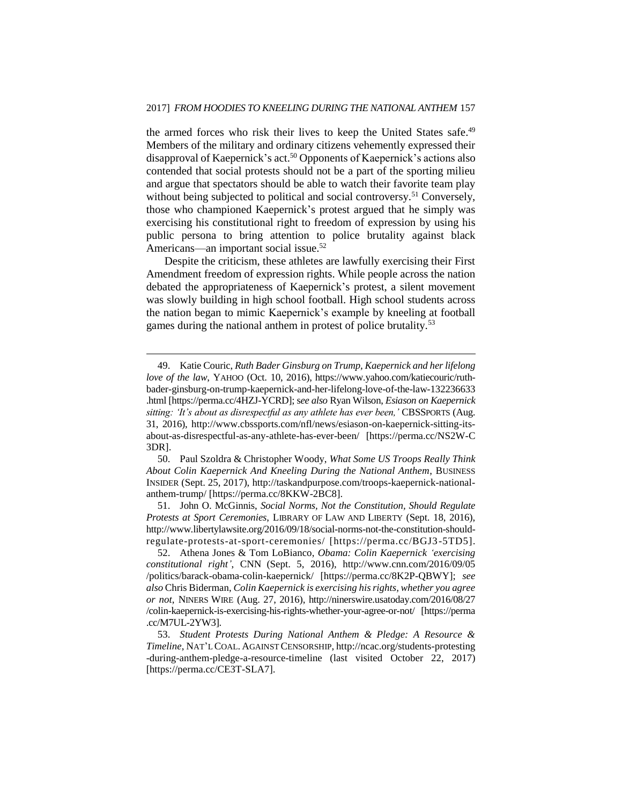the armed forces who risk their lives to keep the United States safe.<sup>49</sup> Members of the military and ordinary citizens vehemently expressed their disapproval of Kaepernick's act.<sup>50</sup> Opponents of Kaepernick's actions also contended that social protests should not be a part of the sporting milieu and argue that spectators should be able to watch their favorite team play without being subjected to political and social controversy.<sup>51</sup> Conversely, those who championed Kaepernick's protest argued that he simply was exercising his constitutional right to freedom of expression by using his public persona to bring attention to police brutality against black Americans—an important social issue.<sup>52</sup>

Despite the criticism, these athletes are lawfully exercising their First Amendment freedom of expression rights. While people across the nation debated the appropriateness of Kaepernick's protest, a silent movement was slowly building in high school football. High school students across the nation began to mimic Kaepernick's example by kneeling at football games during the national anthem in protest of police brutality.<sup>53</sup>

 $\overline{a}$ 

50. Paul Szoldra & Christopher Woody, *What Some US Troops Really Think About Colin Kaepernick And Kneeling During the National Anthem*, BUSINESS INSIDER (Sept. 25, 2017), http://taskandpurpose.com/troops-kaepernick-nationalanthem-trump/ [https://perma.cc/8KKW-2BC8].

51. John O. McGinnis, *Social Norms, Not the Constitution, Should Regulate Protests at Sport Ceremonies*, LIBRARY OF LAW AND LIBERTY (Sept. 18, 2016), http://www.libertylawsite.org/2016/09/18/social-norms-not-the-constitution-shouldregulate-protests-at-sport-ceremonies/ [https://perma.cc/BGJ3-5TD5].

<sup>49.</sup> Katie Couric, *Ruth Bader Ginsburg on Trump, Kaepernick and her lifelong love of the law*, YAHOO (Oct. 10, 2016), https://www.yahoo.com/katiecouric/ruthbader-ginsburg-on-trump-kaepernick-and-her-lifelong-love-of-the-law-132236633 .html [https://perma.cc/4HZJ-YCRD]; s*ee also* Ryan Wilson, *Esiason on Kaepernick sitting: 'It's about as disrespectful as any athlete has ever been,'* CBSSPORTS (Aug. 31, 2016), http://www.cbssports.com/nfl/news/esiason-on-kaepernick-sitting-itsabout-as-disrespectful-as-any-athlete-has-ever-been/ [https://perma.cc/NS2W-C 3DR].

<sup>52.</sup> Athena Jones & Tom LoBianco, *Obama: Colin Kaepernick 'exercising constitutional right'*, CNN (Sept. 5, 2016), http://www.cnn.com/2016/09/05 /politics/barack-obama-colin-kaepernick/ [https://perma.cc/8K2P-QBWY]; *see also* Chris Biderman, *Colin Kaepernick is exercising his rights, whether you agree or not*, NINERS WIRE (Aug. 27, 2016), http://ninerswire.usatoday.com/2016/08/27 /colin-kaepernick-is-exercising-his-rights-whether-your-agree-or-not/ [https://perma .cc/M7UL-2YW3].

<sup>53.</sup> *Student Protests During National Anthem & Pledge: A Resource & Timeline*, NAT'L COAL. AGAINST CENSORSHIP, http://ncac.org/students-protesting -during-anthem-pledge-a-resource-timeline (last visited October 22, 2017) [https://perma.cc/CE3T-SLA7].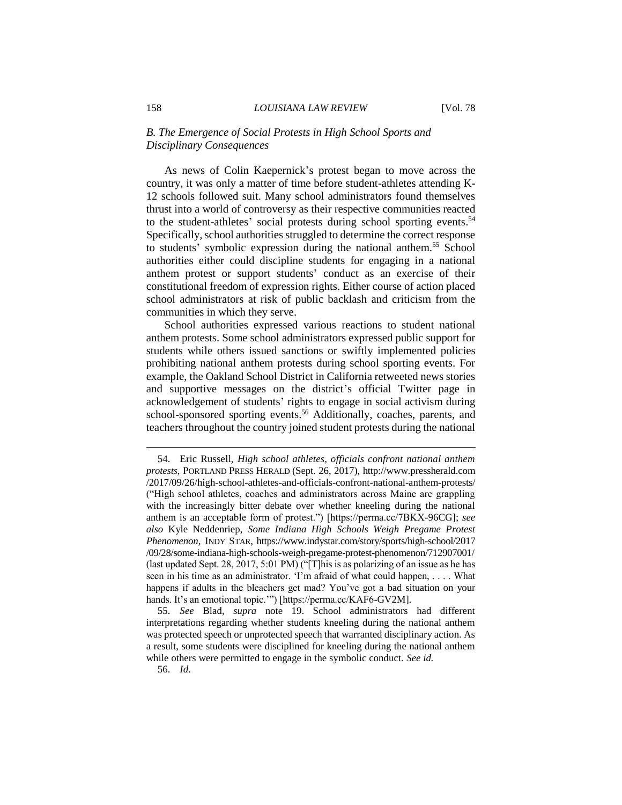## *B. The Emergence of Social Protests in High School Sports and Disciplinary Consequences*

As news of Colin Kaepernick's protest began to move across the country, it was only a matter of time before student-athletes attending K-12 schools followed suit. Many school administrators found themselves thrust into a world of controversy as their respective communities reacted to the student-athletes' social protests during school sporting events.<sup>54</sup> Specifically, school authorities struggled to determine the correct response to students' symbolic expression during the national anthem.<sup>55</sup> School authorities either could discipline students for engaging in a national anthem protest or support students' conduct as an exercise of their constitutional freedom of expression rights. Either course of action placed school administrators at risk of public backlash and criticism from the communities in which they serve.

School authorities expressed various reactions to student national anthem protests. Some school administrators expressed public support for students while others issued sanctions or swiftly implemented policies prohibiting national anthem protests during school sporting events. For example, the Oakland School District in California retweeted news stories and supportive messages on the district's official Twitter page in acknowledgement of students' rights to engage in social activism during school-sponsored sporting events.<sup>56</sup> Additionally, coaches, parents, and teachers throughout the country joined student protests during the national

56. *Id*.

<sup>54.</sup> Eric Russell, *High school athletes, officials confront national anthem protests*, PORTLAND PRESS HERALD (Sept. 26, 2017), http://www.pressherald.com /2017/09/26/high-school-athletes-and-officials-confront-national-anthem-protests/ ("High school athletes, coaches and administrators across Maine are grappling with the increasingly bitter debate over whether kneeling during the national anthem is an acceptable form of protest.") [https://perma.cc/7BKX-96CG]; *see also* Kyle Neddenriep, *Some Indiana High Schools Weigh Pregame Protest Phenomenon*, INDY STAR, https://www.indystar.com/story/sports/high-school/2017 /09/28/some-indiana-high-schools-weigh-pregame-protest-phenomenon/712907001/ (last updated Sept. 28, 2017, 5:01 PM) ("[T]his is as polarizing of an issue as he has seen in his time as an administrator. 'I'm afraid of what could happen, . . . . What happens if adults in the bleachers get mad? You've got a bad situation on your hands. It's an emotional topic.'") [https://perma.cc/KAF6-GV2M].

<sup>55.</sup> *See* Blad, *supra* note 19. School administrators had different interpretations regarding whether students kneeling during the national anthem was protected speech or unprotected speech that warranted disciplinary action. As a result, some students were disciplined for kneeling during the national anthem while others were permitted to engage in the symbolic conduct. *See id.*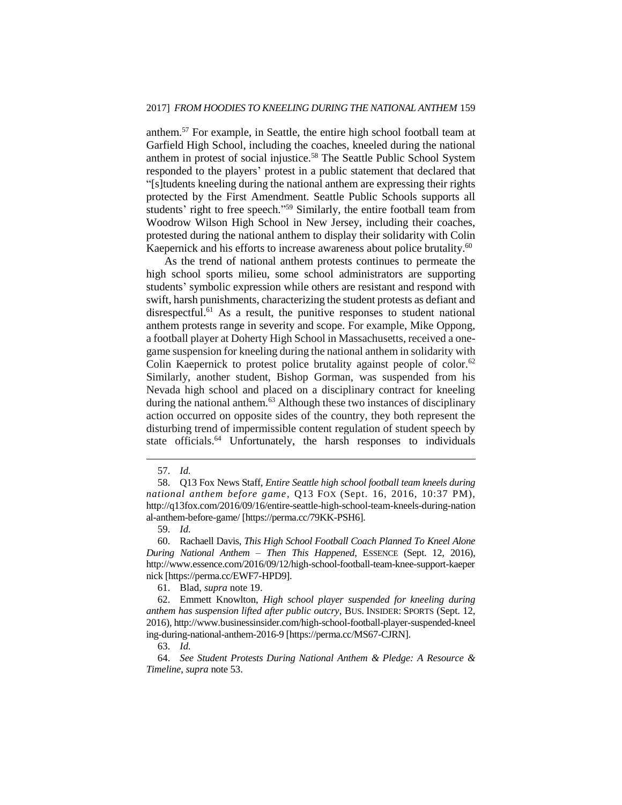anthem.<sup>57</sup> For example, in Seattle, the entire high school football team at Garfield High School, including the coaches, kneeled during the national anthem in protest of social injustice.<sup>58</sup> The Seattle Public School System responded to the players' protest in a public statement that declared that "[s]tudents kneeling during the national anthem are expressing their rights protected by the First Amendment. Seattle Public Schools supports all students' right to free speech."<sup>59</sup> Similarly, the entire football team from Woodrow Wilson High School in New Jersey, including their coaches, protested during the national anthem to display their solidarity with Colin Kaepernick and his efforts to increase awareness about police brutality.<sup>60</sup>

As the trend of national anthem protests continues to permeate the high school sports milieu, some school administrators are supporting students' symbolic expression while others are resistant and respond with swift, harsh punishments, characterizing the student protests as defiant and disrespectful.<sup>61</sup> As a result, the punitive responses to student national anthem protests range in severity and scope. For example, Mike Oppong, a football player at Doherty High School in Massachusetts, received a onegame suspension for kneeling during the national anthem in solidarity with Colin Kaepernick to protest police brutality against people of color.<sup>62</sup> Similarly, another student, Bishop Gorman, was suspended from his Nevada high school and placed on a disciplinary contract for kneeling during the national anthem.<sup>63</sup> Although these two instances of disciplinary action occurred on opposite sides of the country, they both represent the disturbing trend of impermissible content regulation of student speech by state officials.<sup>64</sup> Unfortunately, the harsh responses to individuals

 $\overline{a}$ 

61. Blad, *supra* note 19.

62. Emmett Knowlton, *High school player suspended for kneeling during anthem has suspension lifted after public outcry*, BUS. INSIDER: SPORTS (Sept. 12, 2016), http://www.businessinsider.com/high-school-football-player-suspended-kneel ing-during-national-anthem-2016-9 [https://perma.cc/MS67-CJRN].

63. *Id.*

64. *See Student Protests During National Anthem & Pledge: A Resource & Timeline*, *supra* note 53.

<sup>57.</sup> *Id.*

<sup>58.</sup> Q13 Fox News Staff, *Entire Seattle high school football team kneels during national anthem before game*, Q13 FOX (Sept. 16, 2016, 10:37 PM), http://q13fox.com/2016/09/16/entire-seattle-high-school-team-kneels-during-nation al-anthem-before-game/ [https://perma.cc/79KK-PSH6].

<sup>59.</sup> *Id.*

<sup>60.</sup> Rachaell Davis, *This High School Football Coach Planned To Kneel Alone During National Anthem – Then This Happened*, ESSENCE (Sept. 12, 2016), http://www.essence.com/2016/09/12/high-school-football-team-knee-support-kaeper nick [https://perma.cc/EWF7-HPD9].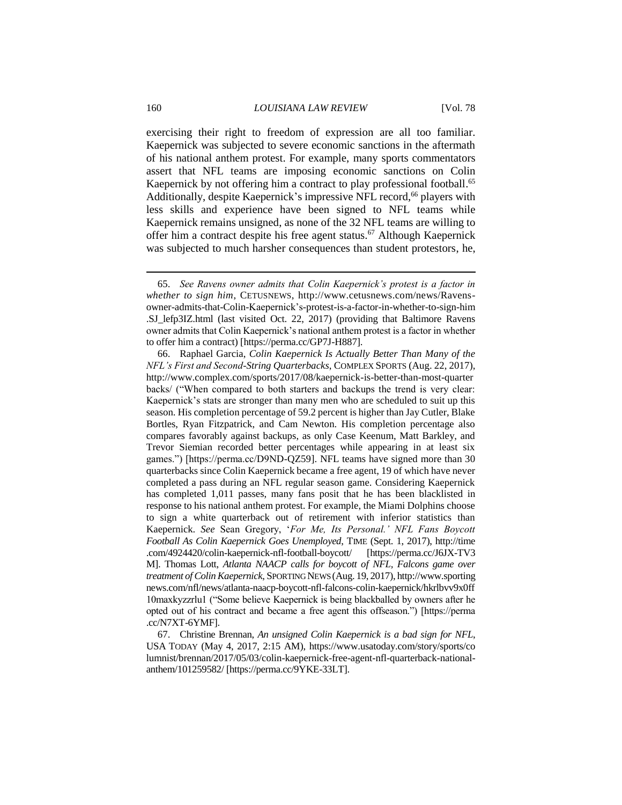exercising their right to freedom of expression are all too familiar. Kaepernick was subjected to severe economic sanctions in the aftermath of his national anthem protest. For example, many sports commentators assert that NFL teams are imposing economic sanctions on Colin Kaepernick by not offering him a contract to play professional football.<sup>65</sup> Additionally, despite Kaepernick's impressive NFL record,<sup>66</sup> players with less skills and experience have been signed to NFL teams while Kaepernick remains unsigned, as none of the 32 NFL teams are willing to offer him a contract despite his free agent status.<sup>67</sup> Although Kaepernick was subjected to much harsher consequences than student protestors, he,

<sup>65.</sup> *See Ravens owner admits that Colin Kaepernick's protest is a factor in whether to sign him*, CETUSNEWS, http://www.cetusnews.com/news/Ravensowner-admits-that-Colin-Kaepernick's-protest-is-a-factor-in-whether-to-sign-him .SJ\_lefp3IZ.html (last visited Oct. 22, 2017) (providing that Baltimore Ravens owner admits that Colin Kaepernick's national anthem protest is a factor in whether to offer him a contract) [https://perma.cc/GP7J-H887].

<sup>66.</sup> Raphael Garcia, *Colin Kaepernick Is Actually Better Than Many of the NFL's First and Second-String Quarterbacks*, COMPLEX SPORTS (Aug. 22, 2017), http://www.complex.com/sports/2017/08/kaepernick-is-better-than-most-quarter backs/ ("When compared to both starters and backups the trend is very clear: Kaepernick's stats are stronger than many men who are scheduled to suit up this season. His completion percentage of 59.2 percent is higher than Jay Cutler, Blake Bortles, Ryan Fitzpatrick, and Cam Newton. His completion percentage also compares favorably against backups, as only Case Keenum, Matt Barkley, and Trevor Siemian recorded better percentages while appearing in at least six games.") [https://perma.cc/D9ND-QZ59]. NFL teams have signed more than 30 quarterbacks since Colin Kaepernick became a free agent, 19 of which have never completed a pass during an NFL regular season game. Considering Kaepernick has completed 1,011 passes, many fans posit that he has been blacklisted in response to his national anthem protest. For example, the Miami Dolphins choose to sign a white quarterback out of retirement with inferior statistics than Kaepernick. *See* Sean Gregory, '*For Me, Its Personal.' NFL Fans Boycott Football As Colin Kaepernick Goes Unemployed*, TIME (Sept. 1, 2017), http://time .com/4924420/colin-kaepernick-nfl-football-boycott/ [https://perma.cc/J6JX-TV3 M]. Thomas Lott, *Atlanta NAACP calls for boycott of NFL, Falcons game over treatment of Colin Kaepernick*, SPORTING NEWS (Aug. 19, 2017), http://www.sporting news.com/nfl/news/atlanta-naacp-boycott-nfl-falcons-colin-kaepernick/hkrlbvv9x0ff 10maxkyzzrlu1 ("Some believe Kaepernick is being blackballed by owners after he opted out of his contract and became a free agent this offseason.") [https://perma .cc/N7XT-6YMF].

<sup>67.</sup> Christine Brennan, *An unsigned Colin Kaepernick is a bad sign for NFL*, USA TODAY (May 4, 2017, 2:15 AM), https://www.usatoday.com/story/sports/co lumnist/brennan/2017/05/03/colin-kaepernick-free-agent-nfl-quarterback-nationalanthem/101259582/ [https://perma.cc/9YKE-33LT].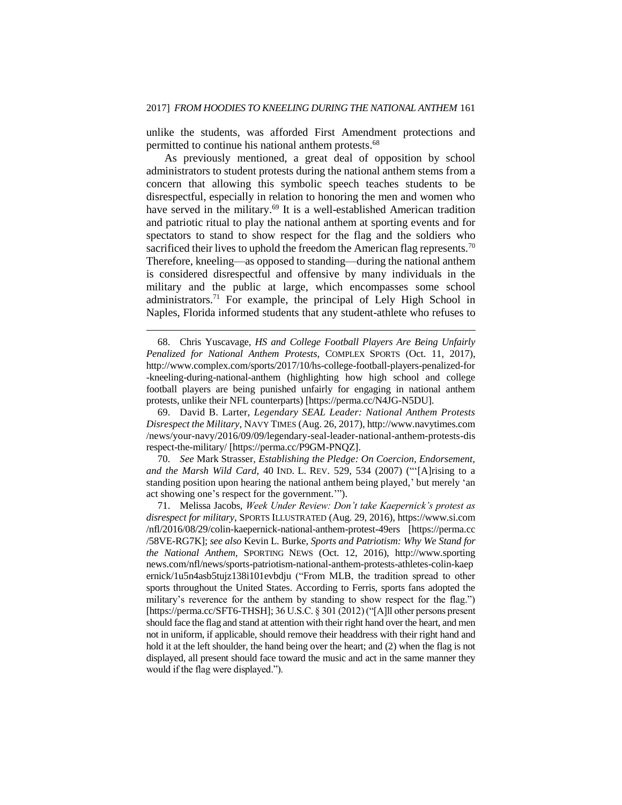unlike the students, was afforded First Amendment protections and permitted to continue his national anthem protests.<sup>68</sup>

As previously mentioned, a great deal of opposition by school administrators to student protests during the national anthem stems from a concern that allowing this symbolic speech teaches students to be disrespectful, especially in relation to honoring the men and women who have served in the military.<sup>69</sup> It is a well-established American tradition and patriotic ritual to play the national anthem at sporting events and for spectators to stand to show respect for the flag and the soldiers who sacrificed their lives to uphold the freedom the American flag represents.<sup>70</sup> Therefore, kneeling—as opposed to standing—during the national anthem is considered disrespectful and offensive by many individuals in the military and the public at large, which encompasses some school administrators.<sup>71</sup> For example, the principal of Lely High School in Naples, Florida informed students that any student-athlete who refuses to

 $\overline{a}$ 

69. David B. Larter, *Legendary SEAL Leader: National Anthem Protests Disrespect the Military*, NAVY TIMES (Aug. 26, 2017), http://www.navytimes.com /news/your-navy/2016/09/09/legendary-seal-leader-national-anthem-protests-dis respect-the-military/ [https://perma.cc/P9GM-PNQZ].

70. *See* Mark Strasser, *Establishing the Pledge: On Coercion, Endorsement, and the Marsh Wild Card*, 40 IND. L. REV. 529, 534 (2007) ("'[A]rising to a standing position upon hearing the national anthem being played,' but merely 'an act showing one's respect for the government.'").

71. Melissa Jacobs, *Week Under Review: Don't take Kaepernick's protest as disrespect for military*, SPORTS ILLUSTRATED (Aug. 29, 2016), https://www.si.com /nfl/2016/08/29/colin-kaepernick-national-anthem-protest-49ers [https://perma.cc /58VE-RG7K]; *see also* Kevin L. Burke, *Sports and Patriotism: Why We Stand for the National Anthem*, SPORTING NEWS (Oct. 12, 2016), http://www.sporting news.com/nfl/news/sports-patriotism-national-anthem-protests-athletes-colin-kaep ernick/1u5n4asb5tujz138i101evbdju ("From MLB, the tradition spread to other sports throughout the United States. According to Ferris, sports fans adopted the military's reverence for the anthem by standing to show respect for the flag.") [https://perma.cc/SFT6-THSH]; 36 U.S.C. § 301 (2012) ("[A]ll other persons present should face the flag and stand at attention with their right hand over the heart, and men not in uniform, if applicable, should remove their headdress with their right hand and hold it at the left shoulder, the hand being over the heart; and (2) when the flag is not displayed, all present should face toward the music and act in the same manner they would if the flag were displayed.").

<sup>68.</sup> Chris Yuscavage, *HS and College Football Players Are Being Unfairly Penalized for National Anthem Protests*, COMPLEX SPORTS (Oct. 11, 2017), http://www.complex.com/sports/2017/10/hs-college-football-players-penalized-for -kneeling-during-national-anthem (highlighting how high school and college football players are being punished unfairly for engaging in national anthem protests, unlike their NFL counterparts) [https://perma.cc/N4JG-N5DU].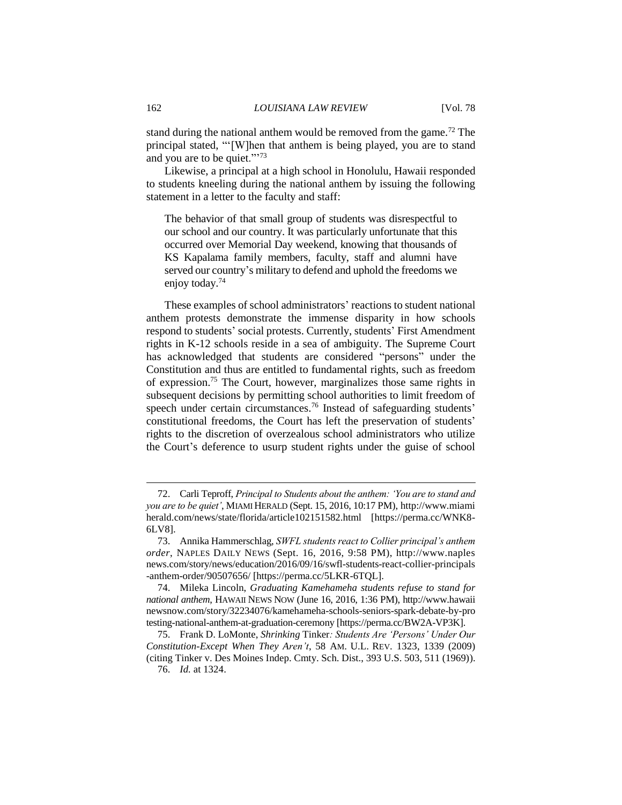stand during the national anthem would be removed from the game.<sup>72</sup> The principal stated, "'[W]hen that anthem is being played, you are to stand and you are to be quiet."<sup>73</sup>

Likewise, a principal at a high school in Honolulu, Hawaii responded to students kneeling during the national anthem by issuing the following statement in a letter to the faculty and staff:

The behavior of that small group of students was disrespectful to our school and our country. It was particularly unfortunate that this occurred over Memorial Day weekend, knowing that thousands of KS Kapalama family members, faculty, staff and alumni have served our country's military to defend and uphold the freedoms we enjoy today.<sup>74</sup>

These examples of school administrators' reactions to student national anthem protests demonstrate the immense disparity in how schools respond to students' social protests. Currently, students' First Amendment rights in K-12 schools reside in a sea of ambiguity. The Supreme Court has acknowledged that students are considered "persons" under the Constitution and thus are entitled to fundamental rights, such as freedom of expression. <sup>75</sup> The Court, however, marginalizes those same rights in subsequent decisions by permitting school authorities to limit freedom of speech under certain circumstances.<sup>76</sup> Instead of safeguarding students' constitutional freedoms, the Court has left the preservation of students' rights to the discretion of overzealous school administrators who utilize the Court's deference to usurp student rights under the guise of school

<sup>72.</sup> Carli Teproff, *Principal to Students about the anthem: 'You are to stand and you are to be quiet'*, MIAMI HERALD (Sept. 15, 2016, 10:17 PM), http://www.miami herald.com/news/state/florida/article102151582.html [https://perma.cc/WNK8- 6LV8].

<sup>73.</sup> Annika Hammerschlag, *SWFL students react to Collier principal's anthem order*, NAPLES DAILY NEWS (Sept. 16, 2016, 9:58 PM), http://www.naples news.com/story/news/education/2016/09/16/swfl-students-react-collier-principals -anthem-order/90507656/ [https://perma.cc/5LKR-6TQL].

<sup>74.</sup> Mileka Lincoln, *Graduating Kamehameha students refuse to stand for national anthem*, HAWAII NEWS NOW (June 16, 2016, 1:36 PM), http://www.hawaii newsnow.com/story/32234076/kamehameha-schools-seniors-spark-debate-by-pro testing-national-anthem-at-graduation-ceremony [https://perma.cc/BW2A-VP3K].

<sup>75.</sup> Frank D. LoMonte, *Shrinking* Tinker*: Students Are 'Persons' Under Our Constitution-Except When They Aren't*, 58 AM. U.L. REV. 1323, 1339 (2009) (citing Tinker v. Des Moines Indep. Cmty. Sch. Dist., 393 U.S. 503, 511 (1969)).

<sup>76.</sup> *Id.* at 1324.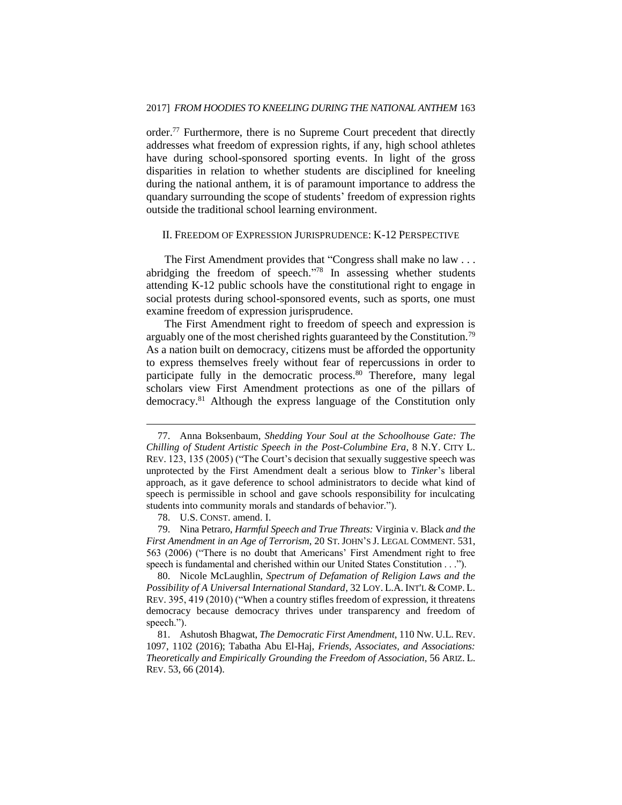order.<sup>77</sup> Furthermore, there is no Supreme Court precedent that directly addresses what freedom of expression rights, if any, high school athletes have during school-sponsored sporting events. In light of the gross disparities in relation to whether students are disciplined for kneeling during the national anthem, it is of paramount importance to address the quandary surrounding the scope of students' freedom of expression rights outside the traditional school learning environment.

#### II. FREEDOM OF EXPRESSION JURISPRUDENCE: K-12 PERSPECTIVE

The First Amendment provides that "Congress shall make no law . . . abridging the freedom of speech."<sup>78</sup> In assessing whether students attending K-12 public schools have the constitutional right to engage in social protests during school-sponsored events, such as sports, one must examine freedom of expression jurisprudence.

The First Amendment right to freedom of speech and expression is arguably one of the most cherished rights guaranteed by the Constitution.<sup>79</sup> As a nation built on democracy, citizens must be afforded the opportunity to express themselves freely without fear of repercussions in order to participate fully in the democratic process.<sup>80</sup> Therefore, many legal scholars view First Amendment protections as one of the pillars of democracy.<sup>81</sup> Although the express language of the Constitution only

 $\overline{a}$ 

80. Nicole McLaughlin, *Spectrum of Defamation of Religion Laws and the Possibility of A Universal International Standard*, 32 LOY. L.A. INT'L & COMP. L. REV. 395, 419 (2010) ("When a country stifles freedom of expression, it threatens democracy because democracy thrives under transparency and freedom of speech.").

81. Ashutosh Bhagwat, *The Democratic First Amendment*, 110 NW. U.L. REV. 1097, 1102 (2016); Tabatha Abu El-Haj, *Friends, Associates, and Associations: Theoretically and Empirically Grounding the Freedom of Association*, 56 ARIZ. L. REV. 53, 66 (2014).

<sup>77.</sup> Anna Boksenbaum, *Shedding Your Soul at the Schoolhouse Gate: The Chilling of Student Artistic Speech in the Post-Columbine Era*, 8 N.Y. CITY L. REV. 123, 135 (2005) ("The Court's decision that sexually suggestive speech was unprotected by the First Amendment dealt a serious blow to *Tinker*'s liberal approach, as it gave deference to school administrators to decide what kind of speech is permissible in school and gave schools responsibility for inculcating students into community morals and standards of behavior.").

<sup>78.</sup> U.S. CONST. amend. I.

<sup>79.</sup> Nina Petraro, *Harmful Speech and True Threats:* Virginia v. Black *and the First Amendment in an Age of Terrorism*, 20 ST. JOHN'S J. LEGAL COMMENT. 531, 563 (2006) ("There is no doubt that Americans' First Amendment right to free speech is fundamental and cherished within our United States Constitution . . .").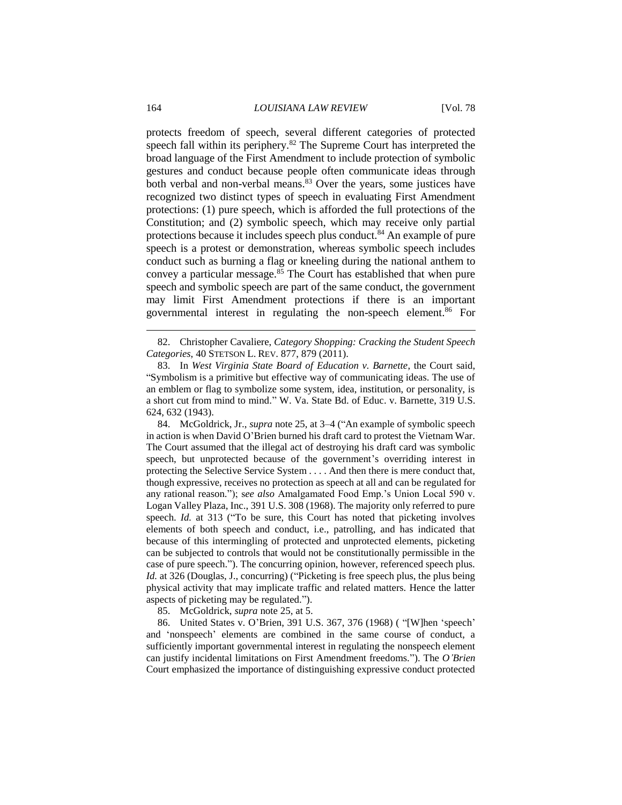protects freedom of speech, several different categories of protected speech fall within its periphery.<sup>82</sup> The Supreme Court has interpreted the broad language of the First Amendment to include protection of symbolic gestures and conduct because people often communicate ideas through both verbal and non-verbal means.<sup>83</sup> Over the years, some justices have recognized two distinct types of speech in evaluating First Amendment protections: (1) pure speech, which is afforded the full protections of the Constitution; and (2) symbolic speech, which may receive only partial protections because it includes speech plus conduct.<sup>84</sup> An example of pure speech is a protest or demonstration, whereas symbolic speech includes conduct such as burning a flag or kneeling during the national anthem to convey a particular message.<sup>85</sup> The Court has established that when pure speech and symbolic speech are part of the same conduct, the government may limit First Amendment protections if there is an important governmental interest in regulating the non-speech element.<sup>86</sup> For

84. McGoldrick, Jr., *supra* note 25, at 3–4 ("An example of symbolic speech in action is when David O'Brien burned his draft card to protest the Vietnam War. The Court assumed that the illegal act of destroying his draft card was symbolic speech, but unprotected because of the government's overriding interest in protecting the Selective Service System . . . . And then there is mere conduct that, though expressive, receives no protection as speech at all and can be regulated for any rational reason."); s*ee also* Amalgamated Food Emp.'s Union Local 590 v. Logan Valley Plaza, Inc., 391 U.S. 308 (1968). The majority only referred to pure speech. *Id.* at 313 ("To be sure, this Court has noted that picketing involves elements of both speech and conduct, i.e., patrolling, and has indicated that because of this intermingling of protected and unprotected elements, picketing can be subjected to controls that would not be constitutionally permissible in the case of pure speech."). The concurring opinion, however, referenced speech plus. *Id.* at 326 (Douglas, J., concurring) ("Picketing is free speech plus, the plus being physical activity that may implicate traffic and related matters. Hence the latter aspects of picketing may be regulated.").

85. McGoldrick, *supra* note 25, at 5.

86. United States v. O'Brien, 391 U.S. 367, 376 (1968) ( "[W]hen 'speech' and 'nonspeech' elements are combined in the same course of conduct, a sufficiently important governmental interest in regulating the nonspeech element can justify incidental limitations on First Amendment freedoms."). The *O'Brien* Court emphasized the importance of distinguishing expressive conduct protected

<sup>82.</sup> Christopher Cavaliere, *Category Shopping: Cracking the Student Speech Categories*, 40 STETSON L. REV. 877, 879 (2011).

<sup>83.</sup> In *West Virginia State Board of Education v. Barnette*, the Court said, "Symbolism is a primitive but effective way of communicating ideas. The use of an emblem or flag to symbolize some system, idea, institution, or personality, is a short cut from mind to mind." W. Va. State Bd. of Educ. v. Barnette, 319 U.S. 624, 632 (1943).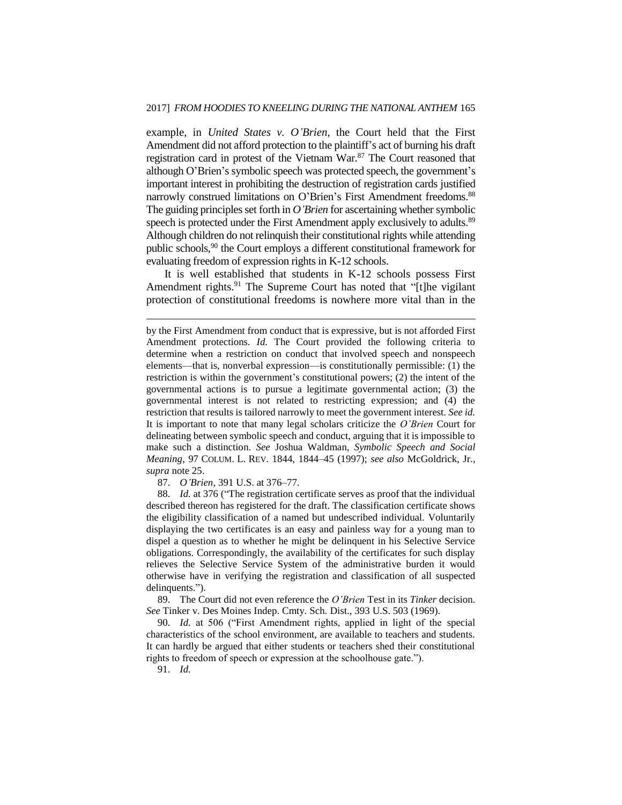example, in *United States v. O'Brien*, the Court held that the First Amendment did not afford protection to the plaintiff's act of burning his draft registration card in protest of the Vietnam War.<sup>87</sup> The Court reasoned that although O'Brien's symbolic speech was protected speech, the government's important interest in prohibiting the destruction of registration cards justified narrowly construed limitations on O'Brien's First Amendment freedoms.<sup>88</sup> The guiding principles set forth in *O'Brien* for ascertaining whether symbolic speech is protected under the First Amendment apply exclusively to adults.<sup>89</sup> Although children do not relinquish their constitutional rights while attending public schools,<sup>90</sup> the Court employs a different constitutional framework for evaluating freedom of expression rights in K-12 schools.

It is well established that students in K-12 schools possess First Amendment rights.<sup>91</sup> The Supreme Court has noted that "[t]he vigilant protection of constitutional freedoms is nowhere more vital than in the

87. *O'Brien*, 391 U.S. at 376–77.

88. *Id.* at 376 ("The registration certificate serves as proof that the individual described thereon has registered for the draft. The classification certificate shows the eligibility classification of a named but undescribed individual. Voluntarily displaying the two certificates is an easy and painless way for a young man to dispel a question as to whether he might be delinquent in his Selective Service obligations. Correspondingly, the availability of the certificates for such display relieves the Selective Service System of the administrative burden it would otherwise have in verifying the registration and classification of all suspected delinquents.").

89. The Court did not even reference the *O'Brien* Test in its *Tinker* decision. *See* Tinker v. Des Moines Indep. Cmty. Sch. Dist., 393 U.S. 503 (1969).

90. *Id.* at 506 ("First Amendment rights, applied in light of the special characteristics of the school environment, are available to teachers and students. It can hardly be argued that either students or teachers shed their constitutional rights to freedom of speech or expression at the schoolhouse gate.").

91. *Id.*

by the First Amendment from conduct that is expressive, but is not afforded First Amendment protections. *Id.* The Court provided the following criteria to determine when a restriction on conduct that involved speech and nonspeech elements—that is, nonverbal expression—is constitutionally permissible: (1) the restriction is within the government's constitutional powers; (2) the intent of the governmental actions is to pursue a legitimate governmental action; (3) the governmental interest is not related to restricting expression; and (4) the restriction that results is tailored narrowly to meet the government interest. *See id.*  It is important to note that many legal scholars criticize the *O'Brien* Court for delineating between symbolic speech and conduct, arguing that it is impossible to make such a distinction. *See* Joshua Waldman, *Symbolic Speech and Social Meaning*, 97 COLUM. L. REV. 1844, 1844–45 (1997); *see also* McGoldrick, Jr., *supra* note 25.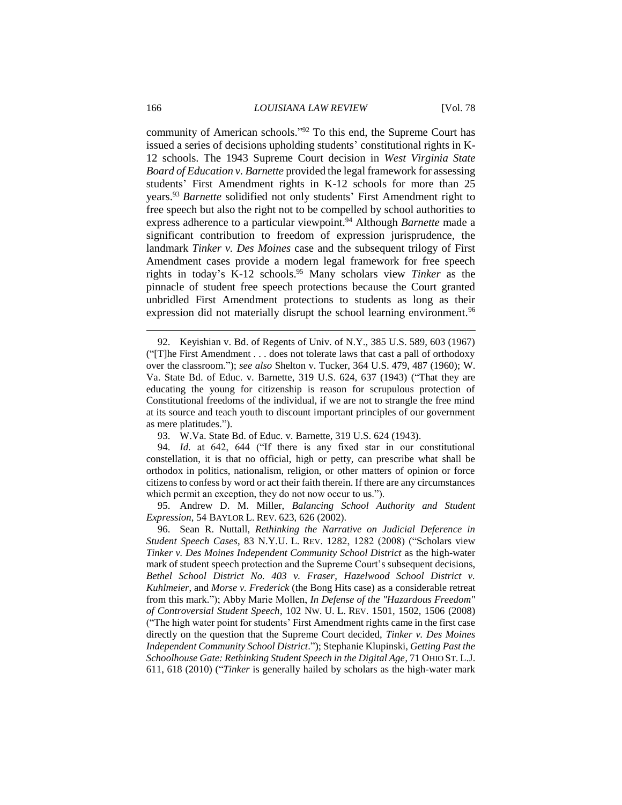community of American schools." <sup>92</sup> To this end, the Supreme Court has issued a series of decisions upholding students' constitutional rights in K-12 schools. The 1943 Supreme Court decision in *West Virginia State Board of Education v. Barnette* provided the legal framework for assessing students' First Amendment rights in K-12 schools for more than 25 years.<sup>93</sup> *Barnette* solidified not only students' First Amendment right to free speech but also the right not to be compelled by school authorities to express adherence to a particular viewpoint.<sup>94</sup> Although *Barnette* made a significant contribution to freedom of expression jurisprudence, the landmark *Tinker v. Des Moines* case and the subsequent trilogy of First Amendment cases provide a modern legal framework for free speech rights in today's K-12 schools.<sup>95</sup> Many scholars view *Tinker* as the pinnacle of student free speech protections because the Court granted unbridled First Amendment protections to students as long as their expression did not materially disrupt the school learning environment.<sup>96</sup>

95. Andrew D. M. Miller, *Balancing School Authority and Student Expression*, 54 BAYLOR L. REV. 623, 626 (2002).

96. Sean R. Nuttall, *Rethinking the Narrative on Judicial Deference in Student Speech Cases*, 83 N.Y.U. L. REV. 1282, 1282 (2008) ("Scholars view *Tinker v. Des Moines Independent Community School District* as the high-water mark of student speech protection and the Supreme Court's subsequent decisions, *Bethel School District No. 403 v. Fraser*, *Hazelwood School District v. Kuhlmeier*, and *Morse v. Frederick* (the Bong Hits case) as a considerable retreat from this mark."); Abby Marie Mollen, *In Defense of the "Hazardous Freedom" of Controversial Student Speech*, 102 NW. U. L. REV. 1501, 1502, 1506 (2008) ("The high water point for students' First Amendment rights came in the first case directly on the question that the Supreme Court decided, *Tinker v. Des Moines Independent Community School District*."); Stephanie Klupinski, *Getting Past the Schoolhouse Gate: Rethinking Student Speech in the Digital Age*, 71 OHIO ST. L.J. 611, 618 (2010) ("*Tinker* is generally hailed by scholars as the high-water mark

<sup>92.</sup> Keyishian v. Bd. of Regents of Univ. of N.Y., 385 U.S. 589, 603 (1967) ("[T]he First Amendment . . . does not tolerate laws that cast a pall of orthodoxy over the classroom."); *see also* Shelton v. Tucker, 364 U.S. 479, 487 (1960); W. Va. State Bd. of Educ. v. Barnette, 319 U.S. 624, 637 (1943) ("That they are educating the young for citizenship is reason for scrupulous protection of Constitutional freedoms of the individual, if we are not to strangle the free mind at its source and teach youth to discount important principles of our government as mere platitudes.").

<sup>93.</sup> W.Va. State Bd. of Educ. v. Barnette, 319 U.S. 624 (1943).

<sup>94.</sup> *Id.* at 642, 644 ("If there is any fixed star in our constitutional constellation, it is that no official, high or petty, can prescribe what shall be orthodox in politics, nationalism, religion, or other matters of opinion or force citizens to confess by word or act their faith therein. If there are any circumstances which permit an exception, they do not now occur to us.").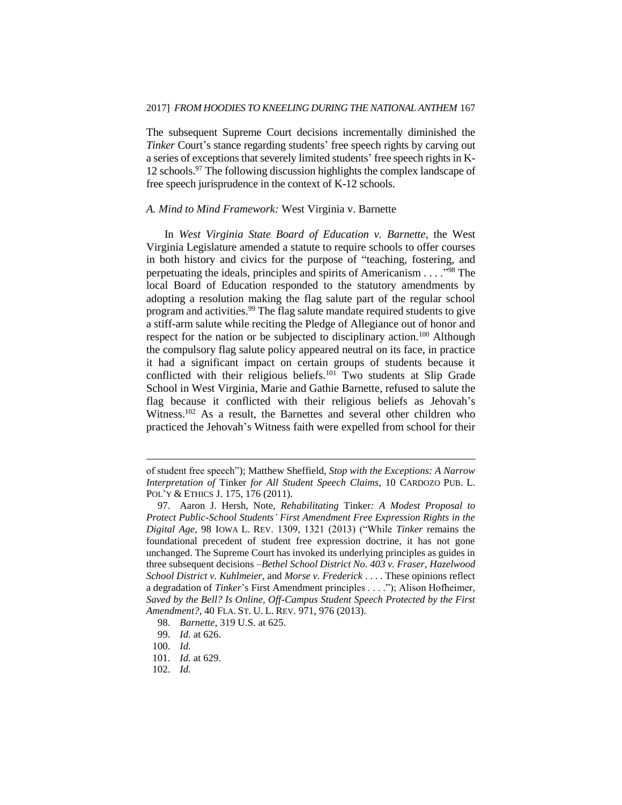The subsequent Supreme Court decisions incrementally diminished the *Tinker* Court's stance regarding students' free speech rights by carving out a series of exceptions that severely limited students' free speech rights in K-12 schools.<sup>97</sup> The following discussion highlights the complex landscape of free speech jurisprudence in the context of K-12 schools.

#### *A. Mind to Mind Framework:* West Virginia v. Barnette

In *West Virginia State Board of Education v. Barnette*, the West Virginia Legislature amended a statute to require schools to offer courses in both history and civics for the purpose of "teaching, fostering, and perpetuating the ideals, principles and spirits of Americanism . . . ." <sup>98</sup> The local Board of Education responded to the statutory amendments by adopting a resolution making the flag salute part of the regular school program and activities.<sup>99</sup> The flag salute mandate required students to give a stiff-arm salute while reciting the Pledge of Allegiance out of honor and respect for the nation or be subjected to disciplinary action.<sup>100</sup> Although the compulsory flag salute policy appeared neutral on its face, in practice it had a significant impact on certain groups of students because it conflicted with their religious beliefs.<sup>101</sup> Two students at Slip Grade School in West Virginia, Marie and Gathie Barnette, refused to salute the flag because it conflicted with their religious beliefs as Jehovah's Witness. <sup>102</sup> As a result, the Barnettes and several other children who practiced the Jehovah's Witness faith were expelled from school for their

of student free speech"); Matthew Sheffield, *Stop with the Exceptions: A Narrow Interpretation of* Tinker *for All Student Speech Claims*, 10 CARDOZO PUB. L. POL'Y & ETHICS J. 175, 176 (2011).

<sup>97.</sup> Aaron J. Hersh, Note, *Rehabilitating* Tinker*: A Modest Proposal to Protect Public-School Students' First Amendment Free Expression Rights in the Digital Age*, 98 IOWA L. REV. 1309, 1321 (2013) ("While *Tinker* remains the foundational precedent of student free expression doctrine, it has not gone unchanged. The Supreme Court has invoked its underlying principles as guides in three subsequent decisions –*Bethel School District No. 403 v. Fraser*, *Hazelwood School District v. Kuhlmeier*, and *Morse v. Frederick* . . . . These opinions reflect a degradation of *Tinker*'s First Amendment principles . . . ."); Alison Hofheimer, *Saved by the Bell? Is Online, Off-Campus Student Speech Protected by the First Amendment?*, 40 FLA. ST. U. L. REV. 971, 976 (2013).

<sup>98.</sup> *Barnette*, 319 U.S. at 625.

<sup>99.</sup> *Id.* at 626.

<sup>100.</sup> *Id.* 

<sup>101.</sup> *Id.* at 629.

<sup>102.</sup> *Id.*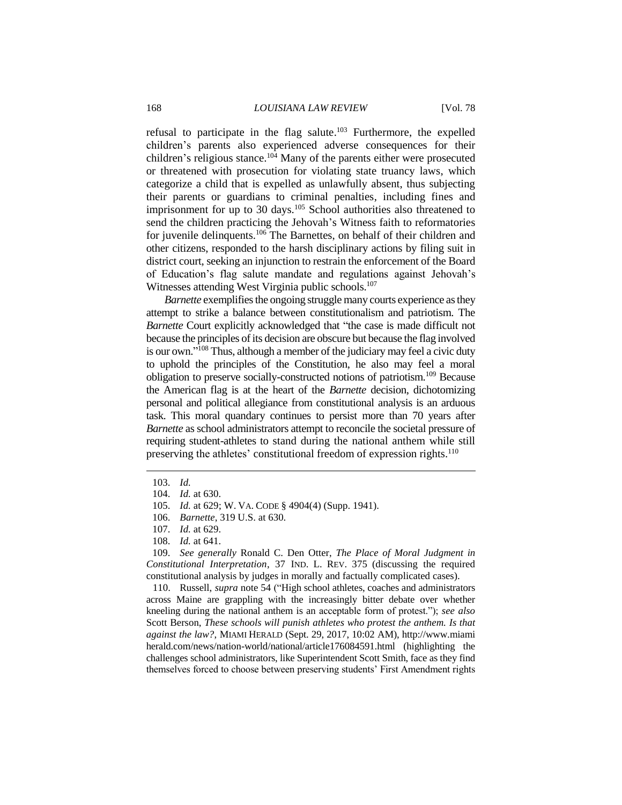refusal to participate in the flag salute.<sup>103</sup> Furthermore, the expelled children's parents also experienced adverse consequences for their children's religious stance.<sup>104</sup> Many of the parents either were prosecuted or threatened with prosecution for violating state truancy laws, which categorize a child that is expelled as unlawfully absent, thus subjecting their parents or guardians to criminal penalties, including fines and imprisonment for up to 30 days.<sup>105</sup> School authorities also threatened to send the children practicing the Jehovah's Witness faith to reformatories for juvenile delinquents.<sup>106</sup> The Barnettes, on behalf of their children and other citizens, responded to the harsh disciplinary actions by filing suit in district court, seeking an injunction to restrain the enforcement of the Board of Education's flag salute mandate and regulations against Jehovah's Witnesses attending West Virginia public schools.<sup>107</sup>

*Barnette* exemplifies the ongoing struggle many courts experience as they attempt to strike a balance between constitutionalism and patriotism. The *Barnette* Court explicitly acknowledged that "the case is made difficult not because the principles of its decision are obscure but because the flag involved is our own." <sup>108</sup> Thus, although a member of the judiciary may feel a civic duty to uphold the principles of the Constitution, he also may feel a moral obligation to preserve socially-constructed notions of patriotism.<sup>109</sup> Because the American flag is at the heart of the *Barnette* decision, dichotomizing personal and political allegiance from constitutional analysis is an arduous task. This moral quandary continues to persist more than 70 years after *Barnette* as school administrators attempt to reconcile the societal pressure of requiring student-athletes to stand during the national anthem while still preserving the athletes' constitutional freedom of expression rights.<sup>110</sup>

 $\overline{a}$ 

109. *See generally* Ronald C. Den Otter, *The Place of Moral Judgment in Constitutional Interpretation*, 37 IND. L. REV. 375 (discussing the required constitutional analysis by judges in morally and factually complicated cases).

110. Russell, *supra* note 54 ("High school athletes, coaches and administrators across Maine are grappling with the increasingly bitter debate over whether kneeling during the national anthem is an acceptable form of protest."); *see also* Scott Berson, *These schools will punish athletes who protest the anthem. Is that against the law?*, MIAMI HERALD (Sept. 29, 2017, 10:02 AM), http://www.miami herald.com/news/nation-world/national/article176084591.html (highlighting the challenges school administrators, like Superintendent Scott Smith, face as they find themselves forced to choose between preserving students' First Amendment rights

<sup>103.</sup> *Id.*

<sup>104.</sup> *Id.* at 630.

<sup>105.</sup> *Id.* at 629; W. VA. CODE § 4904(4) (Supp. 1941).

<sup>106.</sup> *Barnette*, 319 U.S. at 630.

<sup>107.</sup> *Id.* at 629.

<sup>108.</sup> *Id.* at 641.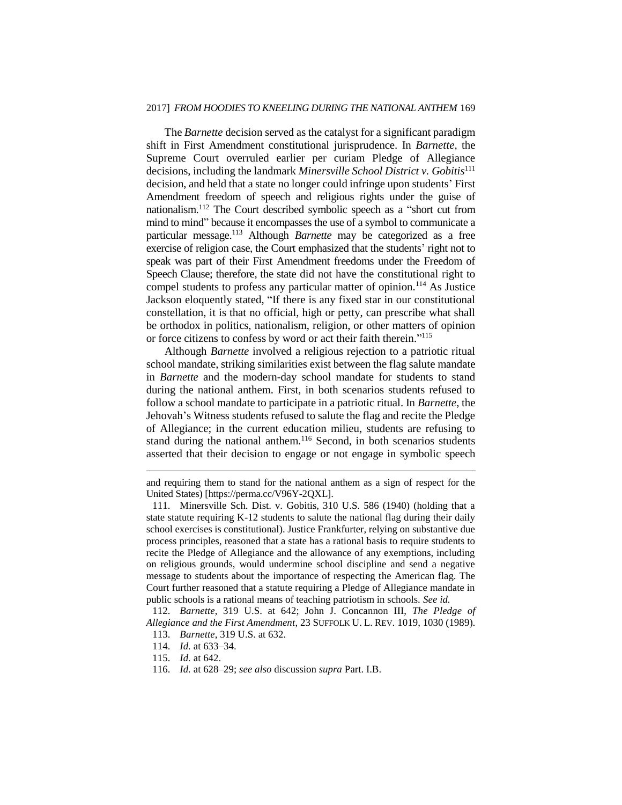#### 2017] *FROM HOODIES TO KNEELING DURING THE NATIONAL ANTHEM* 169

The *Barnette* decision served as the catalyst for a significant paradigm shift in First Amendment constitutional jurisprudence. In *Barnette*, the Supreme Court overruled earlier per curiam Pledge of Allegiance decisions, including the landmark *Minersville School District v. Gobitis*<sup>111</sup> decision, and held that a state no longer could infringe upon students' First Amendment freedom of speech and religious rights under the guise of nationalism.<sup>112</sup> The Court described symbolic speech as a "short cut from mind to mind" because it encompasses the use of a symbol to communicate a particular message.<sup>113</sup> Although *Barnette* may be categorized as a free exercise of religion case, the Court emphasized that the students' right not to speak was part of their First Amendment freedoms under the Freedom of Speech Clause; therefore, the state did not have the constitutional right to compel students to profess any particular matter of opinion.<sup>114</sup> As Justice Jackson eloquently stated, "If there is any fixed star in our constitutional constellation, it is that no official, high or petty, can prescribe what shall be orthodox in politics, nationalism, religion, or other matters of opinion or force citizens to confess by word or act their faith therein." 115

Although *Barnette* involved a religious rejection to a patriotic ritual school mandate, striking similarities exist between the flag salute mandate in *Barnette* and the modern-day school mandate for students to stand during the national anthem. First, in both scenarios students refused to follow a school mandate to participate in a patriotic ritual. In *Barnette*, the Jehovah's Witness students refused to salute the flag and recite the Pledge of Allegiance; in the current education milieu, students are refusing to stand during the national anthem.<sup>116</sup> Second, in both scenarios students asserted that their decision to engage or not engage in symbolic speech

and requiring them to stand for the national anthem as a sign of respect for the United States) [https://perma.cc/V96Y-2QXL].

<sup>111.</sup> Minersville Sch. Dist. v. Gobitis, 310 U.S. 586 (1940) (holding that a state statute requiring K-12 students to salute the national flag during their daily school exercises is constitutional). Justice Frankfurter, relying on substantive due process principles, reasoned that a state has a rational basis to require students to recite the Pledge of Allegiance and the allowance of any exemptions, including on religious grounds, would undermine school discipline and send a negative message to students about the importance of respecting the American flag. The Court further reasoned that a statute requiring a Pledge of Allegiance mandate in public schools is a rational means of teaching patriotism in schools. *See id.*

<sup>112.</sup> *Barnette*, 319 U.S. at 642; John J. Concannon III, *The Pledge of Allegiance and the First Amendment*, 23 SUFFOLK U. L. REV. 1019, 1030 (1989).

<sup>113.</sup> *Barnette*, 319 U.S. at 632.

<sup>114.</sup> *Id.* at 633–34.

<sup>115.</sup> *Id.* at 642.

<sup>116.</sup> *Id.* at 628–29; *see also* discussion *supra* Part. I.B.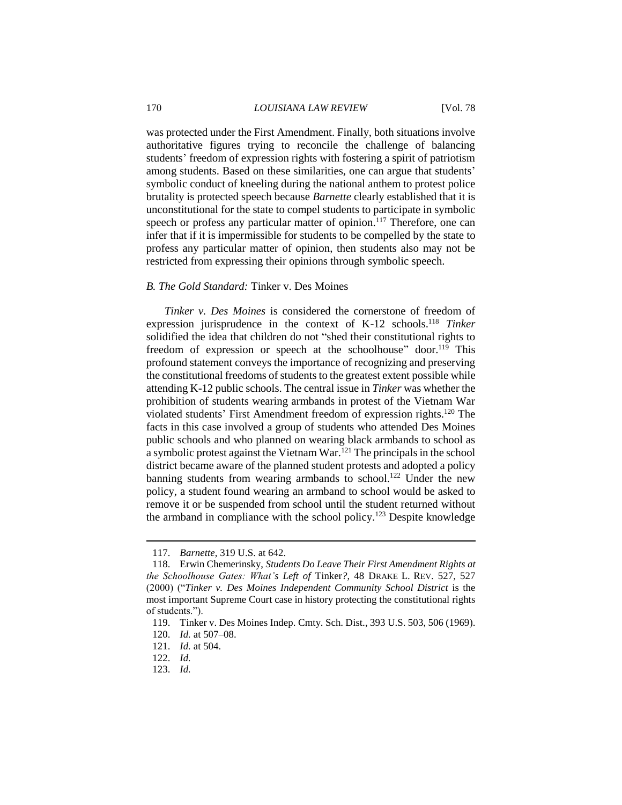was protected under the First Amendment. Finally, both situations involve authoritative figures trying to reconcile the challenge of balancing students' freedom of expression rights with fostering a spirit of patriotism among students. Based on these similarities, one can argue that students' symbolic conduct of kneeling during the national anthem to protest police brutality is protected speech because *Barnette* clearly established that it is unconstitutional for the state to compel students to participate in symbolic speech or profess any particular matter of opinion.<sup>117</sup> Therefore, one can infer that if it is impermissible for students to be compelled by the state to profess any particular matter of opinion, then students also may not be restricted from expressing their opinions through symbolic speech.

#### *B. The Gold Standard:* Tinker v. Des Moines

*Tinker v. Des Moines* is considered the cornerstone of freedom of expression jurisprudence in the context of K-12 schools.<sup>118</sup> *Tinker* solidified the idea that children do not "shed their constitutional rights to freedom of expression or speech at the schoolhouse" door.<sup>119</sup> This profound statement conveys the importance of recognizing and preserving the constitutional freedoms of students to the greatest extent possible while attending K-12 public schools. The central issue in *Tinker* was whether the prohibition of students wearing armbands in protest of the Vietnam War violated students' First Amendment freedom of expression rights.<sup>120</sup> The facts in this case involved a group of students who attended Des Moines public schools and who planned on wearing black armbands to school as a symbolic protest against the Vietnam War.<sup>121</sup> The principals in the school district became aware of the planned student protests and adopted a policy banning students from wearing armbands to school.<sup>122</sup> Under the new policy, a student found wearing an armband to school would be asked to remove it or be suspended from school until the student returned without the armband in compliance with the school policy.<sup>123</sup> Despite knowledge

<sup>117.</sup> *Barnette*, 319 U.S. at 642.

<sup>118.</sup> Erwin Chemerinsky, *Students Do Leave Their First Amendment Rights at the Schoolhouse Gates: What's Left of* Tinker*?*, 48 DRAKE L. REV. 527, 527 (2000) ("*Tinker v. Des Moines Independent Community School District* is the most important Supreme Court case in history protecting the constitutional rights of students.").

<sup>119.</sup> Tinker v. Des Moines Indep. Cmty. Sch. Dist., 393 U.S. 503, 506 (1969).

<sup>120.</sup> *Id.* at 507–08.

<sup>121.</sup> *Id.* at 504.

<sup>122.</sup> *Id.*

<sup>123.</sup> *Id.*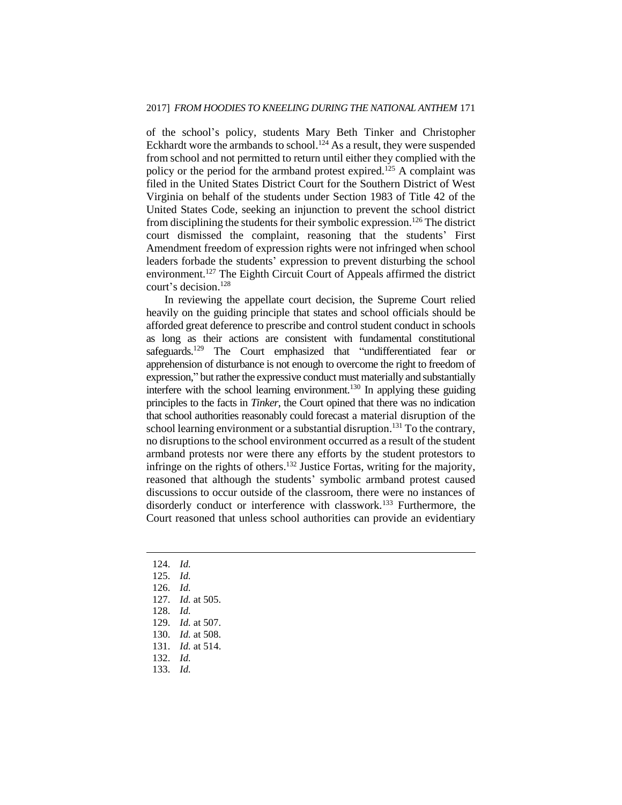of the school's policy, students Mary Beth Tinker and Christopher Eckhardt wore the armbands to school.<sup>124</sup> As a result, they were suspended from school and not permitted to return until either they complied with the policy or the period for the armband protest expired.<sup>125</sup> A complaint was filed in the United States District Court for the Southern District of West Virginia on behalf of the students under Section 1983 of Title 42 of the United States Code, seeking an injunction to prevent the school district from disciplining the students for their symbolic expression.<sup>126</sup> The district court dismissed the complaint, reasoning that the students' First Amendment freedom of expression rights were not infringed when school leaders forbade the students' expression to prevent disturbing the school environment.<sup>127</sup> The Eighth Circuit Court of Appeals affirmed the district court's decision. 128

In reviewing the appellate court decision, the Supreme Court relied heavily on the guiding principle that states and school officials should be afforded great deference to prescribe and control student conduct in schools as long as their actions are consistent with fundamental constitutional safeguards.<sup>129</sup> The Court emphasized that "undifferentiated fear or apprehension of disturbance is not enough to overcome the right to freedom of expression," but rather the expressive conduct must materially and substantially interfere with the school learning environment.<sup>130</sup> In applying these guiding principles to the facts in *Tinker*, the Court opined that there was no indication that school authorities reasonably could forecast a material disruption of the school learning environment or a substantial disruption.<sup>131</sup> To the contrary, no disruptions to the school environment occurred as a result of the student armband protests nor were there any efforts by the student protestors to infringe on the rights of others. <sup>132</sup> Justice Fortas, writing for the majority, reasoned that although the students' symbolic armband protest caused discussions to occur outside of the classroom, there were no instances of disorderly conduct or interference with classwork.<sup>133</sup> Furthermore, the Court reasoned that unless school authorities can provide an evidentiary

- 124. *Id.*
- 125. *Id.*

- 126. *Id.*
- 127. *Id.* at 505.
- 128. *Id.*
- 129. *Id.* at 507.
- 130. *Id.* at 508.
- 131. *Id.* at 514.
- 132. *Id.*
- 133. *Id.*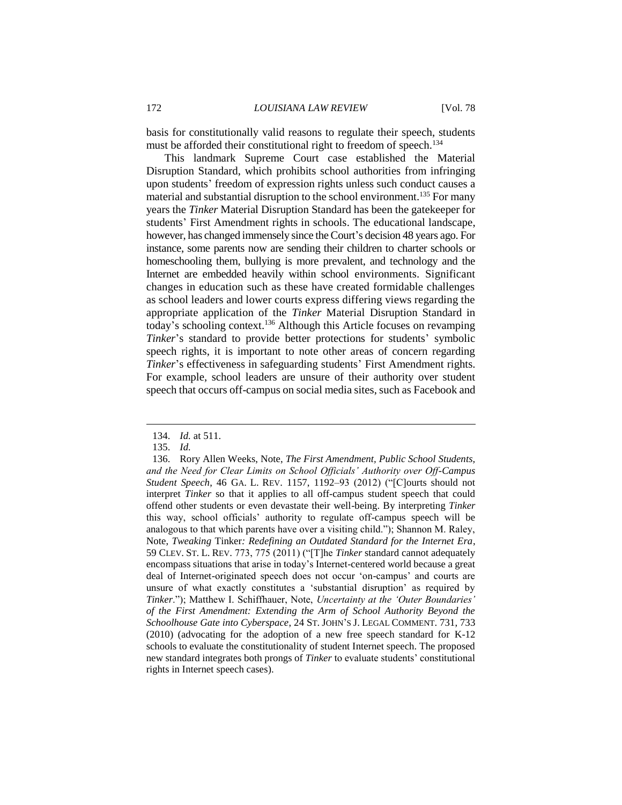basis for constitutionally valid reasons to regulate their speech, students must be afforded their constitutional right to freedom of speech.<sup>134</sup>

This landmark Supreme Court case established the Material Disruption Standard, which prohibits school authorities from infringing upon students' freedom of expression rights unless such conduct causes a material and substantial disruption to the school environment.<sup>135</sup> For many years the *Tinker* Material Disruption Standard has been the gatekeeper for students' First Amendment rights in schools. The educational landscape, however, has changed immensely since the Court's decision 48 years ago. For instance, some parents now are sending their children to charter schools or homeschooling them, bullying is more prevalent, and technology and the Internet are embedded heavily within school environments. Significant changes in education such as these have created formidable challenges as school leaders and lower courts express differing views regarding the appropriate application of the *Tinker* Material Disruption Standard in today's schooling context.<sup>136</sup> Although this Article focuses on revamping *Tinker*'s standard to provide better protections for students' symbolic speech rights, it is important to note other areas of concern regarding *Tinker*'s effectiveness in safeguarding students' First Amendment rights. For example, school leaders are unsure of their authority over student speech that occurs off-campus on social media sites, such as Facebook and

<sup>134.</sup> *Id.* at 511.

<sup>135.</sup> *Id.*

<sup>136.</sup> Rory Allen Weeks, Note, *The First Amendment, Public School Students, and the Need for Clear Limits on School Officials' Authority over Off-Campus Student Speech*, 46 GA. L. REV. 1157, 1192–93 (2012) ("[C]ourts should not interpret *Tinker* so that it applies to all off-campus student speech that could offend other students or even devastate their well-being. By interpreting *Tinker* this way, school officials' authority to regulate off-campus speech will be analogous to that which parents have over a visiting child."); Shannon M. Raley, Note, *Tweaking* Tinker*: Redefining an Outdated Standard for the Internet Era*, 59 CLEV. ST. L. REV. 773, 775 (2011) ("[T]he *Tinker* standard cannot adequately encompass situations that arise in today's Internet-centered world because a great deal of Internet-originated speech does not occur 'on-campus' and courts are unsure of what exactly constitutes a 'substantial disruption' as required by *Tinker*."); Matthew I. Schiffhauer, Note, *Uncertainty at the 'Outer Boundaries' of the First Amendment: Extending the Arm of School Authority Beyond the Schoolhouse Gate into Cyberspace*, 24 ST. JOHN'S J. LEGAL COMMENT. 731, 733 (2010) (advocating for the adoption of a new free speech standard for K-12 schools to evaluate the constitutionality of student Internet speech. The proposed new standard integrates both prongs of *Tinker* to evaluate students' constitutional rights in Internet speech cases).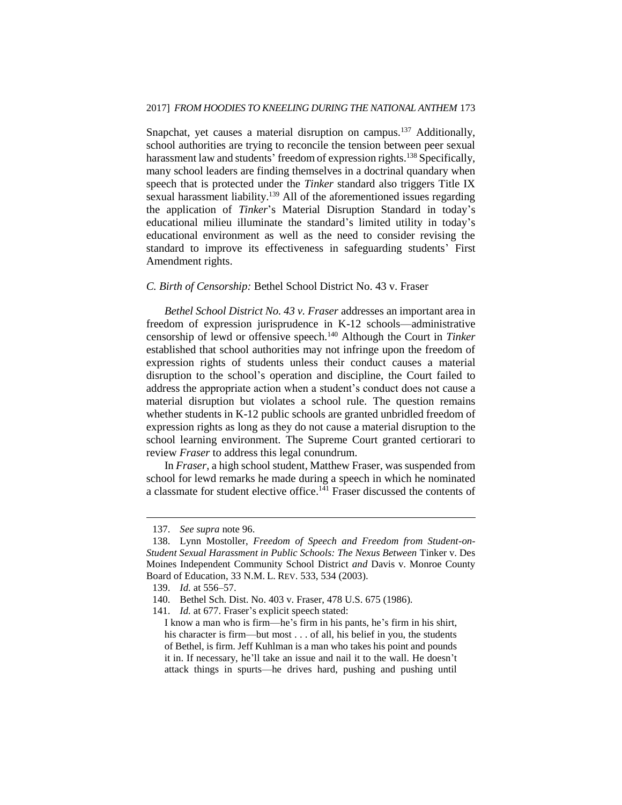Snapchat, yet causes a material disruption on campus.<sup>137</sup> Additionally, school authorities are trying to reconcile the tension between peer sexual harassment law and students' freedom of expression rights.<sup>138</sup> Specifically, many school leaders are finding themselves in a doctrinal quandary when speech that is protected under the *Tinker* standard also triggers Title IX sexual harassment liability.<sup>139</sup> All of the aforementioned issues regarding the application of *Tinker*'s Material Disruption Standard in today's educational milieu illuminate the standard's limited utility in today's educational environment as well as the need to consider revising the standard to improve its effectiveness in safeguarding students' First Amendment rights.

#### *C. Birth of Censorship:* Bethel School District No. 43 v. Fraser

*Bethel School District No. 43 v. Fraser* addresses an important area in freedom of expression jurisprudence in K-12 schools—administrative censorship of lewd or offensive speech.<sup>140</sup> Although the Court in *Tinker* established that school authorities may not infringe upon the freedom of expression rights of students unless their conduct causes a material disruption to the school's operation and discipline, the Court failed to address the appropriate action when a student's conduct does not cause a material disruption but violates a school rule. The question remains whether students in K-12 public schools are granted unbridled freedom of expression rights as long as they do not cause a material disruption to the school learning environment. The Supreme Court granted certiorari to review *Fraser* to address this legal conundrum.

In *Fraser*, a high school student, Matthew Fraser, was suspended from school for lewd remarks he made during a speech in which he nominated a classmate for student elective office.<sup>141</sup> Fraser discussed the contents of

<sup>137.</sup> *See supra* note 96.

<sup>138.</sup> Lynn Mostoller, *Freedom of Speech and Freedom from Student-on-Student Sexual Harassment in Public Schools: The Nexus Between* Tinker v. Des Moines Independent Community School District *and* Davis v. Monroe County Board of Education, 33 N.M. L. REV. 533, 534 (2003).

<sup>139.</sup> *Id.* at 556–57.

<sup>140.</sup> Bethel Sch. Dist. No. 403 v. Fraser, 478 U.S. 675 (1986).

<sup>141.</sup> *Id.* at 677. Fraser's explicit speech stated:

I know a man who is firm—he's firm in his pants, he's firm in his shirt, his character is firm—but most . . . of all, his belief in you, the students of Bethel, is firm. Jeff Kuhlman is a man who takes his point and pounds it in. If necessary, he'll take an issue and nail it to the wall. He doesn't attack things in spurts—he drives hard, pushing and pushing until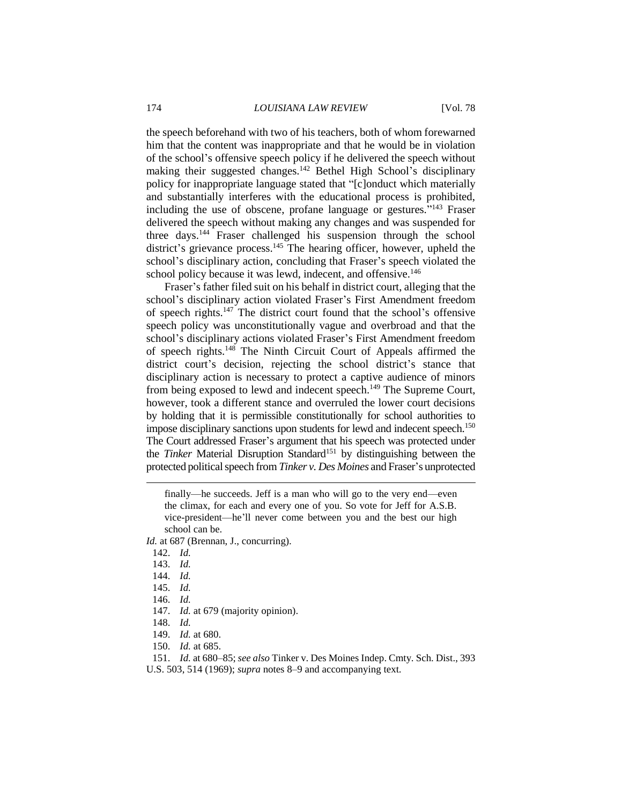the speech beforehand with two of his teachers, both of whom forewarned him that the content was inappropriate and that he would be in violation of the school's offensive speech policy if he delivered the speech without making their suggested changes.<sup>142</sup> Bethel High School's disciplinary policy for inappropriate language stated that "[c]onduct which materially and substantially interferes with the educational process is prohibited, including the use of obscene, profane language or gestures."<sup>143</sup> Fraser delivered the speech without making any changes and was suspended for three days.<sup>144</sup> Fraser challenged his suspension through the school district's grievance process.<sup>145</sup> The hearing officer, however, upheld the school's disciplinary action, concluding that Fraser's speech violated the school policy because it was lewd, indecent, and offensive.<sup>146</sup>

Fraser's father filed suit on his behalf in district court, alleging that the school's disciplinary action violated Fraser's First Amendment freedom of speech rights.<sup>147</sup> The district court found that the school's offensive speech policy was unconstitutionally vague and overbroad and that the school's disciplinary actions violated Fraser's First Amendment freedom of speech rights.<sup>148</sup> The Ninth Circuit Court of Appeals affirmed the district court's decision, rejecting the school district's stance that disciplinary action is necessary to protect a captive audience of minors from being exposed to lewd and indecent speech.<sup>149</sup> The Supreme Court, however, took a different stance and overruled the lower court decisions by holding that it is permissible constitutionally for school authorities to impose disciplinary sanctions upon students for lewd and indecent speech.<sup>150</sup> The Court addressed Fraser's argument that his speech was protected under the *Tinker* Material Disruption Standard<sup>151</sup> by distinguishing between the protected political speech from *Tinker v. Des Moines* and Fraser's unprotected

finally—he succeeds. Jeff is a man who will go to the very end—even the climax, for each and every one of you. So vote for Jeff for A.S.B. vice-president—he'll never come between you and the best our high school can be.

*Id.* at 687 (Brennan, J., concurring).

142. *Id.*

 $\overline{a}$ 

- 147. *Id.* at 679 (majority opinion).
- 148. *Id.*

150. *Id.* at 685.

151. *Id.* at 680–85; *see also* Tinker v. Des Moines Indep. Cmty. Sch. Dist., 393 U.S. 503, 514 (1969); *supra* notes 8–9 and accompanying text.

<sup>143.</sup> *Id.*

<sup>144.</sup> *Id.*

<sup>145.</sup> *Id.*

<sup>146.</sup> *Id.*

<sup>149.</sup> *Id.* at 680.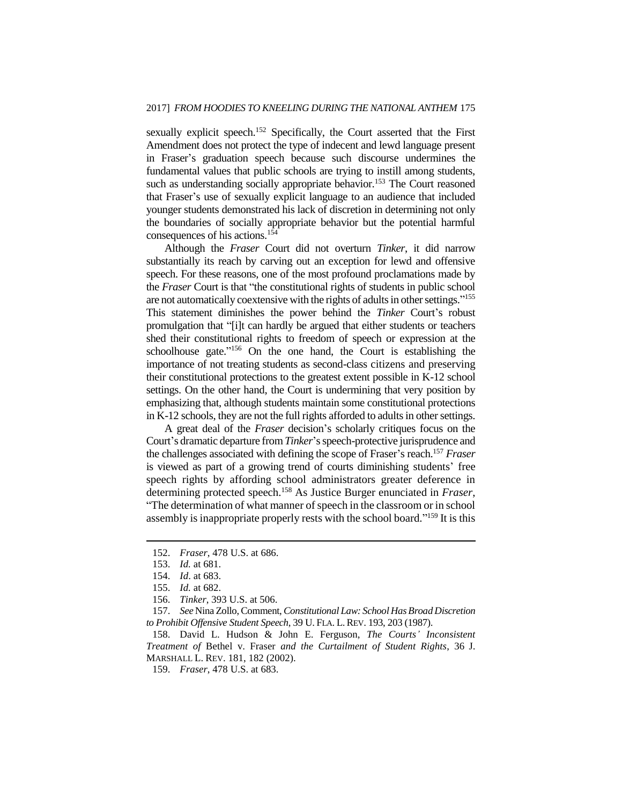sexually explicit speech.<sup>152</sup> Specifically, the Court asserted that the First Amendment does not protect the type of indecent and lewd language present in Fraser's graduation speech because such discourse undermines the fundamental values that public schools are trying to instill among students, such as understanding socially appropriate behavior.<sup>153</sup> The Court reasoned that Fraser's use of sexually explicit language to an audience that included younger students demonstrated his lack of discretion in determining not only the boundaries of socially appropriate behavior but the potential harmful consequences of his actions.<sup>154</sup>

Although the *Fraser* Court did not overturn *Tinker*, it did narrow substantially its reach by carving out an exception for lewd and offensive speech. For these reasons, one of the most profound proclamations made by the *Fraser* Court is that "the constitutional rights of students in public school are not automatically coextensive with the rights of adults in other settings."<sup>155</sup> This statement diminishes the power behind the *Tinker* Court's robust promulgation that "[i]t can hardly be argued that either students or teachers shed their constitutional rights to freedom of speech or expression at the schoolhouse gate."<sup>156</sup> On the one hand, the Court is establishing the importance of not treating students as second-class citizens and preserving their constitutional protections to the greatest extent possible in K-12 school settings. On the other hand, the Court is undermining that very position by emphasizing that, although students maintain some constitutional protections in K-12 schools, they are not the full rights afforded to adults in other settings.

A great deal of the *Fraser* decision's scholarly critiques focus on the Court's dramatic departure from *Tinker*'s speech-protective jurisprudence and the challenges associated with defining the scope of Fraser's reach.<sup>157</sup> *Fraser* is viewed as part of a growing trend of courts diminishing students' free speech rights by affording school administrators greater deference in determining protected speech.<sup>158</sup> As Justice Burger enunciated in *Fraser*, "The determination of what manner of speech in the classroom or in school assembly is inappropriate properly rests with the school board."<sup>159</sup> It is this

<sup>152.</sup> *Fraser*, 478 U.S. at 686.

<sup>153.</sup> *Id.* at 681.

<sup>154.</sup> *Id*. at 683.

<sup>155.</sup> *Id.* at 682.

<sup>156.</sup> *Tinker*, 393 U.S. at 506.

<sup>157.</sup> *See* Nina Zollo, Comment, *Constitutional Law: School Has Broad Discretion to Prohibit Offensive Student Speech*, 39 U. FLA. L. REV. 193, 203 (1987).

<sup>158.</sup> David L. Hudson & John E. Ferguson, *The Courts' Inconsistent Treatment of* Bethel v. Fraser *and the Curtailment of Student Rights*, 36 J. MARSHALL L. REV. 181, 182 (2002).

<sup>159.</sup> *Fraser*, 478 U.S. at 683.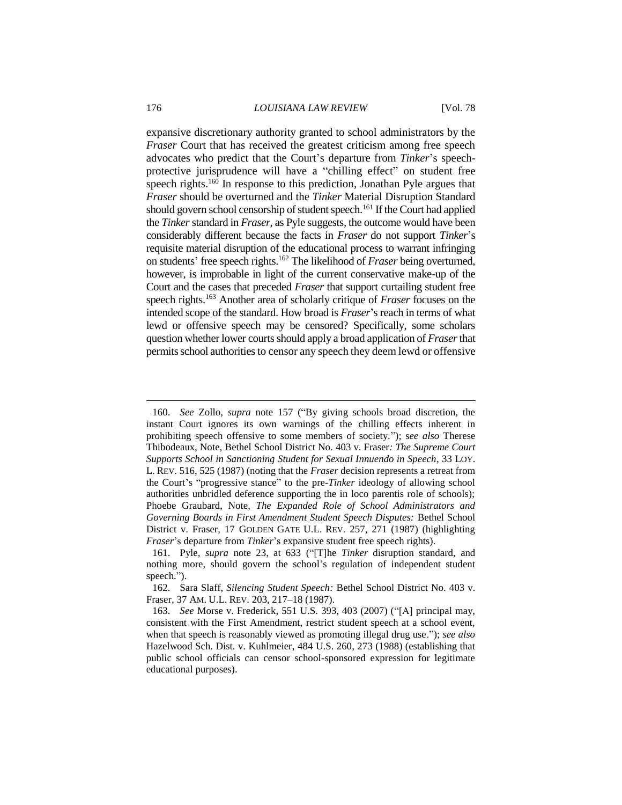expansive discretionary authority granted to school administrators by the *Fraser* Court that has received the greatest criticism among free speech advocates who predict that the Court's departure from *Tinker*'s speechprotective jurisprudence will have a "chilling effect" on student free speech rights.<sup>160</sup> In response to this prediction, Jonathan Pyle argues that *Fraser* should be overturned and the *Tinker* Material Disruption Standard should govern school censorship of student speech.<sup>161</sup> If the Court had applied the *Tinker*standard in *Fraser*, as Pyle suggests, the outcome would have been considerably different because the facts in *Fraser* do not support *Tinker*'s requisite material disruption of the educational process to warrant infringing on students' free speech rights.<sup>162</sup> The likelihood of *Fraser* being overturned, however, is improbable in light of the current conservative make-up of the Court and the cases that preceded *Fraser* that support curtailing student free speech rights.<sup>163</sup> Another area of scholarly critique of *Fraser* focuses on the intended scope of the standard. How broad is *Fraser*'s reach in terms of what lewd or offensive speech may be censored? Specifically, some scholars question whether lower courts should apply a broad application of *Fraser*that permits school authorities to censor any speech they deem lewd or offensive

<sup>160.</sup> *See* Zollo, *supra* note 157 ("By giving schools broad discretion, the instant Court ignores its own warnings of the chilling effects inherent in prohibiting speech offensive to some members of society."); s*ee also* Therese Thibodeaux, Note, Bethel School District No. 403 v. Fraser*: The Supreme Court Supports School in Sanctioning Student for Sexual Innuendo in Speech*, 33 LOY. L. REV. 516, 525 (1987) (noting that the *Fraser* decision represents a retreat from the Court's "progressive stance" to the pre-*Tinker* ideology of allowing school authorities unbridled deference supporting the in loco parentis role of schools); Phoebe Graubard, Note, *The Expanded Role of School Administrators and Governing Boards in First Amendment Student Speech Disputes:* Bethel School District v. Fraser, 17 GOLDEN GATE U.L. REV. 257, 271 (1987) (highlighting *Fraser*'s departure from *Tinker*'s expansive student free speech rights).

<sup>161.</sup> Pyle, *supra* note 23, at 633 ("[T]he *Tinker* disruption standard, and nothing more, should govern the school's regulation of independent student speech.").

<sup>162.</sup> Sara Slaff, *Silencing Student Speech:* Bethel School District No. 403 v. Fraser, 37 AM. U.L. REV. 203, 217–18 (1987).

<sup>163.</sup> *See* Morse v. Frederick, 551 U.S. 393, 403 (2007) ("[A] principal may, consistent with the First Amendment, restrict student speech at a school event, when that speech is reasonably viewed as promoting illegal drug use."); *see also* Hazelwood Sch. Dist. v. Kuhlmeier, 484 U.S. 260, 273 (1988) (establishing that public school officials can censor school-sponsored expression for legitimate educational purposes).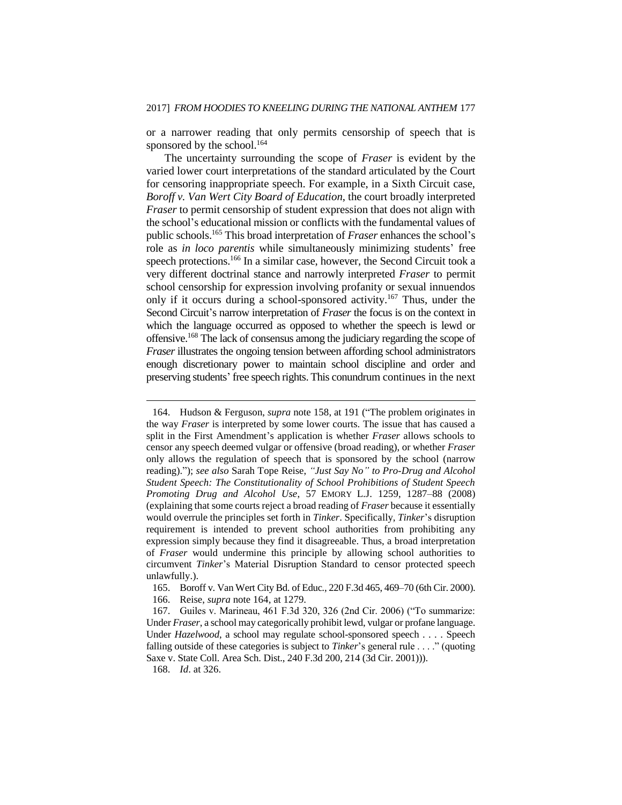or a narrower reading that only permits censorship of speech that is sponsored by the school.<sup>164</sup>

The uncertainty surrounding the scope of *Fraser* is evident by the varied lower court interpretations of the standard articulated by the Court for censoring inappropriate speech. For example, in a Sixth Circuit case, *Boroff v. Van Wert City Board of Education*, the court broadly interpreted *Fraser* to permit censorship of student expression that does not align with the school's educational mission or conflicts with the fundamental values of public schools.<sup>165</sup> This broad interpretation of *Fraser* enhances the school's role as *in loco parentis* while simultaneously minimizing students' free speech protections.<sup>166</sup> In a similar case, however, the Second Circuit took a very different doctrinal stance and narrowly interpreted *Fraser* to permit school censorship for expression involving profanity or sexual innuendos only if it occurs during a school-sponsored activity.<sup>167</sup> Thus, under the Second Circuit's narrow interpretation of *Fraser* the focus is on the context in which the language occurred as opposed to whether the speech is lewd or offensive.<sup>168</sup> The lack of consensus among the judiciary regarding the scope of *Fraser* illustrates the ongoing tension between affording school administrators enough discretionary power to maintain school discipline and order and preserving students' free speech rights. This conundrum continues in the next

<sup>164.</sup> Hudson & Ferguson, *supra* note 158, at 191 ("The problem originates in the way *Fraser* is interpreted by some lower courts. The issue that has caused a split in the First Amendment's application is whether *Fraser* allows schools to censor any speech deemed vulgar or offensive (broad reading), or whether *Fraser* only allows the regulation of speech that is sponsored by the school (narrow reading)."); *see also* Sarah Tope Reise, *"Just Say No" to Pro-Drug and Alcohol Student Speech: The Constitutionality of School Prohibitions of Student Speech Promoting Drug and Alcohol Use*, 57 EMORY L.J. 1259, 1287–88 (2008) (explaining that some courts reject a broad reading of *Fraser* because it essentially would overrule the principles set forth in *Tinker*. Specifically, *Tinker*'s disruption requirement is intended to prevent school authorities from prohibiting any expression simply because they find it disagreeable. Thus, a broad interpretation of *Fraser* would undermine this principle by allowing school authorities to circumvent *Tinker*'s Material Disruption Standard to censor protected speech unlawfully.).

<sup>165.</sup> Boroff v. Van Wert City Bd. of Educ*.*, 220 F.3d 465, 469–70 (6th Cir. 2000).

<sup>166.</sup> Reise, *supra* note 164, at 1279.

<sup>167.</sup> Guiles v. Marineau, 461 F.3d 320, 326 (2nd Cir. 2006) ("To summarize: Under *Fraser*, a school may categorically prohibit lewd, vulgar or profane language. Under *Hazelwood*, a school may regulate school-sponsored speech . . . . Speech falling outside of these categories is subject to *Tinker*'s general rule . . . ." (quoting Saxe v. State Coll. Area Sch. Dist., 240 F.3d 200, 214 (3d Cir. 2001))).

<sup>168.</sup> *Id*. at 326.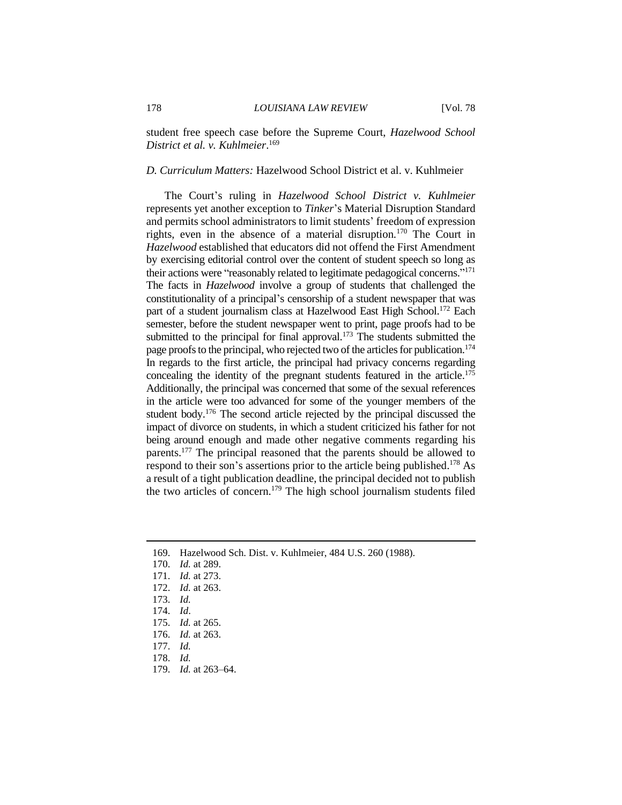student free speech case before the Supreme Court, *Hazelwood School District et al. v. Kuhlmeier*. 169

#### *D. Curriculum Matters:* Hazelwood School District et al. v. Kuhlmeier

The Court's ruling in *Hazelwood School District v. Kuhlmeier* represents yet another exception to *Tinker*'s Material Disruption Standard and permits school administrators to limit students' freedom of expression rights, even in the absence of a material disruption.<sup>170</sup> The Court in *Hazelwood* established that educators did not offend the First Amendment by exercising editorial control over the content of student speech so long as their actions were "reasonably related to legitimate pedagogical concerns."<sup>171</sup> The facts in *Hazelwood* involve a group of students that challenged the constitutionality of a principal's censorship of a student newspaper that was part of a student journalism class at Hazelwood East High School.<sup>172</sup> Each semester, before the student newspaper went to print, page proofs had to be submitted to the principal for final approval.<sup>173</sup> The students submitted the page proofs to the principal, who rejected two of the articles for publication.<sup>174</sup> In regards to the first article, the principal had privacy concerns regarding concealing the identity of the pregnant students featured in the article.<sup>175</sup> Additionally, the principal was concerned that some of the sexual references in the article were too advanced for some of the younger members of the student body.<sup>176</sup> The second article rejected by the principal discussed the impact of divorce on students, in which a student criticized his father for not being around enough and made other negative comments regarding his parents.<sup>177</sup> The principal reasoned that the parents should be allowed to respond to their son's assertions prior to the article being published.<sup>178</sup> As a result of a tight publication deadline, the principal decided not to publish the two articles of concern. <sup>179</sup> The high school journalism students filed

<sup>169.</sup> Hazelwood Sch. Dist. v. Kuhlmeier, 484 U.S. 260 (1988).

<sup>170.</sup> *Id.* at 289.

<sup>171.</sup> *Id.* at 273.

<sup>172.</sup> *Id.* at 263.

<sup>173.</sup> *Id.*

<sup>174.</sup> *Id*.

<sup>175.</sup> *Id.* at 265.

<sup>176.</sup> *Id.* at 263.

<sup>177.</sup> *Id.*

<sup>178.</sup> *Id.*

<sup>179.</sup> *Id.* at 263–64.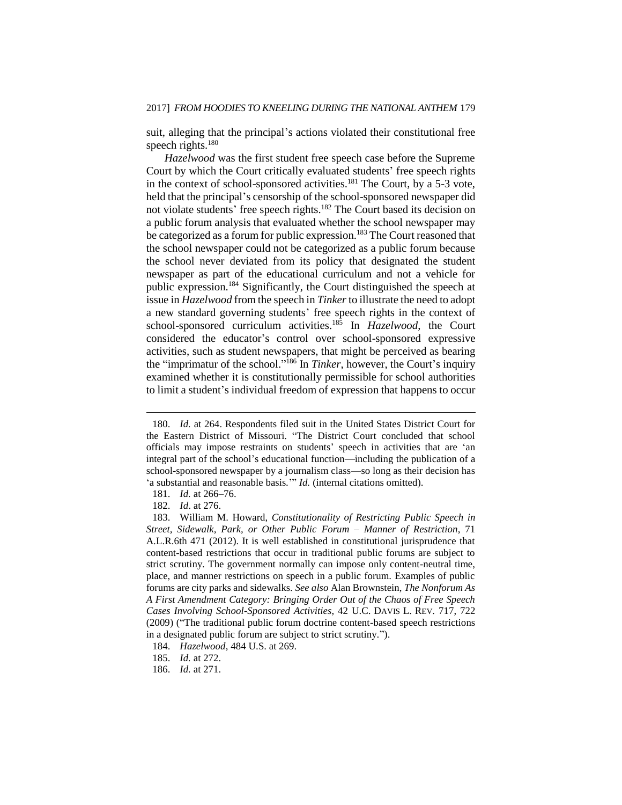suit, alleging that the principal's actions violated their constitutional free speech rights.<sup>180</sup>

*Hazelwood* was the first student free speech case before the Supreme Court by which the Court critically evaluated students' free speech rights in the context of school-sponsored activities. $181$  The Court, by a 5-3 vote, held that the principal's censorship of the school-sponsored newspaper did not violate students' free speech rights.<sup>182</sup> The Court based its decision on a public forum analysis that evaluated whether the school newspaper may be categorized as a forum for public expression.<sup>183</sup> The Court reasoned that the school newspaper could not be categorized as a public forum because the school never deviated from its policy that designated the student newspaper as part of the educational curriculum and not a vehicle for public expression.<sup>184</sup> Significantly, the Court distinguished the speech at issue in *Hazelwood* from the speech in *Tinker*to illustrate the need to adopt a new standard governing students' free speech rights in the context of school-sponsored curriculum activities.<sup>185</sup> In *Hazelwood*, the Court considered the educator's control over school-sponsored expressive activities, such as student newspapers, that might be perceived as bearing the "imprimatur of the school." <sup>186</sup> In *Tinker*, however, the Court's inquiry examined whether it is constitutionally permissible for school authorities to limit a student's individual freedom of expression that happens to occur

<sup>180.</sup> *Id.* at 264. Respondents filed suit in the United States District Court for the Eastern District of Missouri. "The District Court concluded that school officials may impose restraints on students' speech in activities that are 'an integral part of the school's educational function—including the publication of a school-sponsored newspaper by a journalism class—so long as their decision has 'a substantial and reasonable basis.'" *Id.* (internal citations omitted).

<sup>181.</sup> *Id.* at 266–76.

<sup>182.</sup> *Id*. at 276.

<sup>183.</sup> William M. Howard, *Constitutionality of Restricting Public Speech in Street, Sidewalk, Park, or Other Public Forum – Manner of Restriction*, 71 A.L.R.6th 471 (2012). It is well established in constitutional jurisprudence that content-based restrictions that occur in traditional public forums are subject to strict scrutiny. The government normally can impose only content-neutral time, place, and manner restrictions on speech in a public forum. Examples of public forums are city parks and sidewalks. *See also* Alan Brownstein, *The Nonforum As A First Amendment Category: Bringing Order Out of the Chaos of Free Speech Cases Involving School-Sponsored Activities*, 42 U.C. DAVIS L. REV. 717, 722 (2009) ("The traditional public forum doctrine content-based speech restrictions in a designated public forum are subject to strict scrutiny.").

<sup>184.</sup> *Hazelwood*, 484 U.S. at 269.

<sup>185.</sup> *Id.* at 272.

<sup>186.</sup> *Id.* at 271.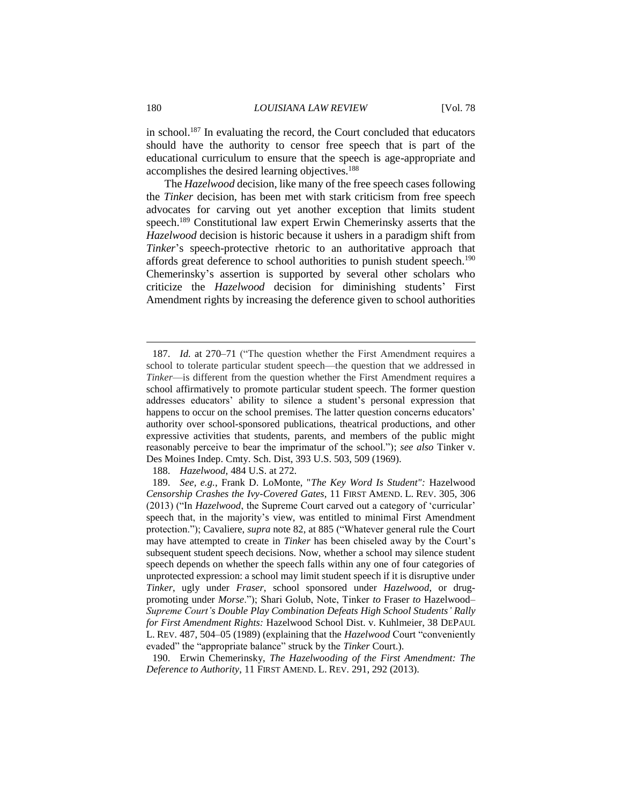in school.<sup>187</sup> In evaluating the record, the Court concluded that educators should have the authority to censor free speech that is part of the educational curriculum to ensure that the speech is age-appropriate and accomplishes the desired learning objectives.<sup>188</sup>

The *Hazelwood* decision, like many of the free speech cases following the *Tinker* decision, has been met with stark criticism from free speech advocates for carving out yet another exception that limits student speech.<sup>189</sup> Constitutional law expert Erwin Chemerinsky asserts that the *Hazelwood* decision is historic because it ushers in a paradigm shift from *Tinker*'s speech-protective rhetoric to an authoritative approach that affords great deference to school authorities to punish student speech.<sup>190</sup> Chemerinsky's assertion is supported by several other scholars who criticize the *Hazelwood* decision for diminishing students' First Amendment rights by increasing the deference given to school authorities

<sup>187.</sup> *Id.* at 270–71 ("The question whether the First Amendment requires a school to tolerate particular student speech—the question that we addressed in *Tinker*—is different from the question whether the First Amendment requires a school affirmatively to promote particular student speech. The former question addresses educators' ability to silence a student's personal expression that happens to occur on the school premises. The latter question concerns educators' authority over school-sponsored publications, theatrical productions, and other expressive activities that students, parents, and members of the public might reasonably perceive to bear the imprimatur of the school."); *see also* Tinker v. Des Moines Indep. Cmty. Sch. Dist, 393 U.S. 503, 509 (1969).

<sup>188.</sup> *Hazelwood,* 484 U.S. at 272.

<sup>189.</sup> *See, e.g.*, Frank D. LoMonte, "*The Key Word Is Student":* Hazelwood *Censorship Crashes the Ivy-Covered Gates*, 11 FIRST AMEND. L. REV. 305, 306 (2013) ("In *Hazelwood*, the Supreme Court carved out a category of 'curricular' speech that, in the majority's view, was entitled to minimal First Amendment protection."); Cavaliere, *supra* note 82, at 885 ("Whatever general rule the Court may have attempted to create in *Tinker* has been chiseled away by the Court's subsequent student speech decisions. Now, whether a school may silence student speech depends on whether the speech falls within any one of four categories of unprotected expression: a school may limit student speech if it is disruptive under *Tinker*, ugly under *Fraser*, school sponsored under *Hazelwood*, or drugpromoting under *Morse*."); Shari Golub, Note, Tinker *to* Fraser *to* Hazelwood*– Supreme Court's Double Play Combination Defeats High School Students' Rally for First Amendment Rights:* Hazelwood School Dist. v. Kuhlmeier, 38 DEPAUL L. REV. 487, 504–05 (1989) (explaining that the *Hazelwood* Court "conveniently evaded" the "appropriate balance" struck by the *Tinker* Court.).

<sup>190.</sup> Erwin Chemerinsky, *The Hazelwooding of the First Amendment: The Deference to Authority*, 11 FIRST AMEND. L. REV. 291, 292 (2013).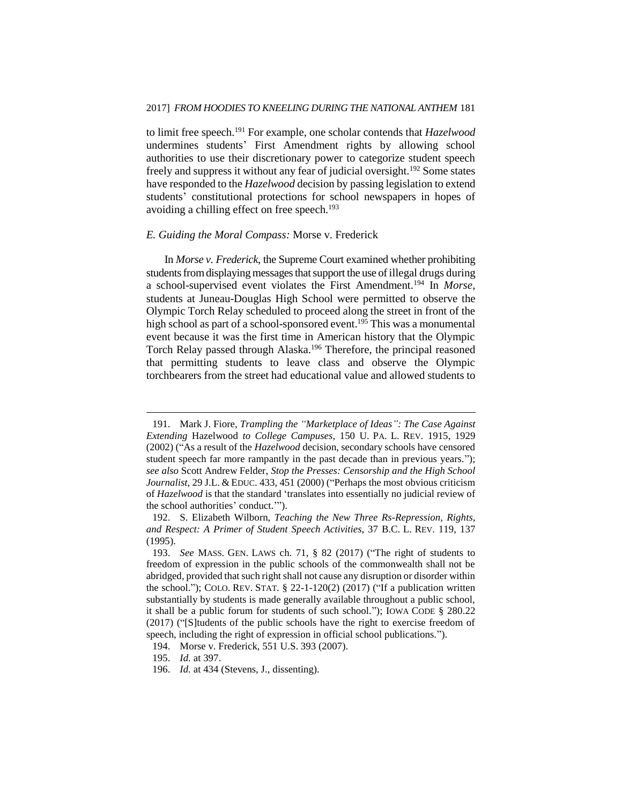to limit free speech.<sup>191</sup> For example, one scholar contends that *Hazelwood* undermines students' First Amendment rights by allowing school authorities to use their discretionary power to categorize student speech freely and suppress it without any fear of judicial oversight.<sup>192</sup> Some states have responded to the *Hazelwood* decision by passing legislation to extend students' constitutional protections for school newspapers in hopes of avoiding a chilling effect on free speech.<sup>193</sup>

#### *E. Guiding the Moral Compass:* Morse v. Frederick

In *Morse v. Frederick*, the Supreme Court examined whether prohibiting students from displaying messages that support the use of illegal drugs during a school-supervised event violates the First Amendment.<sup>194</sup> In *Morse*, students at Juneau-Douglas High School were permitted to observe the Olympic Torch Relay scheduled to proceed along the street in front of the high school as part of a school-sponsored event.<sup>195</sup> This was a monumental event because it was the first time in American history that the Olympic Torch Relay passed through Alaska.<sup>196</sup> Therefore, the principal reasoned that permitting students to leave class and observe the Olympic torchbearers from the street had educational value and allowed students to

<sup>191.</sup> Mark J. Fiore, *Trampling the "Marketplace of Ideas": The Case Against Extending* Hazelwood *to College Campuses*, 150 U. PA. L. REV. 1915, 1929 (2002) ("As a result of the *Hazelwood* decision, secondary schools have censored student speech far more rampantly in the past decade than in previous years."); *see also* Scott Andrew Felder, *Stop the Presses: Censorship and the High School Journalist*, 29 J.L. & EDUC. 433, 451 (2000) ("Perhaps the most obvious criticism of *Hazelwood* is that the standard 'translates into essentially no judicial review of the school authorities' conduct.'").

<sup>192.</sup> S. Elizabeth Wilborn, *Teaching the New Three Rs-Repression, Rights, and Respect: A Primer of Student Speech Activities*, 37 B.C. L. REV. 119, 137 (1995).

<sup>193.</sup> *See* MASS. GEN. LAWS ch. 71, § 82 (2017) ("The right of students to freedom of expression in the public schools of the commonwealth shall not be abridged, provided that such right shall not cause any disruption or disorder within the school."); COLO. REV. STAT.  $\S$  22-1-120(2) (2017) ("If a publication written substantially by students is made generally available throughout a public school, it shall be a public forum for students of such school."); IOWA CODE § 280.22 (2017) ("[S]tudents of the public schools have the right to exercise freedom of speech, including the right of expression in official school publications.").

<sup>194.</sup> Morse v. Frederick, 551 U.S. 393 (2007).

<sup>195.</sup> *Id.* at 397.

<sup>196.</sup> *Id.* at 434 (Stevens, J., dissenting).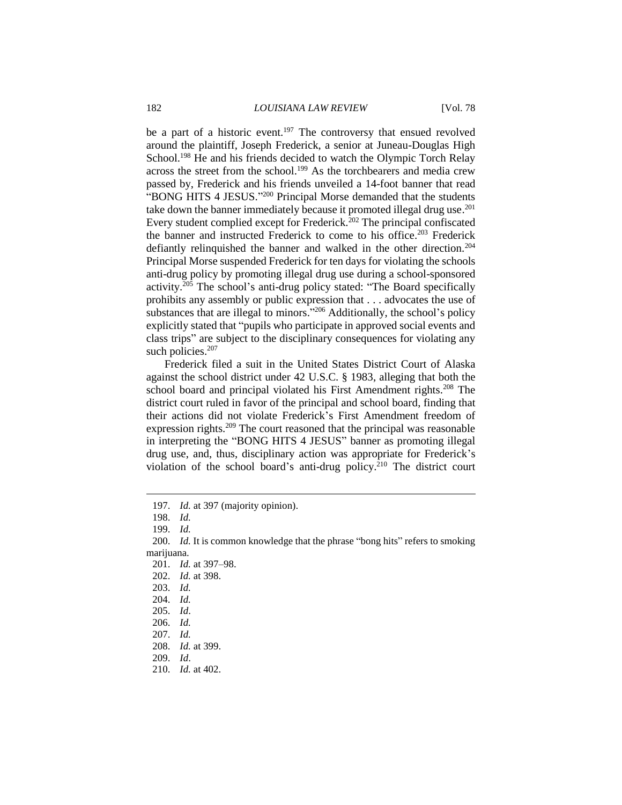be a part of a historic event.<sup>197</sup> The controversy that ensued revolved around the plaintiff, Joseph Frederick, a senior at Juneau-Douglas High School.<sup>198</sup> He and his friends decided to watch the Olympic Torch Relay across the street from the school.<sup>199</sup> As the torchbearers and media crew passed by, Frederick and his friends unveiled a 14-foot banner that read "BONG HITS 4 JESUS." <sup>200</sup> Principal Morse demanded that the students take down the banner immediately because it promoted illegal drug use.<sup>201</sup> Every student complied except for Frederick.<sup> $202$ </sup> The principal confiscated the banner and instructed Frederick to come to his office.<sup>203</sup> Frederick defiantly relinquished the banner and walked in the other direction.<sup>204</sup> Principal Morse suspended Frederick for ten days for violating the schools anti-drug policy by promoting illegal drug use during a school-sponsored activity.<sup>205</sup> The school's anti-drug policy stated: "The Board specifically prohibits any assembly or public expression that . . . advocates the use of substances that are illegal to minors."<sup>206</sup> Additionally, the school's policy explicitly stated that "pupils who participate in approved social events and class trips" are subject to the disciplinary consequences for violating any such policies.<sup>207</sup>

Frederick filed a suit in the United States District Court of Alaska against the school district under 42 U.S.C. § 1983, alleging that both the school board and principal violated his First Amendment rights.<sup>208</sup> The district court ruled in favor of the principal and school board, finding that their actions did not violate Frederick's First Amendment freedom of expression rights.<sup>209</sup> The court reasoned that the principal was reasonable in interpreting the "BONG HITS 4 JESUS" banner as promoting illegal drug use, and, thus, disciplinary action was appropriate for Frederick's violation of the school board's anti-drug policy.<sup>210</sup> The district court

<sup>197.</sup> *Id.* at 397 (majority opinion).

<sup>198.</sup> *Id.*

<sup>199.</sup> *Id.*

<sup>200.</sup> *Id.* It is common knowledge that the phrase "bong hits" refers to smoking marijuana.

<sup>201.</sup> *Id.* at 397–98.

<sup>202.</sup> *Id.* at 398.

<sup>203.</sup> *Id.*

<sup>204.</sup> *Id.*

<sup>205.</sup> *Id*.

<sup>206.</sup> *Id.*

<sup>207.</sup> *Id.*

<sup>208.</sup> *Id.* at 399.

<sup>209.</sup> *Id*.

<sup>210.</sup> *Id.* at 402.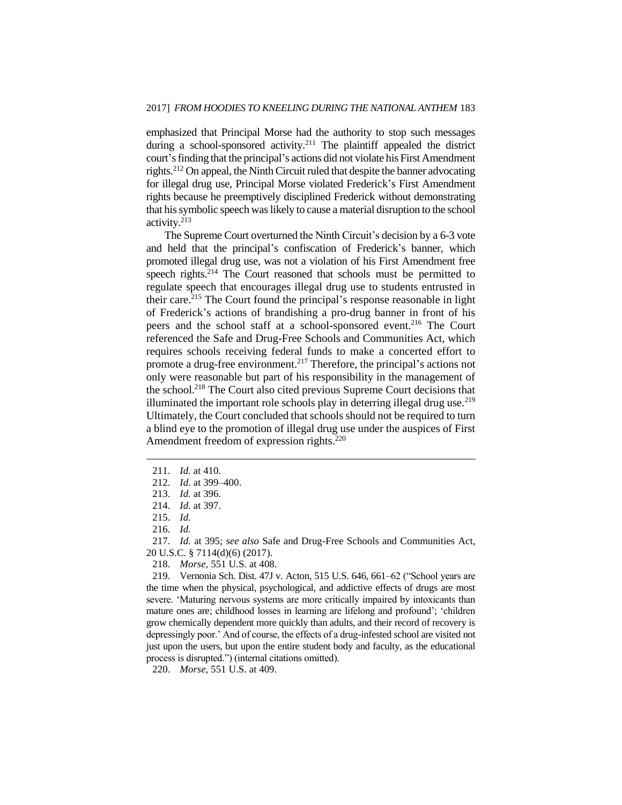emphasized that Principal Morse had the authority to stop such messages during a school-sponsored activity.<sup>211</sup> The plaintiff appealed the district court's finding that the principal's actions did not violate his First Amendment rights.<sup>212</sup> On appeal, the Ninth Circuit ruled that despite the banner advocating for illegal drug use, Principal Morse violated Frederick's First Amendment rights because he preemptively disciplined Frederick without demonstrating that his symbolic speech waslikely to cause a material disruption to the school activity.<sup>213</sup>

The Supreme Court overturned the Ninth Circuit's decision by a 6-3 vote and held that the principal's confiscation of Frederick's banner, which promoted illegal drug use, was not a violation of his First Amendment free speech rights.<sup>214</sup> The Court reasoned that schools must be permitted to regulate speech that encourages illegal drug use to students entrusted in their care.<sup>215</sup> The Court found the principal's response reasonable in light of Frederick's actions of brandishing a pro-drug banner in front of his peers and the school staff at a school-sponsored event.<sup>216</sup> The Court referenced the Safe and Drug-Free Schools and Communities Act, which requires schools receiving federal funds to make a concerted effort to promote a drug-free environment.<sup>217</sup> Therefore, the principal's actions not only were reasonable but part of his responsibility in the management of the school.<sup>218</sup> The Court also cited previous Supreme Court decisions that illuminated the important role schools play in deterring illegal drug use.<sup>219</sup> Ultimately, the Court concluded that schools should not be required to turn a blind eye to the promotion of illegal drug use under the auspices of First Amendment freedom of expression rights.<sup>220</sup>

211. *Id.* at 410.

 $\overline{a}$ 

220. *Morse*, 551 U.S. at 409.

<sup>212.</sup> *Id.* at 399–400.

<sup>213.</sup> *Id.* at 396.

<sup>214.</sup> *Id.* at 397.

<sup>215.</sup> *Id.*

<sup>216.</sup> *Id.*

<sup>217.</sup> *Id.* at 395; *see also* Safe and Drug-Free Schools and Communities Act, 20 U.S.C. § 7114(d)(6) (2017).

<sup>218.</sup> *Morse*, 551 U.S. at 408.

<sup>219.</sup> Vernonia Sch. Dist. 47J v. Acton, 515 U.S. 646, 661–62 ("School years are the time when the physical, psychological, and addictive effects of drugs are most severe. 'Maturing nervous systems are more critically impaired by intoxicants than mature ones are; childhood losses in learning are lifelong and profound'; 'children grow chemically dependent more quickly than adults, and their record of recovery is depressingly poor.' And of course, the effects of a drug-infested school are visited not just upon the users, but upon the entire student body and faculty, as the educational process is disrupted.") (internal citations omitted).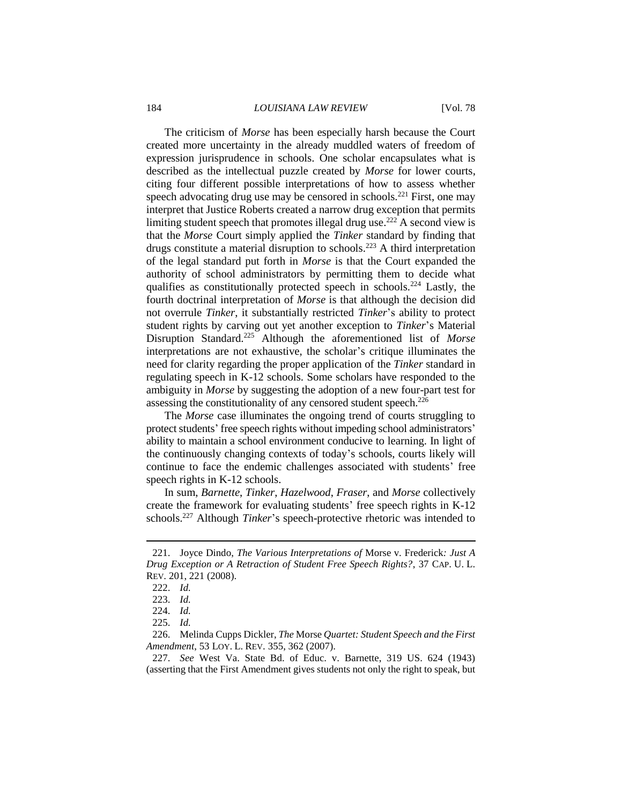The criticism of *Morse* has been especially harsh because the Court created more uncertainty in the already muddled waters of freedom of expression jurisprudence in schools. One scholar encapsulates what is described as the intellectual puzzle created by *Morse* for lower courts, citing four different possible interpretations of how to assess whether speech advocating drug use may be censored in schools.<sup>221</sup> First, one may interpret that Justice Roberts created a narrow drug exception that permits limiting student speech that promotes illegal drug use.<sup>222</sup> A second view is that the *Morse* Court simply applied the *Tinker* standard by finding that drugs constitute a material disruption to schools.<sup>223</sup> A third interpretation of the legal standard put forth in *Morse* is that the Court expanded the authority of school administrators by permitting them to decide what qualifies as constitutionally protected speech in schools.<sup>224</sup> Lastly, the fourth doctrinal interpretation of *Morse* is that although the decision did not overrule *Tinker*, it substantially restricted *Tinker*'s ability to protect student rights by carving out yet another exception to *Tinker*'s Material Disruption Standard.<sup>225</sup> Although the aforementioned list of *Morse* interpretations are not exhaustive, the scholar's critique illuminates the need for clarity regarding the proper application of the *Tinker* standard in regulating speech in K-12 schools. Some scholars have responded to the ambiguity in *Morse* by suggesting the adoption of a new four-part test for assessing the constitutionality of any censored student speech.<sup>226</sup>

The *Morse* case illuminates the ongoing trend of courts struggling to protect students' free speech rights without impeding school administrators' ability to maintain a school environment conducive to learning. In light of the continuously changing contexts of today's schools, courts likely will continue to face the endemic challenges associated with students' free speech rights in K-12 schools.

In sum, *Barnette*, *Tinker*, *Hazelwood*, *Fraser*, and *Morse* collectively create the framework for evaluating students' free speech rights in K-12 schools.<sup>227</sup> Although *Tinker*'s speech-protective rhetoric was intended to

<sup>221.</sup> Joyce Dindo, *The Various Interpretations of* Morse v. Frederick*: Just A Drug Exception or A Retraction of Student Free Speech Rights?*, 37 CAP. U. L. REV. 201, 221 (2008).

<sup>222.</sup> *Id.*

<sup>223.</sup> *Id.*

<sup>224.</sup> *Id.*

<sup>225.</sup> *Id.*

<sup>226.</sup> Melinda Cupps Dickler, *The* Morse *Quartet: Student Speech and the First Amendment*, 53 LOY. L. REV. 355, 362 (2007).

<sup>227.</sup> *See* West Va. State Bd. of Educ. v. Barnette, 319 US. 624 (1943) (asserting that the First Amendment gives students not only the right to speak, but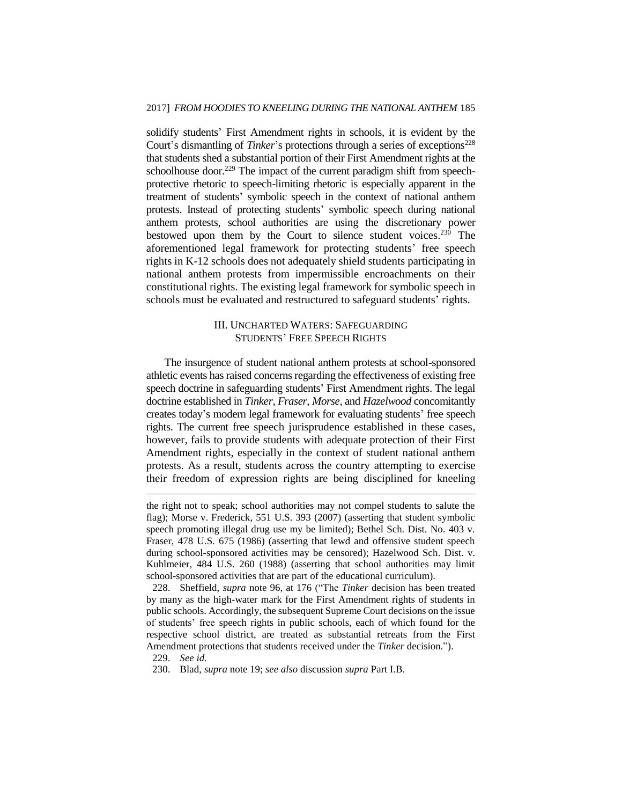solidify students' First Amendment rights in schools, it is evident by the Court's dismantling of *Tinker*'s protections through a series of exceptions<sup>228</sup> that students shed a substantial portion of their First Amendment rights at the schoolhouse door.<sup>229</sup> The impact of the current paradigm shift from speechprotective rhetoric to speech-limiting rhetoric is especially apparent in the treatment of students' symbolic speech in the context of national anthem protests. Instead of protecting students' symbolic speech during national anthem protests, school authorities are using the discretionary power bestowed upon them by the Court to silence student voices.<sup>230</sup> The aforementioned legal framework for protecting students' free speech rights in K-12 schools does not adequately shield students participating in national anthem protests from impermissible encroachments on their constitutional rights. The existing legal framework for symbolic speech in schools must be evaluated and restructured to safeguard students' rights.

## III. UNCHARTED WATERS: SAFEGUARDING STUDENTS' FREE SPEECH RIGHTS

The insurgence of student national anthem protests at school-sponsored athletic events has raised concerns regarding the effectiveness of existing free speech doctrine in safeguarding students' First Amendment rights. The legal doctrine established in *Tinker*, *Fraser*, *Morse*, and *Hazelwood* concomitantly creates today's modern legal framework for evaluating students' free speech rights. The current free speech jurisprudence established in these cases, however, fails to provide students with adequate protection of their First Amendment rights, especially in the context of student national anthem protests. As a result, students across the country attempting to exercise their freedom of expression rights are being disciplined for kneeling

the right not to speak; school authorities may not compel students to salute the flag); Morse v. Frederick, 551 U.S. 393 (2007) (asserting that student symbolic speech promoting illegal drug use my be limited); Bethel Sch. Dist. No. 403 v. Fraser, 478 U.S. 675 (1986) (asserting that lewd and offensive student speech during school-sponsored activities may be censored); Hazelwood Sch. Dist. v. Kuhlmeier, 484 U.S. 260 (1988) (asserting that school authorities may limit school-sponsored activities that are part of the educational curriculum).

<sup>228.</sup> Sheffield, *supra* note 96, at 176 ("The *Tinker* decision has been treated by many as the high-water mark for the First Amendment rights of students in public schools. Accordingly, the subsequent Supreme Court decisions on the issue of students' free speech rights in public schools, each of which found for the respective school district, are treated as substantial retreats from the First Amendment protections that students received under the *Tinker* decision.").

<sup>229.</sup> *See id.*

<sup>230.</sup> Blad, *supra* note 19; *see also* discussion *supra* Part I.B.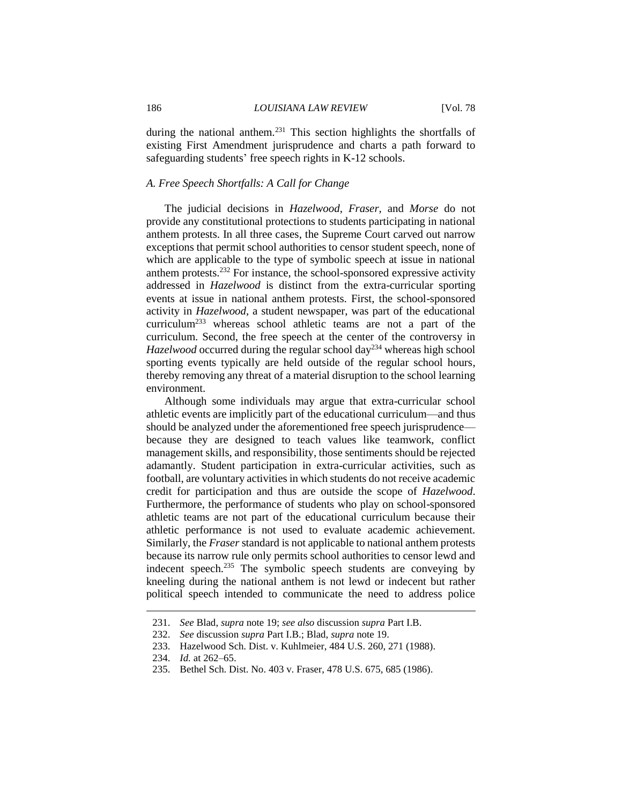during the national anthem.<sup>231</sup> This section highlights the shortfalls of existing First Amendment jurisprudence and charts a path forward to safeguarding students' free speech rights in K-12 schools.

## *A. Free Speech Shortfalls: A Call for Change*

The judicial decisions in *Hazelwood*, *Fraser,* and *Morse* do not provide any constitutional protections to students participating in national anthem protests. In all three cases, the Supreme Court carved out narrow exceptions that permit school authorities to censor student speech, none of which are applicable to the type of symbolic speech at issue in national anthem protests.<sup>232</sup> For instance, the school-sponsored expressive activity addressed in *Hazelwood* is distinct from the extra-curricular sporting events at issue in national anthem protests. First, the school-sponsored activity in *Hazelwood*, a student newspaper, was part of the educational curriculum<sup>233</sup> whereas school athletic teams are not a part of the curriculum. Second, the free speech at the center of the controversy in *Hazelwood* occurred during the regular school day<sup>234</sup> whereas high school sporting events typically are held outside of the regular school hours, thereby removing any threat of a material disruption to the school learning environment.

Although some individuals may argue that extra-curricular school athletic events are implicitly part of the educational curriculum—and thus should be analyzed under the aforementioned free speech jurisprudence because they are designed to teach values like teamwork, conflict management skills, and responsibility, those sentiments should be rejected adamantly. Student participation in extra-curricular activities, such as football, are voluntary activities in which students do not receive academic credit for participation and thus are outside the scope of *Hazelwood*. Furthermore, the performance of students who play on school-sponsored athletic teams are not part of the educational curriculum because their athletic performance is not used to evaluate academic achievement. Similarly, the *Fraser* standard is not applicable to national anthem protests because its narrow rule only permits school authorities to censor lewd and indecent speech.<sup>235</sup> The symbolic speech students are conveying by kneeling during the national anthem is not lewd or indecent but rather political speech intended to communicate the need to address police

<sup>231.</sup> *See* Blad, *supra* note 19; *see also* discussion *supra* Part I.B.

<sup>232.</sup> *See* discussion *supra* Part I.B.; Blad, *supra* note 19.

<sup>233.</sup> Hazelwood Sch. Dist. v. Kuhlmeier, 484 U.S. 260, 271 (1988).

<sup>234.</sup> *Id.* at 262–65.

<sup>235.</sup> Bethel Sch. Dist. No. 403 v. Fraser, 478 U.S. 675, 685 (1986).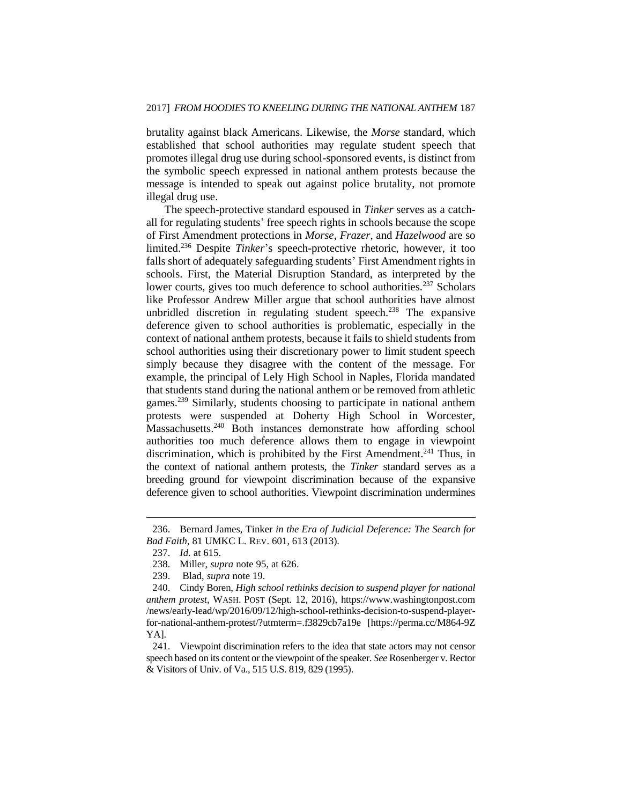brutality against black Americans. Likewise, the *Morse* standard, which established that school authorities may regulate student speech that promotes illegal drug use during school-sponsored events, is distinct from the symbolic speech expressed in national anthem protests because the message is intended to speak out against police brutality, not promote illegal drug use.

The speech-protective standard espoused in *Tinker* serves as a catchall for regulating students' free speech rights in schools because the scope of First Amendment protections in *Morse*, *Frazer*, and *Hazelwood* are so limited.<sup>236</sup> Despite *Tinker*'s speech-protective rhetoric, however, it too falls short of adequately safeguarding students' First Amendment rights in schools. First, the Material Disruption Standard, as interpreted by the lower courts, gives too much deference to school authorities.<sup>237</sup> Scholars like Professor Andrew Miller argue that school authorities have almost unbridled discretion in regulating student speech.<sup>238</sup> The expansive deference given to school authorities is problematic, especially in the context of national anthem protests, because it fails to shield students from school authorities using their discretionary power to limit student speech simply because they disagree with the content of the message. For example, the principal of Lely High School in Naples, Florida mandated that students stand during the national anthem or be removed from athletic games.<sup>239</sup> Similarly, students choosing to participate in national anthem protests were suspended at Doherty High School in Worcester, Massachusetts.<sup>240</sup> Both instances demonstrate how affording school authorities too much deference allows them to engage in viewpoint discrimination, which is prohibited by the First Amendment.<sup>241</sup> Thus, in the context of national anthem protests, the *Tinker* standard serves as a breeding ground for viewpoint discrimination because of the expansive deference given to school authorities. Viewpoint discrimination undermines

<sup>236.</sup> Bernard James, Tinker *in the Era of Judicial Deference: The Search for Bad Faith*, 81 UMKC L. REV. 601, 613 (2013).

<sup>237.</sup> *Id.* at 615.

<sup>238.</sup> Miller, *supra* note 95, at 626.

<sup>239.</sup> Blad, *supra* note 19.

<sup>240.</sup> Cindy Boren, *High school rethinks decision to suspend player for national anthem protest*, WASH. POST (Sept. 12, 2016), https://www.washingtonpost.com /news/early-lead/wp/2016/09/12/high-school-rethinks-decision-to-suspend-playerfor-national-anthem-protest/?utmterm=.f3829cb7a19e [https://perma.cc/M864-9Z YA].

<sup>241.</sup> Viewpoint discrimination refers to the idea that state actors may not censor speech based on its content or the viewpoint of the speaker. *See* Rosenberger v. Rector & Visitors of Univ. of Va., 515 U.S. 819, 829 (1995).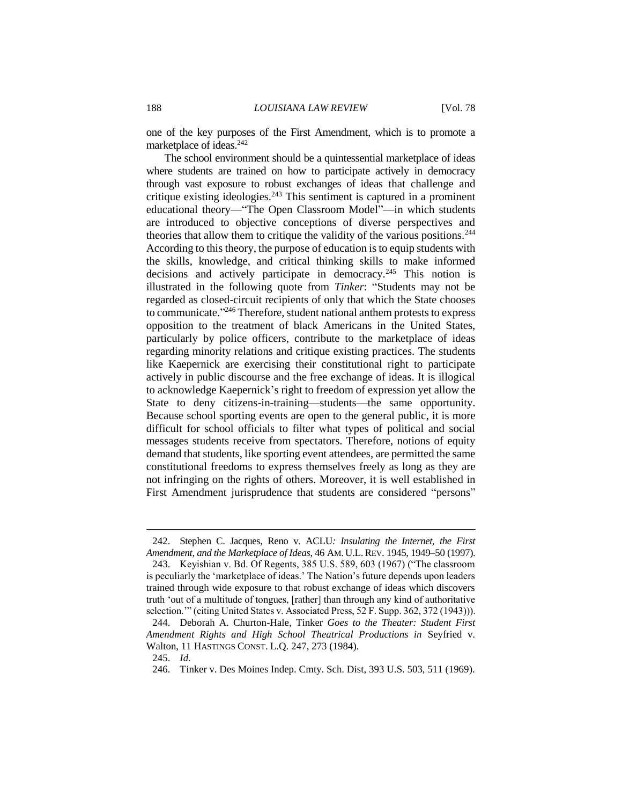one of the key purposes of the First Amendment, which is to promote a marketplace of ideas.<sup>242</sup>

The school environment should be a quintessential marketplace of ideas where students are trained on how to participate actively in democracy through vast exposure to robust exchanges of ideas that challenge and critique existing ideologies. $243$  This sentiment is captured in a prominent educational theory—"The Open Classroom Model"—in which students are introduced to objective conceptions of diverse perspectives and theories that allow them to critique the validity of the various positions.<sup>244</sup> According to this theory, the purpose of education is to equip students with the skills, knowledge, and critical thinking skills to make informed decisions and actively participate in democracy.<sup>245</sup> This notion is illustrated in the following quote from *Tinker*: "Students may not be regarded as closed-circuit recipients of only that which the State chooses to communicate." <sup>246</sup> Therefore, student national anthem protests to express opposition to the treatment of black Americans in the United States, particularly by police officers, contribute to the marketplace of ideas regarding minority relations and critique existing practices. The students like Kaepernick are exercising their constitutional right to participate actively in public discourse and the free exchange of ideas. It is illogical to acknowledge Kaepernick's right to freedom of expression yet allow the State to deny citizens-in-training—students—the same opportunity. Because school sporting events are open to the general public, it is more difficult for school officials to filter what types of political and social messages students receive from spectators. Therefore, notions of equity demand that students, like sporting event attendees, are permitted the same constitutional freedoms to express themselves freely as long as they are not infringing on the rights of others. Moreover, it is well established in First Amendment jurisprudence that students are considered "persons"

<sup>242.</sup> Stephen C. Jacques, Reno v. ACLU*: Insulating the Internet, the First Amendment, and the Marketplace of Ideas*, 46 AM. U.L.REV. 1945, 1949–50 (1997).

<sup>243.</sup> Keyishian v. Bd. Of Regents, 385 U.S. 589, 603 (1967) ("The classroom is peculiarly the 'marketplace of ideas.' The Nation's future depends upon leaders trained through wide exposure to that robust exchange of ideas which discovers truth 'out of a multitude of tongues, [rather] than through any kind of authoritative selection.'" (citing United States v. Associated Press, 52 F. Supp. 362, 372 (1943))).

<sup>244.</sup> Deborah A. Churton-Hale, Tinker *Goes to the Theater: Student First Amendment Rights and High School Theatrical Productions in* Seyfried v. Walton, 11 HASTINGS CONST. L.Q. 247, 273 (1984).

<sup>245.</sup> *Id.*

<sup>246.</sup> Tinker v. Des Moines Indep. Cmty. Sch. Dist, 393 U.S. 503, 511 (1969).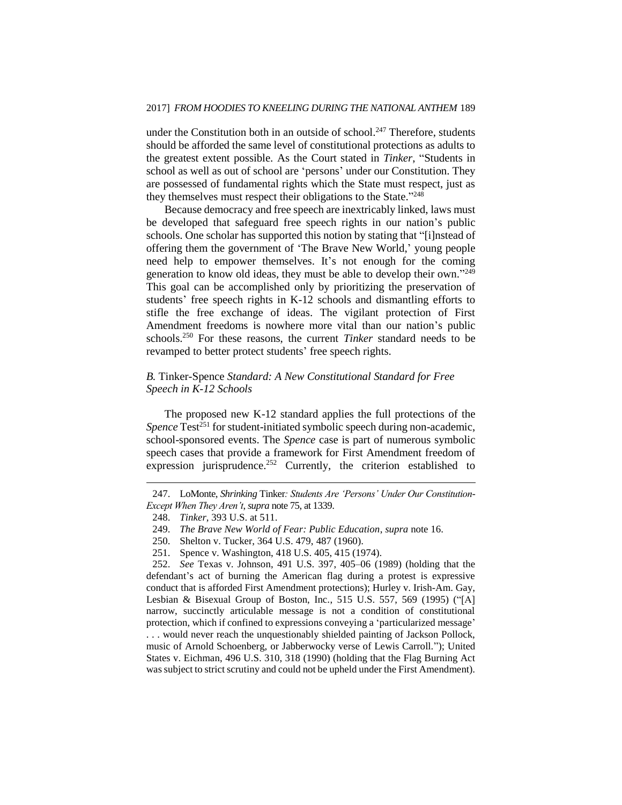under the Constitution both in an outside of school.<sup>247</sup> Therefore, students should be afforded the same level of constitutional protections as adults to the greatest extent possible. As the Court stated in *Tinker*, "Students in school as well as out of school are 'persons' under our Constitution. They are possessed of fundamental rights which the State must respect, just as they themselves must respect their obligations to the State."248

Because democracy and free speech are inextricably linked, laws must be developed that safeguard free speech rights in our nation's public schools. One scholar has supported this notion by stating that "[i]nstead of offering them the government of 'The Brave New World,' young people need help to empower themselves. It's not enough for the coming generation to know old ideas, they must be able to develop their own."<sup>249</sup> This goal can be accomplished only by prioritizing the preservation of students' free speech rights in K-12 schools and dismantling efforts to stifle the free exchange of ideas. The vigilant protection of First Amendment freedoms is nowhere more vital than our nation's public schools.<sup>250</sup> For these reasons, the current *Tinker* standard needs to be revamped to better protect students' free speech rights.

## *B.* Tinker*-*Spence *Standard: A New Constitutional Standard for Free Speech in K-12 Schools*

The proposed new K-12 standard applies the full protections of the *Spence* Test<sup>251</sup> for student-initiated symbolic speech during non-academic, school-sponsored events. The *Spence* case is part of numerous symbolic speech cases that provide a framework for First Amendment freedom of expression jurisprudence.<sup>252</sup> Currently, the criterion established to

<sup>247.</sup> LoMonte, *Shrinking* Tinker*: Students Are 'Persons' Under Our Constitution-Except When They Aren't*, *supra* note 75, at 1339.

<sup>248.</sup> *Tinker*, 393 U.S. at 511.

<sup>249.</sup> *The Brave New World of Fear: Public Education*, *supra* note 16.

<sup>250.</sup> Shelton v. Tucker, 364 U.S. 479, 487 (1960).

<sup>251.</sup> Spence v. Washington, 418 U.S. 405, 415 (1974).

<sup>252.</sup> *See* Texas v. Johnson, 491 U.S. 397, 405–06 (1989) (holding that the defendant's act of burning the American flag during a protest is expressive conduct that is afforded First Amendment protections); Hurley v. Irish-Am. Gay, Lesbian & Bisexual Group of Boston, Inc*.*, 515 U.S. 557, 569 (1995) ("[A] narrow, succinctly articulable message is not a condition of constitutional protection, which if confined to expressions conveying a 'particularized message' . . . would never reach the unquestionably shielded painting of Jackson Pollock, music of Arnold Schoenberg, or Jabberwocky verse of Lewis Carroll."); United States v. Eichman, 496 U.S. 310, 318 (1990) (holding that the Flag Burning Act was subject to strict scrutiny and could not be upheld under the First Amendment).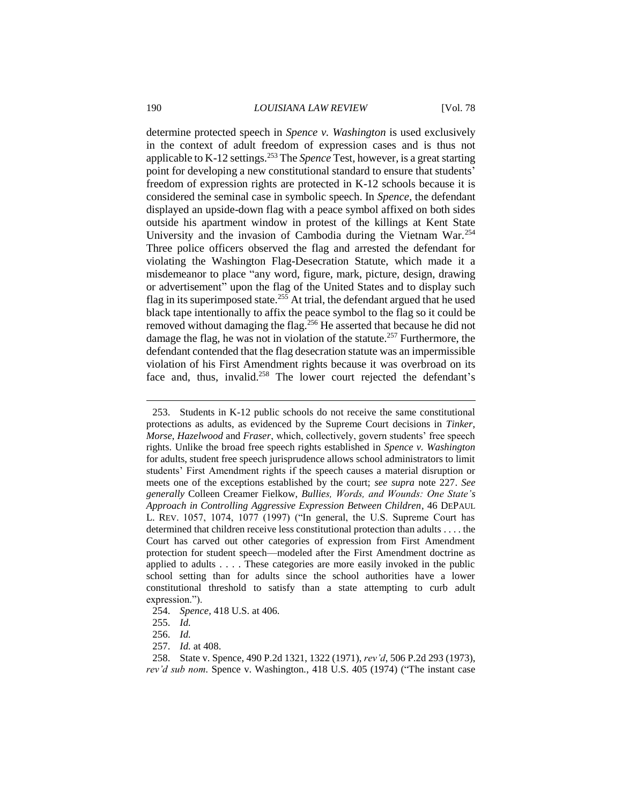determine protected speech in *Spence v. Washington* is used exclusively in the context of adult freedom of expression cases and is thus not applicable to K-12 settings.<sup>253</sup> The *Spence* Test, however, is a great starting point for developing a new constitutional standard to ensure that students' freedom of expression rights are protected in K-12 schools because it is considered the seminal case in symbolic speech. In *Spence*, the defendant displayed an upside-down flag with a peace symbol affixed on both sides outside his apartment window in protest of the killings at Kent State University and the invasion of Cambodia during the Vietnam War.<sup>254</sup> Three police officers observed the flag and arrested the defendant for violating the Washington Flag-Desecration Statute, which made it a misdemeanor to place "any word, figure, mark, picture, design, drawing or advertisement" upon the flag of the United States and to display such flag in its superimposed state.<sup>255</sup> At trial, the defendant argued that he used black tape intentionally to affix the peace symbol to the flag so it could be removed without damaging the flag.<sup>256</sup> He asserted that because he did not damage the flag, he was not in violation of the statute.<sup>257</sup> Furthermore, the defendant contended that the flag desecration statute was an impermissible violation of his First Amendment rights because it was overbroad on its face and, thus, invalid.<sup>258</sup> The lower court rejected the defendant's

254. *Spence,* 418 U.S. at 406.

<sup>253.</sup> Students in K-12 public schools do not receive the same constitutional protections as adults, as evidenced by the Supreme Court decisions in *Tinker*, *Morse*, *Hazelwood* and *Fraser*, which, collectively, govern students' free speech rights. Unlike the broad free speech rights established in *Spence v. Washington* for adults, student free speech jurisprudence allows school administrators to limit students' First Amendment rights if the speech causes a material disruption or meets one of the exceptions established by the court; *see supra* note 227. *See generally* Colleen Creamer Fielkow, *Bullies, Words, and Wounds: One State's Approach in Controlling Aggressive Expression Between Children*, 46 DEPAUL L. REV. 1057, 1074, 1077 (1997) ("In general, the U.S. Supreme Court has determined that children receive less constitutional protection than adults . . . . the Court has carved out other categories of expression from First Amendment protection for student speech—modeled after the First Amendment doctrine as applied to adults . . . . These categories are more easily invoked in the public school setting than for adults since the school authorities have a lower constitutional threshold to satisfy than a state attempting to curb adult expression.").

<sup>255.</sup> *Id.*

<sup>256.</sup> *Id.*

<sup>257.</sup> *Id.* at 408.

<sup>258.</sup> State v. Spence, 490 P.2d 1321, 1322 (1971), *rev'd*, 506 P.2d 293 (1973), *rev'd sub nom.* Spence v. Washington*.*, 418 U.S. 405 (1974) ("The instant case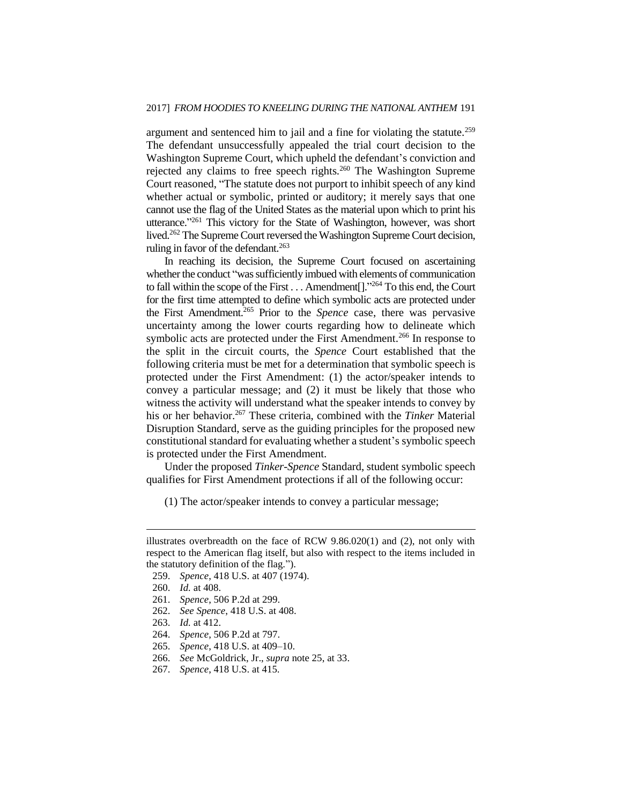argument and sentenced him to jail and a fine for violating the statute.<sup>259</sup> The defendant unsuccessfully appealed the trial court decision to the Washington Supreme Court, which upheld the defendant's conviction and rejected any claims to free speech rights.<sup>260</sup> The Washington Supreme Court reasoned, "The statute does not purport to inhibit speech of any kind whether actual or symbolic, printed or auditory; it merely says that one cannot use the flag of the United States as the material upon which to print his utterance."<sup>261</sup> This victory for the State of Washington, however, was short lived.<sup>262</sup> The Supreme Court reversed the Washington Supreme Court decision, ruling in favor of the defendant.<sup>263</sup>

In reaching its decision, the Supreme Court focused on ascertaining whether the conduct "was sufficiently imbued with elements of communication to fall within the scope of the First . . . Amendment<sup>[]</sup>."<sup>264</sup> To this end, the Court for the first time attempted to define which symbolic acts are protected under the First Amendment.<sup>265</sup> Prior to the *Spence* case, there was pervasive uncertainty among the lower courts regarding how to delineate which symbolic acts are protected under the First Amendment.<sup>266</sup> In response to the split in the circuit courts, the *Spence* Court established that the following criteria must be met for a determination that symbolic speech is protected under the First Amendment: (1) the actor/speaker intends to convey a particular message; and (2) it must be likely that those who witness the activity will understand what the speaker intends to convey by his or her behavior.<sup>267</sup> These criteria, combined with the *Tinker* Material Disruption Standard, serve as the guiding principles for the proposed new constitutional standard for evaluating whether a student's symbolic speech is protected under the First Amendment.

Under the proposed *Tinker-Spence* Standard, student symbolic speech qualifies for First Amendment protections if all of the following occur:

(1) The actor/speaker intends to convey a particular message;

- 262. *See Spence*, 418 U.S. at 408.
- 263. *Id.* at 412.
- 264. *Spence*, 506 P.2d at 797.
- 265. *Spence*, 418 U.S. at 409–10.
- 266. *See* McGoldrick, Jr., *supra* note 25, at 33.
- 267. *Spence*, 418 U.S. at 415.

illustrates overbreadth on the face of RCW  $9.86.020(1)$  and (2), not only with respect to the American flag itself, but also with respect to the items included in the statutory definition of the flag.").

<sup>259.</sup> *Spence*, 418 U.S. at 407 (1974).

<sup>260.</sup> *Id.* at 408.

<sup>261.</sup> *Spence*, 506 P.2d at 299.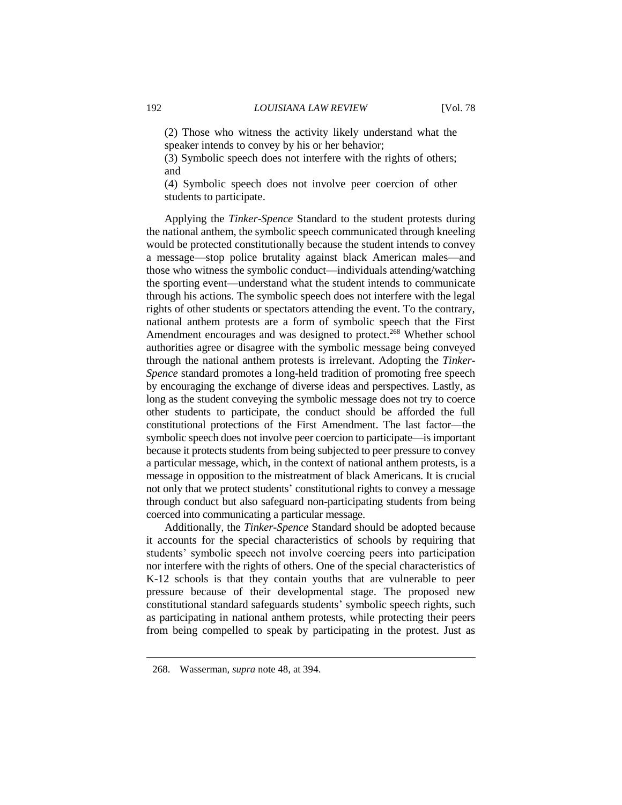(2) Those who witness the activity likely understand what the speaker intends to convey by his or her behavior;

(3) Symbolic speech does not interfere with the rights of others; and

(4) Symbolic speech does not involve peer coercion of other students to participate.

Applying the *Tinker*-*Spence* Standard to the student protests during the national anthem, the symbolic speech communicated through kneeling would be protected constitutionally because the student intends to convey a message—stop police brutality against black American males—and those who witness the symbolic conduct—individuals attending/watching the sporting event—understand what the student intends to communicate through his actions. The symbolic speech does not interfere with the legal rights of other students or spectators attending the event. To the contrary, national anthem protests are a form of symbolic speech that the First Amendment encourages and was designed to protect.<sup>268</sup> Whether school authorities agree or disagree with the symbolic message being conveyed through the national anthem protests is irrelevant. Adopting the *Tinker-Spence* standard promotes a long-held tradition of promoting free speech by encouraging the exchange of diverse ideas and perspectives. Lastly, as long as the student conveying the symbolic message does not try to coerce other students to participate, the conduct should be afforded the full constitutional protections of the First Amendment. The last factor—the symbolic speech does not involve peer coercion to participate—is important because it protects students from being subjected to peer pressure to convey a particular message, which, in the context of national anthem protests, is a message in opposition to the mistreatment of black Americans. It is crucial not only that we protect students' constitutional rights to convey a message through conduct but also safeguard non-participating students from being coerced into communicating a particular message.

Additionally, the *Tinker-Spence* Standard should be adopted because it accounts for the special characteristics of schools by requiring that students' symbolic speech not involve coercing peers into participation nor interfere with the rights of others. One of the special characteristics of K-12 schools is that they contain youths that are vulnerable to peer pressure because of their developmental stage. The proposed new constitutional standard safeguards students' symbolic speech rights, such as participating in national anthem protests, while protecting their peers from being compelled to speak by participating in the protest. Just as

<sup>268.</sup> Wasserman, *supra* note 48, at 394.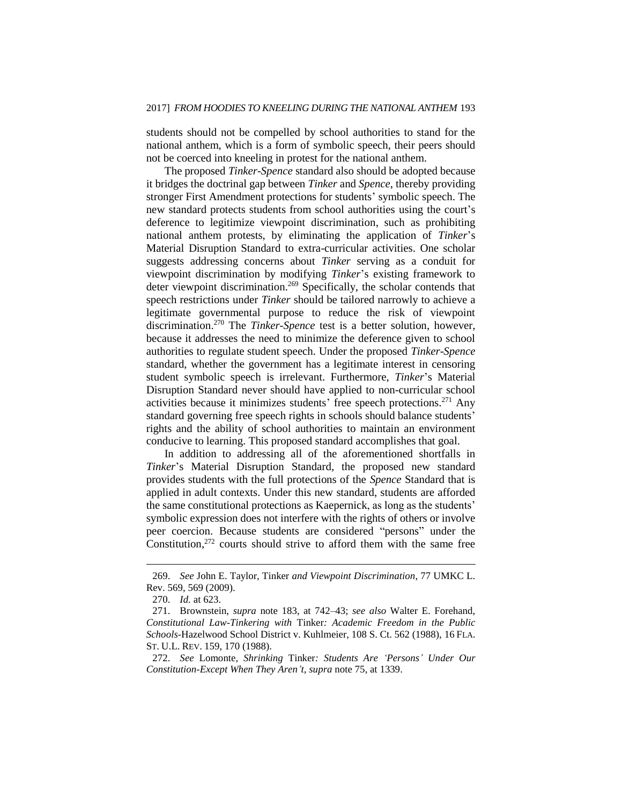students should not be compelled by school authorities to stand for the national anthem, which is a form of symbolic speech, their peers should not be coerced into kneeling in protest for the national anthem.

The proposed *Tinker*-*Spence* standard also should be adopted because it bridges the doctrinal gap between *Tinker* and *Spence*, thereby providing stronger First Amendment protections for students' symbolic speech. The new standard protects students from school authorities using the court's deference to legitimize viewpoint discrimination, such as prohibiting national anthem protests, by eliminating the application of *Tinker*'s Material Disruption Standard to extra-curricular activities. One scholar suggests addressing concerns about *Tinker* serving as a conduit for viewpoint discrimination by modifying *Tinker*'s existing framework to deter viewpoint discrimination.<sup>269</sup> Specifically, the scholar contends that speech restrictions under *Tinker* should be tailored narrowly to achieve a legitimate governmental purpose to reduce the risk of viewpoint discrimination. <sup>270</sup> The *Tinker-Spence* test is a better solution, however, because it addresses the need to minimize the deference given to school authorities to regulate student speech. Under the proposed *Tinker*-*Spence* standard, whether the government has a legitimate interest in censoring student symbolic speech is irrelevant. Furthermore, *Tinker*'s Material Disruption Standard never should have applied to non-curricular school activities because it minimizes students' free speech protections.<sup>271</sup> Any standard governing free speech rights in schools should balance students' rights and the ability of school authorities to maintain an environment conducive to learning. This proposed standard accomplishes that goal.

In addition to addressing all of the aforementioned shortfalls in *Tinker*'s Material Disruption Standard, the proposed new standard provides students with the full protections of the *Spence* Standard that is applied in adult contexts. Under this new standard, students are afforded the same constitutional protections as Kaepernick, as long as the students' symbolic expression does not interfere with the rights of others or involve peer coercion. Because students are considered "persons" under the Constitution,<sup>272</sup> courts should strive to afford them with the same free

<sup>269.</sup> *See* John E. Taylor, Tinker *and Viewpoint Discrimination*, 77 UMKC L. Rev. 569, 569 (2009).

<sup>270.</sup> *Id.* at 623.

<sup>271.</sup> Brownstein, *supra* note 183, at 742–43; *see also* Walter E. Forehand, *Constitutional Law-Tinkering with* Tinker*: Academic Freedom in the Public Schools-*Hazelwood School District v. Kuhlmeier, 108 S. Ct. 562 (1988), 16 FLA. ST. U.L. REV. 159, 170 (1988).

<sup>272.</sup> *See* Lomonte*, Shrinking* Tinker*: Students Are 'Persons' Under Our Constitution-Except When They Aren't*, *supra* note 75, at 1339.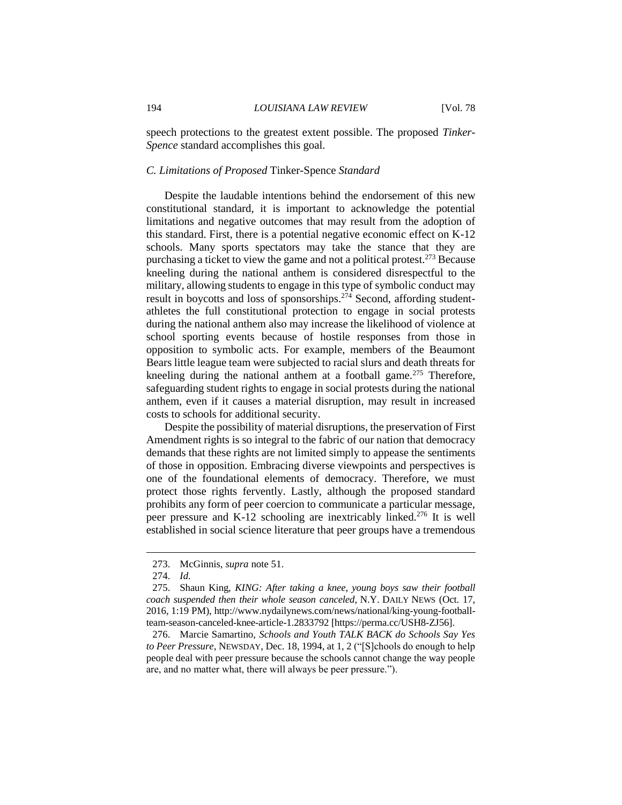speech protections to the greatest extent possible. The proposed *Tinker*-*Spence* standard accomplishes this goal.

#### *C. Limitations of Proposed* Tinker*-*Spence *Standard*

Despite the laudable intentions behind the endorsement of this new constitutional standard, it is important to acknowledge the potential limitations and negative outcomes that may result from the adoption of this standard. First, there is a potential negative economic effect on K-12 schools. Many sports spectators may take the stance that they are purchasing a ticket to view the game and not a political protest.<sup>273</sup> Because kneeling during the national anthem is considered disrespectful to the military, allowing students to engage in this type of symbolic conduct may result in boycotts and loss of sponsorships.<sup>274</sup> Second, affording studentathletes the full constitutional protection to engage in social protests during the national anthem also may increase the likelihood of violence at school sporting events because of hostile responses from those in opposition to symbolic acts. For example, members of the Beaumont Bears little league team were subjected to racial slurs and death threats for kneeling during the national anthem at a football game.<sup>275</sup> Therefore, safeguarding student rights to engage in social protests during the national anthem, even if it causes a material disruption, may result in increased costs to schools for additional security.

Despite the possibility of material disruptions, the preservation of First Amendment rights is so integral to the fabric of our nation that democracy demands that these rights are not limited simply to appease the sentiments of those in opposition. Embracing diverse viewpoints and perspectives is one of the foundational elements of democracy. Therefore, we must protect those rights fervently. Lastly, although the proposed standard prohibits any form of peer coercion to communicate a particular message, peer pressure and K-12 schooling are inextricably linked.<sup>276</sup> It is well established in social science literature that peer groups have a tremendous

<sup>273.</sup> McGinnis, *supra* note 51.

<sup>274.</sup> *Id.*

<sup>275.</sup> Shaun King, *KING: After taking a knee, young boys saw their football coach suspended then their whole season canceled*, N.Y. DAILY NEWS (Oct. 17, 2016, 1:19 PM), http://www.nydailynews.com/news/national/king-young-footballteam-season-canceled-knee-article-1.2833792 [https://perma.cc/USH8-ZJ56].

<sup>276.</sup> Marcie Samartino, *Schools and Youth TALK BACK do Schools Say Yes to Peer Pressure*, NEWSDAY, Dec. 18, 1994, at 1, 2 ("[S]chools do enough to help people deal with peer pressure because the schools cannot change the way people are, and no matter what, there will always be peer pressure.").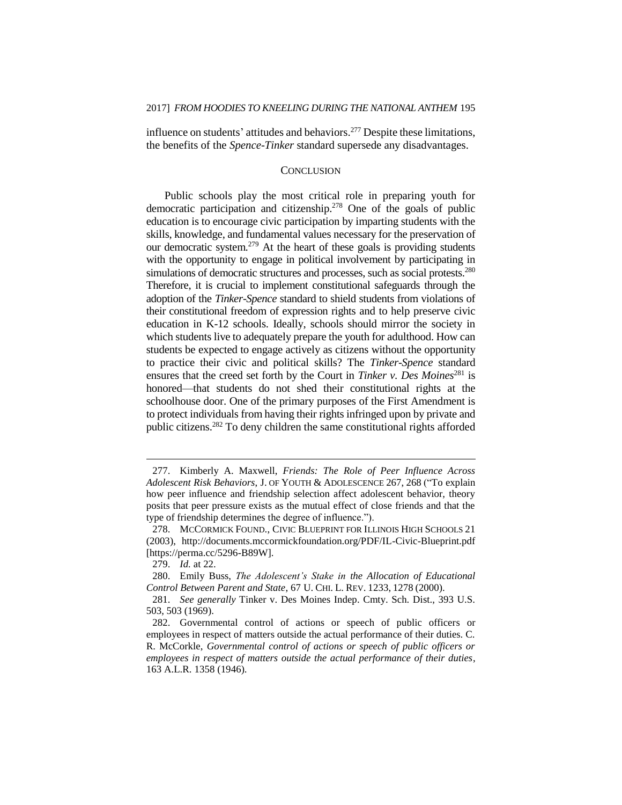influence on students' attitudes and behaviors.<sup>277</sup> Despite these limitations, the benefits of the *Spence*-*Tinker* standard supersede any disadvantages.

#### **CONCLUSION**

Public schools play the most critical role in preparing youth for democratic participation and citizenship.<sup>278</sup> One of the goals of public education is to encourage civic participation by imparting students with the skills, knowledge, and fundamental values necessary for the preservation of our democratic system.<sup>279</sup> At the heart of these goals is providing students with the opportunity to engage in political involvement by participating in simulations of democratic structures and processes, such as social protests.<sup>280</sup> Therefore, it is crucial to implement constitutional safeguards through the adoption of the *Tinker*-*Spence* standard to shield students from violations of their constitutional freedom of expression rights and to help preserve civic education in K-12 schools. Ideally, schools should mirror the society in which students live to adequately prepare the youth for adulthood. How can students be expected to engage actively as citizens without the opportunity to practice their civic and political skills? The *Tinker*-*Spence* standard ensures that the creed set forth by the Court in *Tinker v. Des Moines*<sup>281</sup> is honored—that students do not shed their constitutional rights at the schoolhouse door. One of the primary purposes of the First Amendment is to protect individuals from having their rights infringed upon by private and public citizens.<sup>282</sup> To deny children the same constitutional rights afforded

<sup>277.</sup> Kimberly A. Maxwell, *Friends: The Role of Peer Influence Across Adolescent Risk Behaviors*, J. OF YOUTH & ADOLESCENCE 267, 268 ("To explain how peer influence and friendship selection affect adolescent behavior, theory posits that peer pressure exists as the mutual effect of close friends and that the type of friendship determines the degree of influence.").

<sup>278.</sup> MCCORMICK FOUND., CIVIC BLUEPRINT FOR ILLINOIS HIGH SCHOOLS 21 (2003), http://documents.mccormickfoundation.org/PDF/IL-Civic-Blueprint.pdf [https://perma.cc/5296-B89W].

<sup>279.</sup> *Id.* at 22.

<sup>280.</sup> Emily Buss, *The Adolescent's Stake in the Allocation of Educational Control Between Parent and State*, 67 U. CHI. L. REV. 1233, 1278 (2000).

<sup>281.</sup> *See generally* Tinker v. Des Moines Indep. Cmty. Sch. Dist., 393 U.S. 503, 503 (1969).

<sup>282.</sup> Governmental control of actions or speech of public officers or employees in respect of matters outside the actual performance of their duties. C. R. McCorkle, *Governmental control of actions or speech of public officers or employees in respect of matters outside the actual performance of their duties*, 163 A.L.R. 1358 (1946).